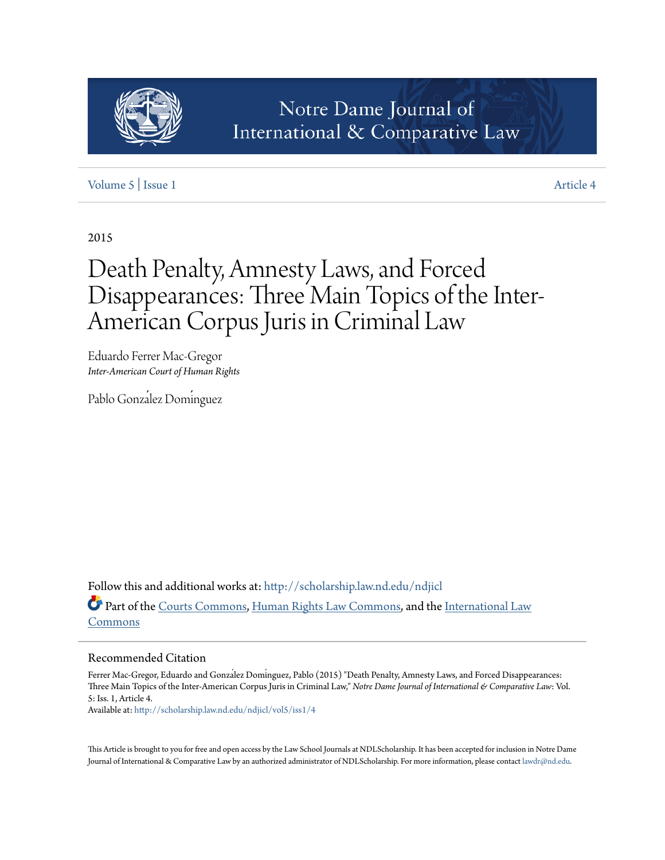

# [Volume 5](http://scholarship.law.nd.edu/ndjicl/vol5?utm_source=scholarship.law.nd.edu%2Fndjicl%2Fvol5%2Fiss1%2F4&utm_medium=PDF&utm_campaign=PDFCoverPages) | [Issue 1](http://scholarship.law.nd.edu/ndjicl/vol5/iss1?utm_source=scholarship.law.nd.edu%2Fndjicl%2Fvol5%2Fiss1%2F4&utm_medium=PDF&utm_campaign=PDFCoverPages) [Article 4](http://scholarship.law.nd.edu/ndjicl/vol5/iss1/4?utm_source=scholarship.law.nd.edu%2Fndjicl%2Fvol5%2Fiss1%2F4&utm_medium=PDF&utm_campaign=PDFCoverPages)

2015

# Death Penalty, Amnesty Laws, and Forced Disappearances: Three Main Topics of the Inter-American Corpus Juris in Criminal Law

Eduardo Ferrer Mac-Gregor *Inter-American Court of Human Rights*

Pablo González Domínguez

Follow this and additional works at: [http://scholarship.law.nd.edu/ndjicl](http://scholarship.law.nd.edu/ndjicl?utm_source=scholarship.law.nd.edu%2Fndjicl%2Fvol5%2Fiss1%2F4&utm_medium=PDF&utm_campaign=PDFCoverPages) Part of the [Courts Commons](http://network.bepress.com/hgg/discipline/839?utm_source=scholarship.law.nd.edu%2Fndjicl%2Fvol5%2Fiss1%2F4&utm_medium=PDF&utm_campaign=PDFCoverPages), [Human Rights Law Commons](http://network.bepress.com/hgg/discipline/847?utm_source=scholarship.law.nd.edu%2Fndjicl%2Fvol5%2Fiss1%2F4&utm_medium=PDF&utm_campaign=PDFCoverPages), and the [International Law](http://network.bepress.com/hgg/discipline/609?utm_source=scholarship.law.nd.edu%2Fndjicl%2Fvol5%2Fiss1%2F4&utm_medium=PDF&utm_campaign=PDFCoverPages) [Commons](http://network.bepress.com/hgg/discipline/609?utm_source=scholarship.law.nd.edu%2Fndjicl%2Fvol5%2Fiss1%2F4&utm_medium=PDF&utm_campaign=PDFCoverPages)

# Recommended Citation

Ferrer Mac-Gregor, Eduardo and Gonzalez Dominguez, Pablo (2015) "Death Penalty, Amnesty Laws, and Forced Disappearances: Three Main Topics of the Inter-American Corpus Juris in Criminal Law," *Notre Dame Journal of International & Comparative Law*: Vol. 5: Iss. 1, Article 4.

Available at: [http://scholarship.law.nd.edu/ndjicl/vol5/iss1/4](http://scholarship.law.nd.edu/ndjicl/vol5/iss1/4?utm_source=scholarship.law.nd.edu%2Fndjicl%2Fvol5%2Fiss1%2F4&utm_medium=PDF&utm_campaign=PDFCoverPages)

This Article is brought to you for free and open access by the Law School Journals at NDLScholarship. It has been accepted for inclusion in Notre Dame Journal of International & Comparative Law by an authorized administrator of NDLScholarship. For more information, please contact [lawdr@nd.edu.](mailto:lawdr@nd.edu)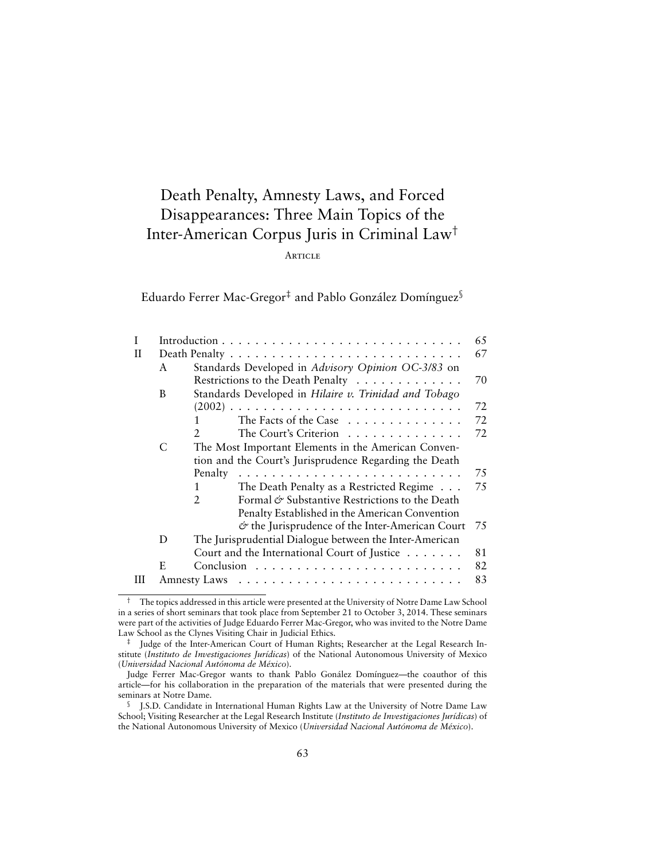# Death Penalty, Amnesty Laws, and Forced Disappearances: Three Main Topics of the Inter-American Corpus Juris in Criminal Law†

# **ARTICLE**

Eduardo Ferrer Mac-Gregor‡ and Pablo González Domínguez§

|   | 65 |                                                                  |    |
|---|----|------------------------------------------------------------------|----|
| Н |    |                                                                  | 67 |
|   | A  | Standards Developed in Advisory Opinion OC-3/83 on               |    |
|   |    | Restrictions to the Death Penalty                                | 70 |
|   | B  | Standards Developed in Hilaire v. Trinidad and Tobago            |    |
|   |    |                                                                  | 72 |
|   |    | The Facts of the Case<br>1                                       | 72 |
|   |    | The Court's Criterion                                            | 72 |
|   | C  | The Most Important Elements in the American Conven-              |    |
|   |    | tion and the Court's Jurisprudence Regarding the Death           |    |
|   |    | Penalty                                                          | 75 |
|   |    | The Death Penalty as a Restricted Regime<br>1                    | 75 |
|   |    | Formal & Substantive Restrictions to the Death<br>$\overline{2}$ |    |
|   |    | Penalty Established in the American Convention                   |    |
|   |    | $\circ$ the Jurisprudence of the Inter-American Court            | 75 |
|   | D  | The Jurisprudential Dialogue between the Inter-American          |    |
|   |    | Court and the International Court of Justice                     | 81 |
|   | E. |                                                                  | 82 |
| Ш |    |                                                                  | 83 |
|   |    |                                                                  |    |

<sup>†</sup> The topics addressed in this article were presented at the University of Notre Dame Law School in a series of short seminars that took place from September 21 to October 3, 2014. These seminars were part of the activities of Judge Eduardo Ferrer Mac-Gregor, who was invited to the Notre Dame Law School as the Clynes Visiting Chair in Judicial Ethics.

<sup>‡</sup> Judge of the Inter-American Court of Human Rights; Researcher at the Legal Research Institute (*Instituto de Investigaciones Jurídicas*) of the National Autonomous University of Mexico (*Universidad Nacional Autónoma de México*).

Judge Ferrer Mac-Gregor wants to thank Pablo Gonález Domínguez—the coauthor of this article—for his collaboration in the preparation of the materials that were presented during the seminars at Notre Dame.

<sup>§</sup> J.S.D. Candidate in International Human Rights Law at the University of Notre Dame Law School; Visiting Researcher at the Legal Research Institute (*Instituto de Investigaciones Jurídicas*) of the National Autonomous University of Mexico (*Universidad Nacional Autónoma de México*).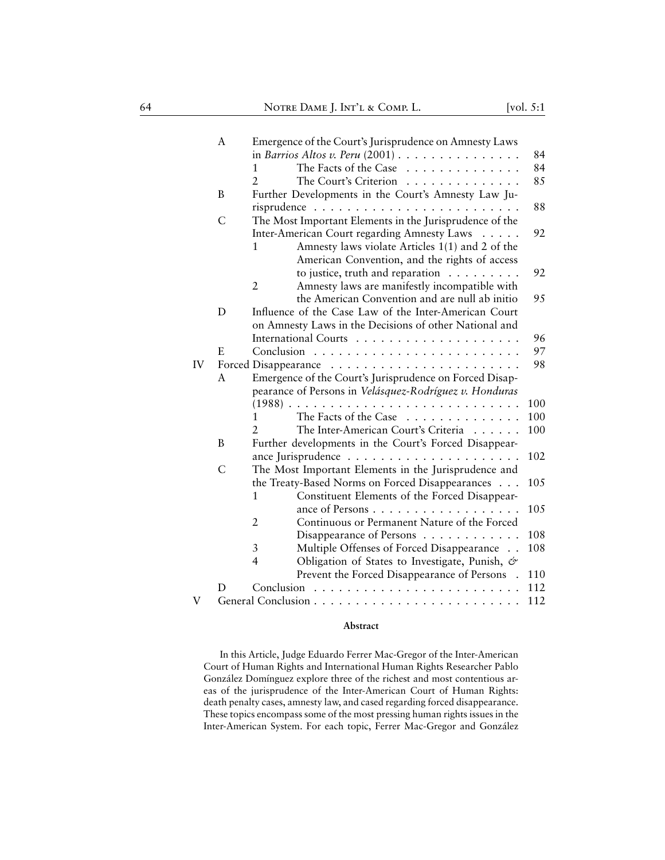|    | A             | Emergence of the Court's Jurisprudence on Amnesty Laws           |      |
|----|---------------|------------------------------------------------------------------|------|
|    |               | in Barrios Altos v. Peru $(2001)$                                | 84   |
|    |               | The Facts of the Case<br>1                                       | 84   |
|    |               | $\overline{2}$<br>The Court's Criterion                          | 85   |
|    | B             | Further Developments in the Court's Amnesty Law Ju-              |      |
|    |               |                                                                  | 88   |
|    | C             | The Most Important Elements in the Jurisprudence of the          |      |
|    |               | Inter-American Court regarding Amnesty Laws                      | 92   |
|    |               | Amnesty laws violate Articles 1(1) and 2 of the<br>1             |      |
|    |               | American Convention, and the rights of access                    |      |
|    |               | to justice, truth and reparation                                 | 92   |
|    |               | $\overline{2}$<br>Amnesty laws are manifestly incompatible with  |      |
|    |               | the American Convention and are null ab initio                   | 95   |
|    | D             | Influence of the Case Law of the Inter-American Court            |      |
|    |               | on Amnesty Laws in the Decisions of other National and           |      |
|    |               |                                                                  | 96   |
|    | E             |                                                                  | 97   |
| IV |               |                                                                  | 98   |
|    | A             | Emergence of the Court's Jurisprudence on Forced Disap-          |      |
|    |               | pearance of Persons in Velásquez-Rodríguez v. Honduras           |      |
|    |               | $(1988)$ .                                                       | 100  |
|    |               | The Facts of the Case<br>1                                       | 100  |
|    |               | The Inter-American Court's Criteria                              | 100  |
|    | B             | Further developments in the Court's Forced Disappear-            |      |
|    |               |                                                                  | 102  |
|    | $\mathcal{C}$ | The Most Important Elements in the Jurisprudence and             |      |
|    |               | the Treaty-Based Norms on Forced Disappearances                  | 105  |
|    |               | Constituent Elements of the Forced Disappear-<br>1               |      |
|    |               | ance of Persons                                                  | 10.5 |
|    |               | Continuous or Permanent Nature of the Forced<br>2                |      |
|    |               | Disappearance of Persons                                         | 108  |
|    |               | Multiple Offenses of Forced Disappearance<br>3                   | 108  |
|    |               | $\overline{4}$<br>Obligation of States to Investigate, Punish, & |      |
|    |               | Prevent the Forced Disappearance of Persons .                    | 110  |
|    | D             |                                                                  | 112  |
| V  |               |                                                                  | 112  |

# **Abstract**

In this Article, Judge Eduardo Ferrer Mac-Gregor of the Inter-American Court of Human Rights and International Human Rights Researcher Pablo González Domínguez explore three of the richest and most contentious areas of the jurisprudence of the Inter-American Court of Human Rights: death penalty cases, amnesty law, and cased regarding forced disappearance. These topics encompass some of the most pressing human rights issues in the Inter-American System. For each topic, Ferrer Mac-Gregor and González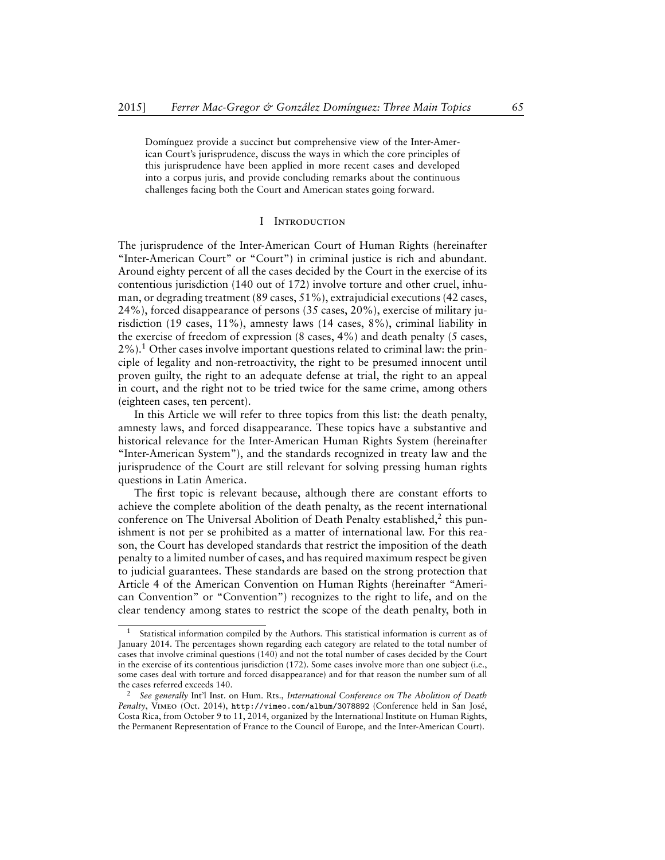Domínguez provide a succinct but comprehensive view of the Inter-American Court's jurisprudence, discuss the ways in which the core principles of this jurisprudence have been applied in more recent cases and developed into a corpus juris, and provide concluding remarks about the continuous challenges facing both the Court and American states going forward.

# I Introduction

<span id="page-3-0"></span>The jurisprudence of the Inter-American Court of Human Rights (hereinafter "Inter-American Court" or "Court") in criminal justice is rich and abundant. Around eighty percent of all the cases decided by the Court in the exercise of its contentious jurisdiction (140 out of 172) involve torture and other cruel, inhuman, or degrading treatment (89 cases, 51%), extrajudicial executions (42 cases, 24%), forced disappearance of persons (35 cases, 20%), exercise of military jurisdiction (19 cases, 11%), amnesty laws (14 cases, 8%), criminal liability in the exercise of freedom of expression (8 cases, 4%) and death penalty (5 cases,  $2\%$ ).<sup>1</sup> Other cases involve important questions related to criminal law: the principle of legality and non-retroactivity, the right to be presumed innocent until proven guilty, the right to an adequate defense at trial, the right to an appeal in court, and the right not to be tried twice for the same crime, among others (eighteen cases, ten percent).

In this Article we will refer to three topics from this list: the death penalty, amnesty laws, and forced disappearance. These topics have a substantive and historical relevance for the Inter-American Human Rights System (hereinafter "Inter-American System"), and the standards recognized in treaty law and the jurisprudence of the Court are still relevant for solving pressing human rights questions in Latin America.

The first topic is relevant because, although there are constant efforts to achieve the complete abolition of the death penalty, as the recent international conference on The Universal Abolition of Death Penalty established,<sup>2</sup> this punishment is not per se prohibited as a matter of international law. For this reason, the Court has developed standards that restrict the imposition of the death penalty to a limited number of cases, and has required maximum respect be given to judicial guarantees. These standards are based on the strong protection that Article 4 of the American Convention on Human Rights (hereinafter "American Convention" or "Convention") recognizes to the right to life, and on the clear tendency among states to restrict the scope of the death penalty, both in

Statistical information compiled by the Authors. This statistical information is current as of January 2014. The percentages shown regarding each category are related to the total number of cases that involve criminal questions (140) and not the total number of cases decided by the Court in the exercise of its contentious jurisdiction (172). Some cases involve more than one subject (i.e., some cases deal with torture and forced disappearance) and for that reason the number sum of all the cases referred exceeds 140.

<sup>2</sup> *See generally* Int'l Inst. on Hum. Rts., *International Conference on The Abolition of Death Penalty*, Vimeo (Oct. 2014), <http://vimeo.com/album/3078892> (Conference held in San José, Costa Rica, from October 9 to 11, 2014, organized by the International Institute on Human Rights, the Permanent Representation of France to the Council of Europe, and the Inter-American Court).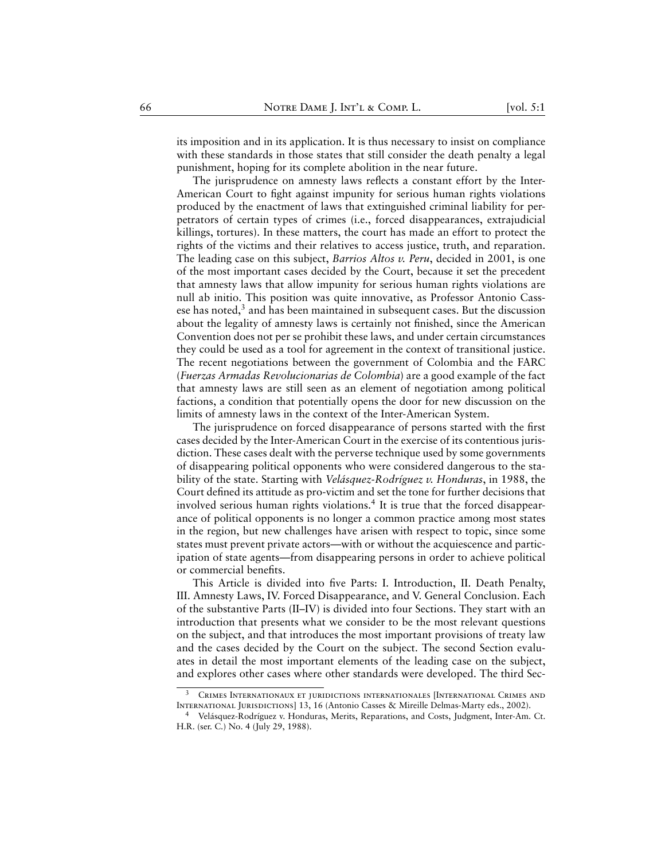its imposition and in its application. It is thus necessary to insist on compliance with these standards in those states that still consider the death penalty a legal punishment, hoping for its complete abolition in the near future.

The jurisprudence on amnesty laws reflects a constant effort by the Inter-American Court to fight against impunity for serious human rights violations produced by the enactment of laws that extinguished criminal liability for perpetrators of certain types of crimes (i.e., forced disappearances, extrajudicial killings, tortures). In these matters, the court has made an effort to protect the rights of the victims and their relatives to access justice, truth, and reparation. The leading case on this subject, *Barrios Altos v. Peru*, decided in 2001, is one of the most important cases decided by the Court, because it set the precedent that amnesty laws that allow impunity for serious human rights violations are null ab initio. This position was quite innovative, as Professor Antonio Cassese has noted, $3$  and has been maintained in subsequent cases. But the discussion about the legality of amnesty laws is certainly not finished, since the American Convention does not per se prohibit these laws, and under certain circumstances they could be used as a tool for agreement in the context of transitional justice. The recent negotiations between the government of Colombia and the FARC (*Fuerzas Armadas Revolucionarias de Colombia*) are a good example of the fact that amnesty laws are still seen as an element of negotiation among political factions, a condition that potentially opens the door for new discussion on the limits of amnesty laws in the context of the Inter-American System.

The jurisprudence on forced disappearance of persons started with the first cases decided by the Inter-American Court in the exercise of its contentious jurisdiction. These cases dealt with the perverse technique used by some governments of disappearing political opponents who were considered dangerous to the stability of the state. Starting with *Velásquez-Rodríguez v. Honduras*, in 1988, the Court defined its attitude as pro-victim and set the tone for further decisions that involved serious human rights violations.<sup>4</sup> It is true that the forced disappearance of political opponents is no longer a common practice among most states in the region, but new challenges have arisen with respect to topic, since some states must prevent private actors—with or without the acquiescence and participation of state agents—from disappearing persons in order to achieve political or commercial benefits.

This Article is divided into five Parts: I. Introduction, II. Death Penalty, III. Amnesty Laws, IV. Forced Disappearance, and V. General Conclusion. Each of the substantive Parts (II–IV) is divided into four Sections. They start with an introduction that presents what we consider to be the most relevant questions on the subject, and that introduces the most important provisions of treaty law and the cases decided by the Court on the subject. The second Section evaluates in detail the most important elements of the leading case on the subject, and explores other cases where other standards were developed. The third Sec-

CRIMES INTERNATIONAUX ET JURIDICTIONS INTERNATIONALES [INTERNATIONAL CRIMES AND International Jurisdictions] 13, 16 (Antonio Casses & Mireille Delmas-Marty eds., 2002).

<sup>4</sup> Velásquez-Rodríguez v. Honduras, Merits, Reparations, and Costs, Judgment, Inter-Am. Ct. H.R. (ser. C.) No. 4 (July 29, 1988).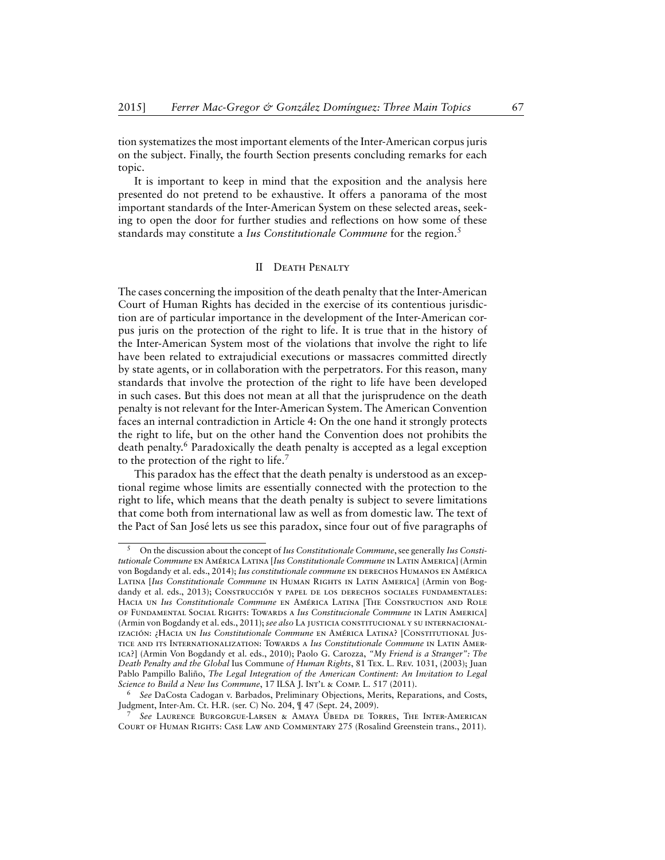tion systematizes the most important elements of the Inter-American corpus juris on the subject. Finally, the fourth Section presents concluding remarks for each topic.

It is important to keep in mind that the exposition and the analysis here presented do not pretend to be exhaustive. It offers a panorama of the most important standards of the Inter-American System on these selected areas, seeking to open the door for further studies and reflections on how some of these standards may constitute a *Ius Constitutionale Commune* for the region.<sup>5</sup>

# II Death Penalty

<span id="page-5-0"></span>The cases concerning the imposition of the death penalty that the Inter-American Court of Human Rights has decided in the exercise of its contentious jurisdiction are of particular importance in the development of the Inter-American corpus juris on the protection of the right to life. It is true that in the history of the Inter-American System most of the violations that involve the right to life have been related to extrajudicial executions or massacres committed directly by state agents, or in collaboration with the perpetrators. For this reason, many standards that involve the protection of the right to life have been developed in such cases. But this does not mean at all that the jurisprudence on the death penalty is not relevant for the Inter-American System. The American Convention faces an internal contradiction in Article 4: On the one hand it strongly protects the right to life, but on the other hand the Convention does not prohibits the death penalty.<sup>6</sup> Paradoxically the death penalty is accepted as a legal exception to the protection of the right to life.<sup>7</sup>

This paradox has the effect that the death penalty is understood as an exceptional regime whose limits are essentially connected with the protection to the right to life, which means that the death penalty is subject to severe limitations that come both from international law as well as from domestic law. The text of the Pact of San José lets us see this paradox, since four out of five paragraphs of

<sup>5</sup> On the discussion about the concept of*Ius Constitutionale Commune*, see generally *Ius Constitutionale Commune* en América Latina [*Ius Constitutionale Commune* in Latin America] (Armin von Bogdandy et al. eds., 2014); *Ius constitutionale commune* EN DERECHOS HUMANOS EN AMÉRICA Latina [*Ius Constitutionale Commune* in Human Rights in Latin America] (Armin von Bogdandy et al. eds., 2013); CONSTRUCCIÓN Y PAPEL DE LOS DERECHOS SOCIALES FUNDAMENTALES: Hacia un *Ius Constitutionale Commune* en América Latina [The Construction and Role of Fundamental Social Rights: Towards a *Ius Constitucionale Commune* in Latin America] (Armin von Bogdandy et al. eds., 2011); *see also* La justicia constitucional y su internacionalización: ¿Hacia un *Ius Constitutionale Commune* en América Latina? [Constitutional Justice and its Internationalization: Towards a *Ius Constitutionale Commune* in Latin America?] (Armin Von Bogdandy et al. eds., 2010); Paolo G. Carozza, *"My Friend is a Stranger": The Death Penalty and the Global* Ius Commune *of Human Rights*, 81 Tex. L. Rev. 1031, (2003); Juan Pablo Pampillo Baliño, *The Legal Integration of the American Continent: An Invitation to Legal Science to Build a New Ius Commune*, 17 ILSA J. INT'L & COMP. L. 517 (2011).

<sup>6</sup> *See* DaCosta Cadogan v. Barbados, Preliminary Objections, Merits, Reparations, and Costs, Judgment, Inter-Am. Ct. H.R. (ser. C) No. 204, ¶ 47 (Sept. 24, 2009).

<sup>7</sup> *See* Laurence Burgorgue-Larsen & Amaya Úbeda de Torres, The Inter-American Court of Human Rights: Case Law and Commentary 275 (Rosalind Greenstein trans., 2011).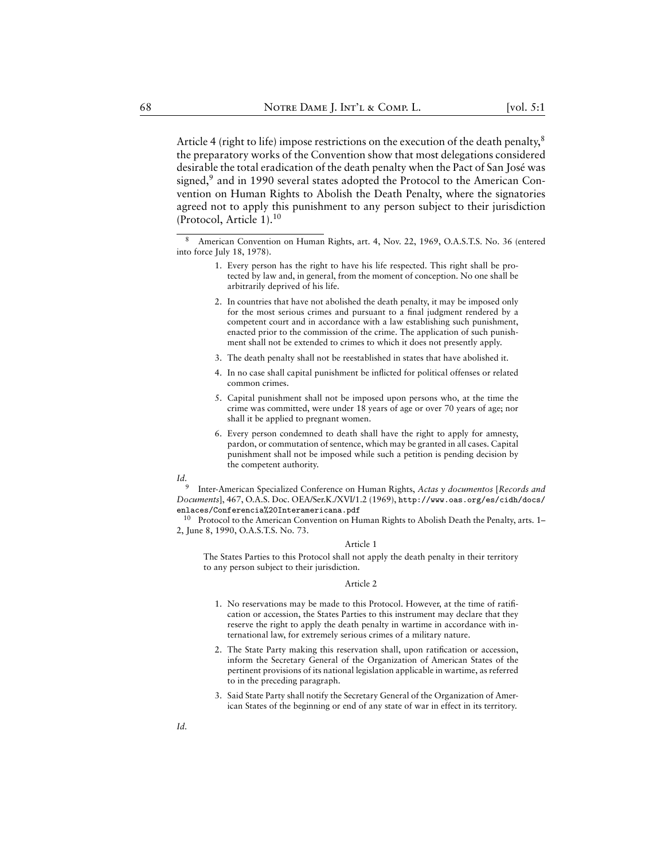Article 4 (right to life) impose restrictions on the execution of the death penalty,<sup>8</sup> the preparatory works of the Convention show that most delegations considered desirable the total eradication of the death penalty when the Pact of San José was signed,<sup>9</sup> and in 1990 several states adopted the Protocol to the American Convention on Human Rights to Abolish the Death Penalty, where the signatories agreed not to apply this punishment to any person subject to their jurisdiction (Protocol, Article 1).<sup>10</sup>

- 1. Every person has the right to have his life respected. This right shall be protected by law and, in general, from the moment of conception. No one shall be arbitrarily deprived of his life.
- 2. In countries that have not abolished the death penalty, it may be imposed only for the most serious crimes and pursuant to a final judgment rendered by a competent court and in accordance with a law establishing such punishment, enacted prior to the commission of the crime. The application of such punishment shall not be extended to crimes to which it does not presently apply.
- 3. The death penalty shall not be reestablished in states that have abolished it.
- 4. In no case shall capital punishment be inflicted for political offenses or related common crimes.
- 5. Capital punishment shall not be imposed upon persons who, at the time the crime was committed, were under 18 years of age or over 70 years of age; nor shall it be applied to pregnant women.
- 6. Every person condemned to death shall have the right to apply for amnesty, pardon, or commutation of sentence, which may be granted in all cases. Capital punishment shall not be imposed while such a petition is pending decision by the competent authority.

#### *Id.*

9 Inter-American Specialized Conference on Human Rights, *Actas y documentos* [*Records and Documents*], 467, O.A.S. Doc. OEA/Ser.K./XVI/1.2 (1969), [http://www.oas.org/es/cidh/docs/](http://www.oas.org/es/cidh/docs/enlaces/Conferencia%20Interamericana.pdf) [enlaces/Conferencia%20Interamericana.pdf](http://www.oas.org/es/cidh/docs/enlaces/Conferencia%20Interamericana.pdf)

<sup>10</sup> Protocol to the American Convention on Human Rights to Abolish Death the Penalty, arts. 1– 2, June 8, 1990, O.A.S.T.S. No. 73.

#### Article 1

The States Parties to this Protocol shall not apply the death penalty in their territory to any person subject to their jurisdiction.

#### Article 2

- 1. No reservations may be made to this Protocol. However, at the time of ratification or accession, the States Parties to this instrument may declare that they reserve the right to apply the death penalty in wartime in accordance with international law, for extremely serious crimes of a military nature.
- 2. The State Party making this reservation shall, upon ratification or accession, inform the Secretary General of the Organization of American States of the pertinent provisions of its national legislation applicable in wartime, as referred to in the preceding paragraph.
- 3. Said State Party shall notify the Secretary General of the Organization of American States of the beginning or end of any state of war in effect in its territory.

<sup>8</sup> American Convention on Human Rights, art. 4, Nov. 22, 1969, O.A.S.T.S. No. 36 (entered into force July 18, 1978).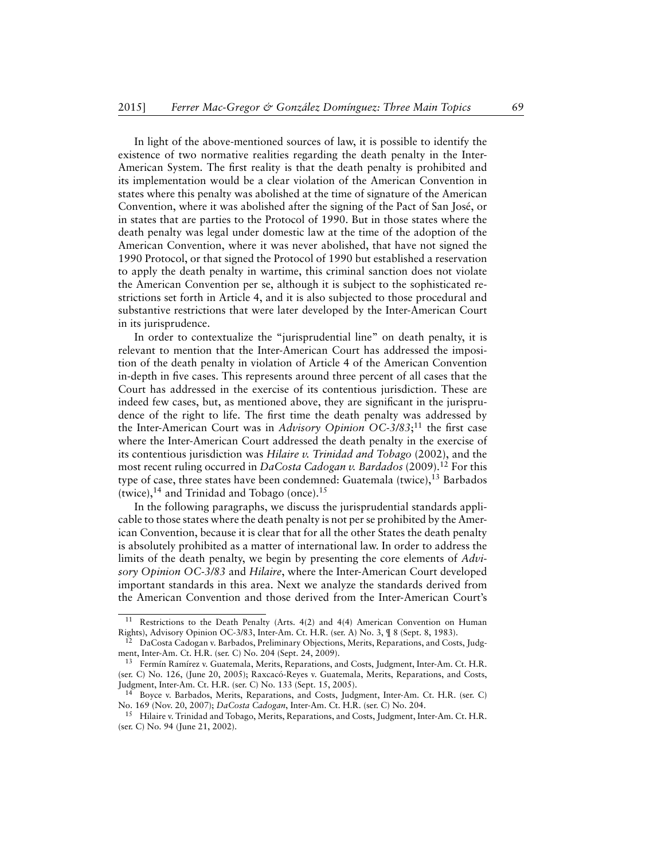In light of the above-mentioned sources of law, it is possible to identify the existence of two normative realities regarding the death penalty in the Inter-American System. The first reality is that the death penalty is prohibited and its implementation would be a clear violation of the American Convention in states where this penalty was abolished at the time of signature of the American Convention, where it was abolished after the signing of the Pact of San José, or in states that are parties to the Protocol of 1990. But in those states where the death penalty was legal under domestic law at the time of the adoption of the American Convention, where it was never abolished, that have not signed the 1990 Protocol, or that signed the Protocol of 1990 but established a reservation to apply the death penalty in wartime, this criminal sanction does not violate the American Convention per se, although it is subject to the sophisticated restrictions set forth in Article 4, and it is also subjected to those procedural and substantive restrictions that were later developed by the Inter-American Court in its jurisprudence.

In order to contextualize the "jurisprudential line" on death penalty, it is relevant to mention that the Inter-American Court has addressed the imposition of the death penalty in violation of Article 4 of the American Convention in-depth in five cases. This represents around three percent of all cases that the Court has addressed in the exercise of its contentious jurisdiction. These are indeed few cases, but, as mentioned above, they are significant in the jurisprudence of the right to life. The first time the death penalty was addressed by the Inter-American Court was in *Advisory Opinion OC-3/83*; <sup>11</sup> the first case where the Inter-American Court addressed the death penalty in the exercise of its contentious jurisdiction was *Hilaire v. Trinidad and Tobago* (2002), and the most recent ruling occurred in *DaCosta Cadogan v. Bardados* (2009).<sup>12</sup> For this type of case, three states have been condemned: Guatemala (twice), $13$  Barbados (twice), $^{14}$  and Trinidad and Tobago (once). $^{15}$ 

In the following paragraphs, we discuss the jurisprudential standards applicable to those states where the death penalty is not per se prohibited by the American Convention, because it is clear that for all the other States the death penalty is absolutely prohibited as a matter of international law. In order to address the limits of the death penalty, we begin by presenting the core elements of *Advisory Opinion OC-3/83* and *Hilaire*, where the Inter-American Court developed important standards in this area. Next we analyze the standards derived from the American Convention and those derived from the Inter-American Court's

Restrictions to the Death Penalty (Arts. 4(2) and 4(4) American Convention on Human Rights), Advisory Opinion OC-3/83, Inter-Am. Ct. H.R. (ser. A) No. 3, ¶ 8 (Sept. 8, 1983).

<sup>12</sup> DaCosta Cadogan v. Barbados, Preliminary Objections, Merits, Reparations, and Costs, Judgment, Inter-Am. Ct. H.R. (ser. C) No. 204 (Sept. 24, 2009).

<sup>&</sup>lt;sup>13</sup> Fermín Ramírez v. Guatemala, Merits, Reparations, and Costs, Judgment, Inter-Am. Ct. H.R. (ser. C) No. 126, (June 20, 2005); Raxcacó-Reyes v. Guatemala, Merits, Reparations, and Costs, Judgment, Inter-Am. Ct. H.R. (ser. C) No. 133 (Sept. 15, 2005).

<sup>14</sup> Boyce v. Barbados, Merits, Reparations, and Costs, Judgment, Inter-Am. Ct. H.R. (ser. C) No. 169 (Nov. 20, 2007); *DaCosta Cadogan*, Inter-Am. Ct. H.R. (ser. C) No. 204.

<sup>15</sup> Hilaire v. Trinidad and Tobago, Merits, Reparations, and Costs, Judgment, Inter-Am. Ct. H.R. (ser. C) No. 94 (June 21, 2002).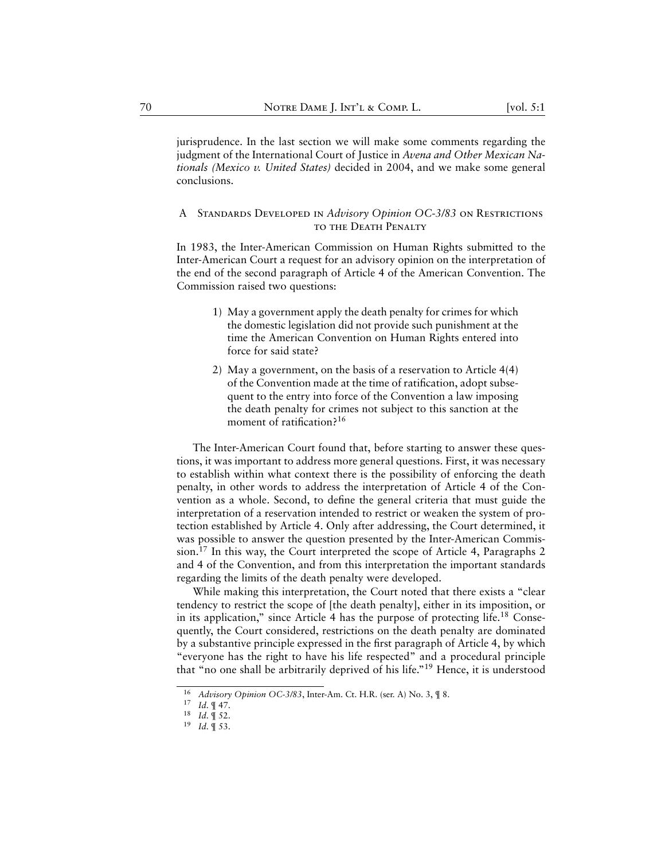jurisprudence. In the last section we will make some comments regarding the judgment of the International Court of Justice in *Avena and Other Mexican Nationals (Mexico v. United States)* decided in 2004, and we make some general conclusions.

# <span id="page-8-0"></span>A Standards Developed in *Advisory Opinion OC-3/83* on Restrictions to the Death Penalty

In 1983, the Inter-American Commission on Human Rights submitted to the Inter-American Court a request for an advisory opinion on the interpretation of the end of the second paragraph of Article 4 of the American Convention. The Commission raised two questions:

- 1) May a government apply the death penalty for crimes for which the domestic legislation did not provide such punishment at the time the American Convention on Human Rights entered into force for said state?
- 2) May a government, on the basis of a reservation to Article 4(4) of the Convention made at the time of ratification, adopt subsequent to the entry into force of the Convention a law imposing the death penalty for crimes not subject to this sanction at the moment of ratification?<sup>16</sup>

The Inter-American Court found that, before starting to answer these questions, it was important to address more general questions. First, it was necessary to establish within what context there is the possibility of enforcing the death penalty, in other words to address the interpretation of Article 4 of the Convention as a whole. Second, to define the general criteria that must guide the interpretation of a reservation intended to restrict or weaken the system of protection established by Article 4. Only after addressing, the Court determined, it was possible to answer the question presented by the Inter-American Commission.<sup>17</sup> In this way, the Court interpreted the scope of Article 4, Paragraphs 2 and 4 of the Convention, and from this interpretation the important standards regarding the limits of the death penalty were developed.

While making this interpretation, the Court noted that there exists a "clear tendency to restrict the scope of [the death penalty], either in its imposition, or in its application," since Article 4 has the purpose of protecting life.<sup>18</sup> Consequently, the Court considered, restrictions on the death penalty are dominated by a substantive principle expressed in the first paragraph of Article 4, by which "everyone has the right to have his life respected" and a procedural principle that "no one shall be arbitrarily deprived of his life."<sup>19</sup> Hence, it is understood

<sup>16</sup> *Advisory Opinion OC-3/83*, Inter-Am. Ct. H.R. (ser. A) No. 3, ¶ 8.

<sup>17</sup> *Id.* ¶ 47.

<sup>18</sup> *Id.* ¶ 52.

<sup>19</sup> *Id.* ¶ 53.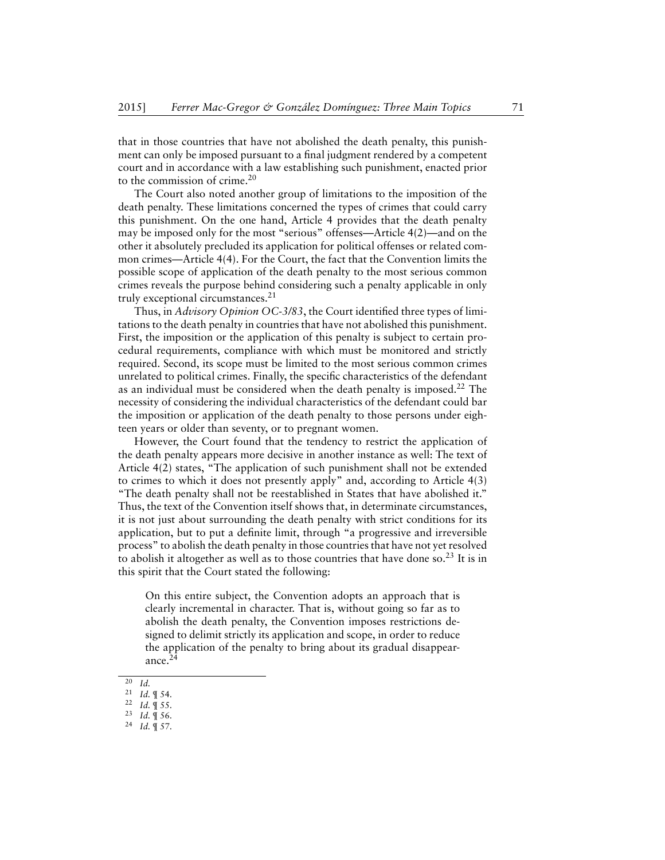that in those countries that have not abolished the death penalty, this punishment can only be imposed pursuant to a final judgment rendered by a competent court and in accordance with a law establishing such punishment, enacted prior to the commission of crime.<sup>20</sup>

The Court also noted another group of limitations to the imposition of the death penalty. These limitations concerned the types of crimes that could carry this punishment. On the one hand, Article 4 provides that the death penalty may be imposed only for the most "serious" offenses—Article 4(2)—and on the other it absolutely precluded its application for political offenses or related common crimes—Article 4(4). For the Court, the fact that the Convention limits the possible scope of application of the death penalty to the most serious common crimes reveals the purpose behind considering such a penalty applicable in only truly exceptional circumstances.<sup>21</sup>

Thus, in *Advisory Opinion OC-3/83*, the Court identified three types of limitations to the death penalty in countries that have not abolished this punishment. First, the imposition or the application of this penalty is subject to certain procedural requirements, compliance with which must be monitored and strictly required. Second, its scope must be limited to the most serious common crimes unrelated to political crimes. Finally, the specific characteristics of the defendant as an individual must be considered when the death penalty is imposed.<sup>22</sup> The necessity of considering the individual characteristics of the defendant could bar the imposition or application of the death penalty to those persons under eighteen years or older than seventy, or to pregnant women.

However, the Court found that the tendency to restrict the application of the death penalty appears more decisive in another instance as well: The text of Article 4(2) states, "The application of such punishment shall not be extended to crimes to which it does not presently apply" and, according to Article 4(3) "The death penalty shall not be reestablished in States that have abolished it." Thus, the text of the Convention itself shows that, in determinate circumstances, it is not just about surrounding the death penalty with strict conditions for its application, but to put a definite limit, through "a progressive and irreversible process" to abolish the death penalty in those countries that have not yet resolved to abolish it altogether as well as to those countries that have done so.<sup>23</sup> It is in this spirit that the Court stated the following:

On this entire subject, the Convention adopts an approach that is clearly incremental in character. That is, without going so far as to abolish the death penalty, the Convention imposes restrictions designed to delimit strictly its application and scope, in order to reduce the application of the penalty to bring about its gradual disappearance.<sup>24</sup>

 $\overline{20}$  *Id.* 

<sup>21</sup> *Id.* ¶ 54.

<sup>22</sup> *Id.* ¶ 55.

<sup>23</sup> *Id.* ¶ 56.

<sup>24</sup> *Id.* ¶ 57.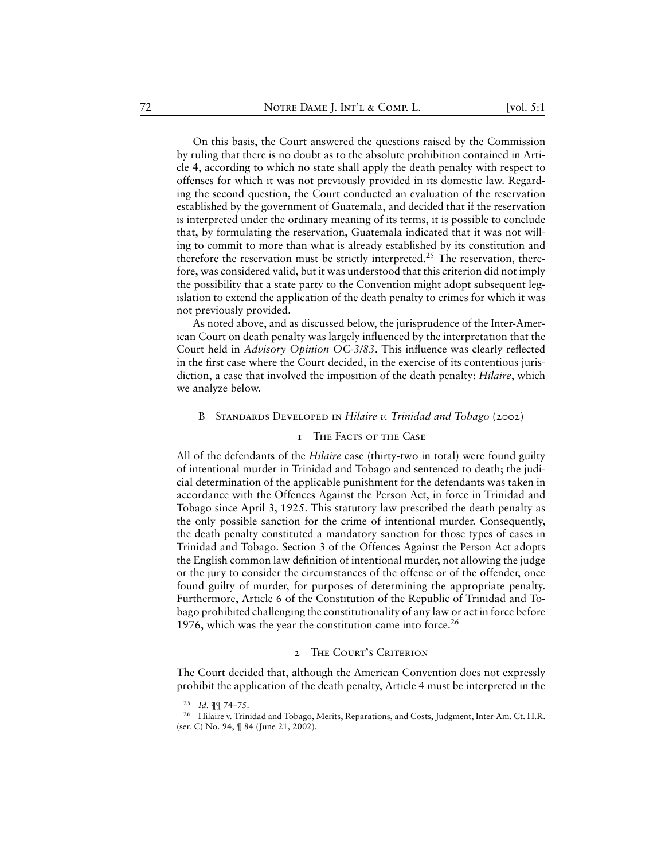On this basis, the Court answered the questions raised by the Commission by ruling that there is no doubt as to the absolute prohibition contained in Article 4, according to which no state shall apply the death penalty with respect to offenses for which it was not previously provided in its domestic law. Regarding the second question, the Court conducted an evaluation of the reservation established by the government of Guatemala, and decided that if the reservation is interpreted under the ordinary meaning of its terms, it is possible to conclude that, by formulating the reservation, Guatemala indicated that it was not willing to commit to more than what is already established by its constitution and therefore the reservation must be strictly interpreted.<sup>25</sup> The reservation, therefore, was considered valid, but it was understood that this criterion did not imply the possibility that a state party to the Convention might adopt subsequent legislation to extend the application of the death penalty to crimes for which it was not previously provided.

As noted above, and as discussed below, the jurisprudence of the Inter-American Court on death penalty was largely influenced by the interpretation that the Court held in *Advisory Opinion OC-3/83*. This influence was clearly reflected in the first case where the Court decided, in the exercise of its contentious jurisdiction, a case that involved the imposition of the death penalty: *Hilaire*, which we analyze below.

#### <span id="page-10-0"></span>B Standards Developed in *Hilaire v. Trinidad and Tobago* (2002)

# 1 The Facts of the Case

<span id="page-10-1"></span>All of the defendants of the *Hilaire* case (thirty-two in total) were found guilty of intentional murder in Trinidad and Tobago and sentenced to death; the judicial determination of the applicable punishment for the defendants was taken in accordance with the Offences Against the Person Act, in force in Trinidad and Tobago since April 3, 1925. This statutory law prescribed the death penalty as the only possible sanction for the crime of intentional murder. Consequently, the death penalty constituted a mandatory sanction for those types of cases in Trinidad and Tobago. Section 3 of the Offences Against the Person Act adopts the English common law definition of intentional murder, not allowing the judge or the jury to consider the circumstances of the offense or of the offender, once found guilty of murder, for purposes of determining the appropriate penalty. Furthermore, Article 6 of the Constitution of the Republic of Trinidad and Tobago prohibited challenging the constitutionality of any law or act in force before 1976, which was the year the constitution came into force.<sup>26</sup>

#### 2 The Court's Criterion

<span id="page-10-2"></span>The Court decided that, although the American Convention does not expressly prohibit the application of the death penalty, Article 4 must be interpreted in the

 $\overline{25}$  *Id.* ¶¶ 74–75.

<sup>&</sup>lt;sup>26</sup> Hilaire v. Trinidad and Tobago, Merits, Reparations, and Costs, Judgment, Inter-Am. Ct. H.R. (ser. C) No. 94, ¶ 84 (June 21, 2002).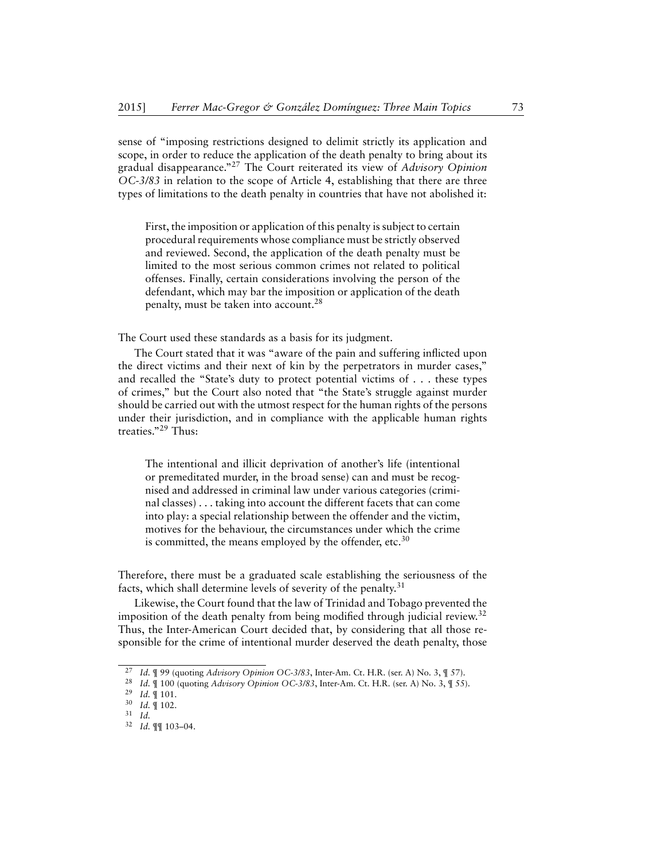sense of "imposing restrictions designed to delimit strictly its application and scope, in order to reduce the application of the death penalty to bring about its gradual disappearance."<sup>27</sup> The Court reiterated its view of *Advisory Opinion OC-3/83* in relation to the scope of Article 4, establishing that there are three types of limitations to the death penalty in countries that have not abolished it:

First, the imposition or application of this penalty is subject to certain procedural requirements whose compliance must be strictly observed and reviewed. Second, the application of the death penalty must be limited to the most serious common crimes not related to political offenses. Finally, certain considerations involving the person of the defendant, which may bar the imposition or application of the death penalty, must be taken into account.<sup>28</sup>

The Court used these standards as a basis for its judgment.

The Court stated that it was "aware of the pain and suffering inflicted upon the direct victims and their next of kin by the perpetrators in murder cases," and recalled the "State's duty to protect potential victims of . . . these types of crimes," but the Court also noted that "the State's struggle against murder should be carried out with the utmost respect for the human rights of the persons under their jurisdiction, and in compliance with the applicable human rights treaties."<sup>29</sup> Thus:

The intentional and illicit deprivation of another's life (intentional or premeditated murder, in the broad sense) can and must be recognised and addressed in criminal law under various categories (criminal classes) . . . taking into account the different facets that can come into play: a special relationship between the offender and the victim, motives for the behaviour, the circumstances under which the crime is committed, the means employed by the offender, etc.<sup>30</sup>

Therefore, there must be a graduated scale establishing the seriousness of the facts, which shall determine levels of severity of the penalty.<sup>31</sup>

Likewise, the Court found that the law of Trinidad and Tobago prevented the imposition of the death penalty from being modified through judicial review.<sup>32</sup> Thus, the Inter-American Court decided that, by considering that all those responsible for the crime of intentional murder deserved the death penalty, those

<sup>27</sup> *Id.* ¶ 99 (quoting *Advisory Opinion OC-3/83*, Inter-Am. Ct. H.R. (ser. A) No. 3, ¶ 57).

<sup>28</sup> *Id.* ¶ 100 (quoting *Advisory Opinion OC-3/83*, Inter-Am. Ct. H.R. (ser. A) No. 3, ¶ 55).

<sup>29</sup> *Id.* ¶ 101.

<sup>30</sup> *Id.* ¶ 102.

<sup>31</sup> *Id.*

<sup>32</sup> *Id.* ¶¶ 103–04.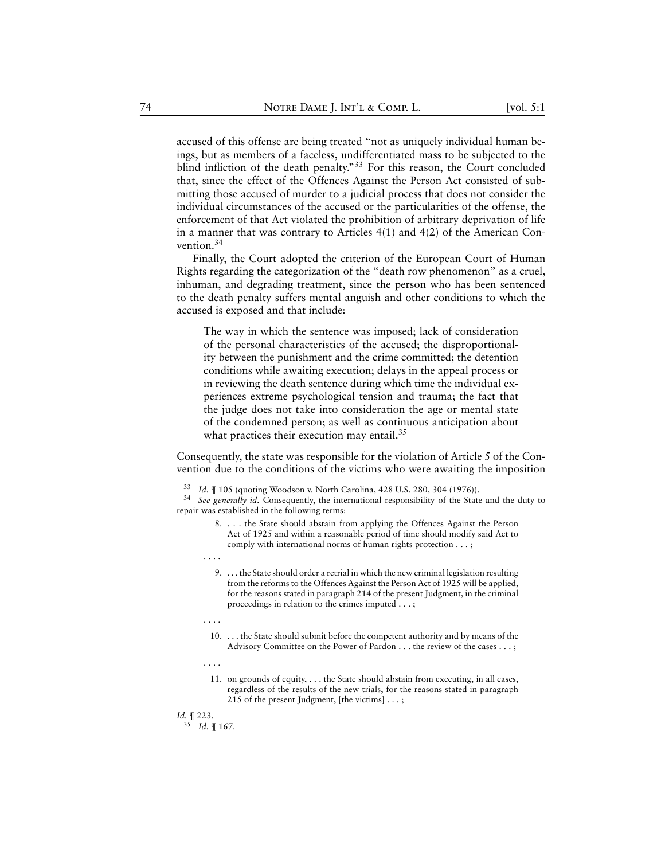accused of this offense are being treated "not as uniquely individual human beings, but as members of a faceless, undifferentiated mass to be subjected to the blind infliction of the death penalty."<sup>33</sup> For this reason, the Court concluded that, since the effect of the Offences Against the Person Act consisted of submitting those accused of murder to a judicial process that does not consider the individual circumstances of the accused or the particularities of the offense, the enforcement of that Act violated the prohibition of arbitrary deprivation of life in a manner that was contrary to Articles 4(1) and 4(2) of the American Convention.<sup>34</sup>

Finally, the Court adopted the criterion of the European Court of Human Rights regarding the categorization of the "death row phenomenon" as a cruel, inhuman, and degrading treatment, since the person who has been sentenced to the death penalty suffers mental anguish and other conditions to which the accused is exposed and that include:

The way in which the sentence was imposed; lack of consideration of the personal characteristics of the accused; the disproportionality between the punishment and the crime committed; the detention conditions while awaiting execution; delays in the appeal process or in reviewing the death sentence during which time the individual experiences extreme psychological tension and trauma; the fact that the judge does not take into consideration the age or mental state of the condemned person; as well as continuous anticipation about what practices their execution may entail. $35$ 

Consequently, the state was responsible for the violation of Article 5 of the Convention due to the conditions of the victims who were awaiting the imposition

. . . .

9. . . . the State should order a retrial in which the new criminal legislation resulting from the reforms to the Offences Against the Person Act of 1925 will be applied, for the reasons stated in paragraph 214 of the present Judgment, in the criminal proceedings in relation to the crimes imputed . . . ;

. . . .

10. . . . the State should submit before the competent authority and by means of the Advisory Committee on the Power of Pardon . . . the review of the cases . . . ;

. . . .

11. on grounds of equity, . . . the State should abstain from executing, in all cases, regardless of the results of the new trials, for the reasons stated in paragraph 215 of the present Judgment, [the victims] . . . ;

*Id.* ¶ 223.

<sup>35</sup> *Id.* ¶ 167.

<sup>33</sup> *Id.* ¶ 105 (quoting Woodson v. North Carolina, 428 U.S. 280, 304 (1976)).

See generally id. Consequently, the international responsibility of the State and the duty to repair was established in the following terms:

<sup>8.</sup> . . . the State should abstain from applying the Offences Against the Person Act of 1925 and within a reasonable period of time should modify said Act to comply with international norms of human rights protection . . . ;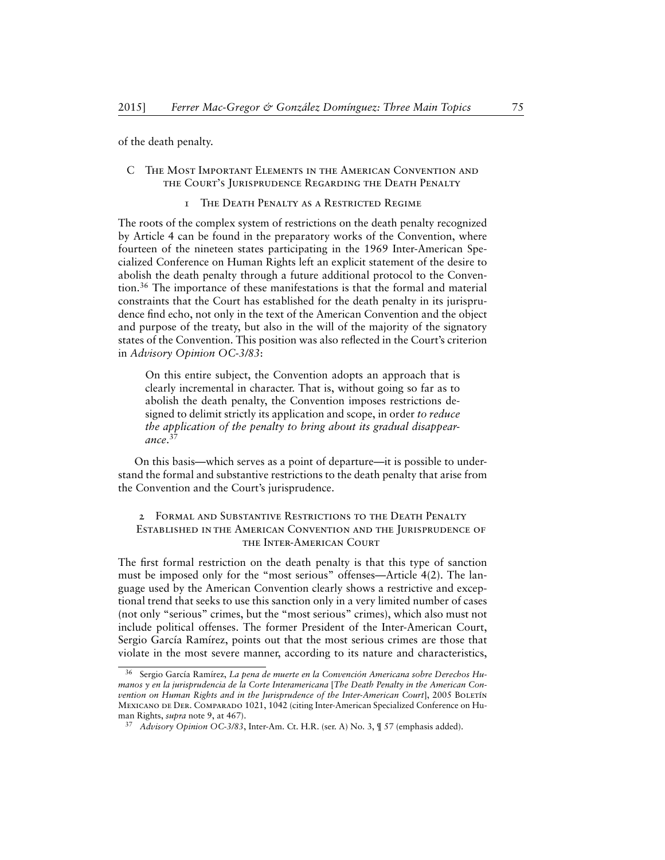of the death penalty.

# <span id="page-13-0"></span>C The Most Important Elements in the American Convention and the Court's Jurisprudence Regarding the Death Penalty

#### 1 The Death Penalty as a Restricted Regime

<span id="page-13-1"></span>The roots of the complex system of restrictions on the death penalty recognized by Article 4 can be found in the preparatory works of the Convention, where fourteen of the nineteen states participating in the 1969 Inter-American Specialized Conference on Human Rights left an explicit statement of the desire to abolish the death penalty through a future additional protocol to the Convention.<sup>36</sup> The importance of these manifestations is that the formal and material constraints that the Court has established for the death penalty in its jurisprudence find echo, not only in the text of the American Convention and the object and purpose of the treaty, but also in the will of the majority of the signatory states of the Convention. This position was also reflected in the Court's criterion in *Advisory Opinion OC-3/83*:

On this entire subject, the Convention adopts an approach that is clearly incremental in character. That is, without going so far as to abolish the death penalty, the Convention imposes restrictions designed to delimit strictly its application and scope, in order *to reduce the application of the penalty to bring about its gradual disappearance*. 37

On this basis—which serves as a point of departure—it is possible to understand the formal and substantive restrictions to the death penalty that arise from the Convention and the Court's jurisprudence.

# <span id="page-13-2"></span>2 Formal and Substantive Restrictions to the Death Penalty Established in the American Convention and the Jurisprudence of the Inter-American Court

The first formal restriction on the death penalty is that this type of sanction must be imposed only for the "most serious" offenses—Article 4(2). The language used by the American Convention clearly shows a restrictive and exceptional trend that seeks to use this sanction only in a very limited number of cases (not only "serious" crimes, but the "most serious" crimes), which also must not include political offenses. The former President of the Inter-American Court, Sergio García Ramírez, points out that the most serious crimes are those that violate in the most severe manner, according to its nature and characteristics,

<sup>36</sup> Sergio García Ramírez, *La pena de muerte en la Convención Americana sobre Derechos Humanos y en la jurisprudencia de la Corte Interamericana* [*The Death Penalty in the American Convention on Human Rights and in the Jurisprudence of the Inter-American Court*], 2005 BOLETÍN Mexicano de Der. Comparado 1021, 1042 (citing Inter-American Specialized Conference on Human Rights, *supra* note 9, at 467).

<sup>37</sup> *Advisory Opinion OC-3/83*, Inter-Am. Ct. H.R. (ser. A) No. 3, ¶ 57 (emphasis added).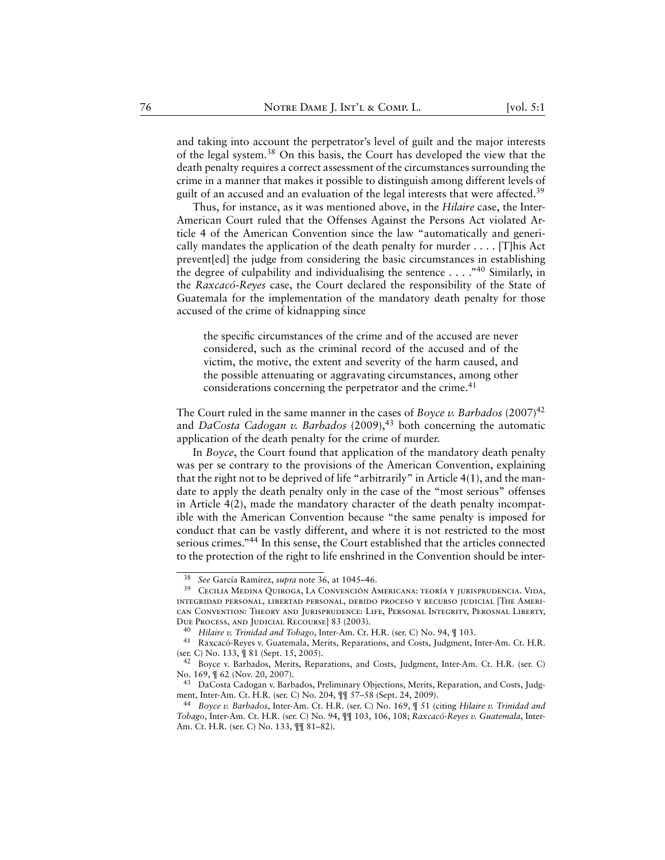and taking into account the perpetrator's level of guilt and the major interests of the legal system.<sup>38</sup> On this basis, the Court has developed the view that the death penalty requires a correct assessment of the circumstances surrounding the crime in a manner that makes it possible to distinguish among different levels of guilt of an accused and an evaluation of the legal interests that were affected.<sup>39</sup>

Thus, for instance, as it was mentioned above, in the *Hilaire* case, the Inter-American Court ruled that the Offenses Against the Persons Act violated Article 4 of the American Convention since the law "automatically and generically mandates the application of the death penalty for murder  $\dots$ . [T]his Act prevent[ed] the judge from considering the basic circumstances in establishing the degree of culpability and individualising the sentence . . . ."<sup>40</sup> Similarly, in the *Raxcacó-Reyes* case, the Court declared the responsibility of the State of Guatemala for the implementation of the mandatory death penalty for those accused of the crime of kidnapping since

the specific circumstances of the crime and of the accused are never considered, such as the criminal record of the accused and of the victim, the motive, the extent and severity of the harm caused, and the possible attenuating or aggravating circumstances, among other considerations concerning the perpetrator and the crime.<sup>41</sup>

The Court ruled in the same manner in the cases of *Boyce v. Barbados* (2007)<sup>42</sup> and *DaCosta Cadogan v. Barbados* (2009),<sup>43</sup> both concerning the automatic application of the death penalty for the crime of murder.

In *Boyce*, the Court found that application of the mandatory death penalty was per se contrary to the provisions of the American Convention, explaining that the right not to be deprived of life "arbitrarily" in Article 4(1), and the mandate to apply the death penalty only in the case of the "most serious" offenses in Article 4(2), made the mandatory character of the death penalty incompatible with the American Convention because "the same penalty is imposed for conduct that can be vastly different, and where it is not restricted to the most serious crimes."<sup>44</sup> In this sense, the Court established that the articles connected to the protection of the right to life enshrined in the Convention should be inter-

<sup>38</sup> *See* García Ramírez, *supra* note 36, at 1045–46.

<sup>39</sup> Cecilia Medina Quiroga, La Convención Americana: teoría y jurisprudencia. Vida, integridad personal, libertad personal, debido proceso y recurso judicial [The American Convention: Theory and Jurisprudence: Life, Personal Integrity, Perosnal Liberty, Due Process, and Judicial Recourse] 83 (2003).

<sup>40</sup> *Hilaire v. Trinidad and Tobago*, Inter-Am. Ct. H.R. (ser. C) No. 94, ¶ 103.

<sup>41</sup> Raxcacó-Reyes v. Guatemala, Merits, Reparations, and Costs, Judgment, Inter-Am. Ct. H.R. (ser. C) No. 133, ¶ 81 (Sept. 15, 2005).

<sup>42</sup> Boyce v. Barbados, Merits, Reparations, and Costs, Judgment, Inter-Am. Ct. H.R. (ser. C) No. 169, ¶ 62 (Nov. 20, 2007).

<sup>43</sup> DaCosta Cadogan v. Barbados, Preliminary Objections, Merits, Reparation, and Costs, Judgment, Inter-Am. Ct. H.R. (ser. C) No. 204, ¶¶ 57–58 (Sept. 24, 2009).

<sup>44</sup> *Boyce v. Barbados*, Inter-Am. Ct. H.R. (ser. C) No. 169, ¶ 51 (citing *Hilaire v. Trinidad and Tobago*, Inter-Am. Ct. H.R. (ser. C) No. 94, ¶¶ 103, 106, 108; *Raxcacó-Reyes v. Guatemala*, Inter-Am. Ct. H.R. (ser. C) No. 133, ¶¶ 81–82).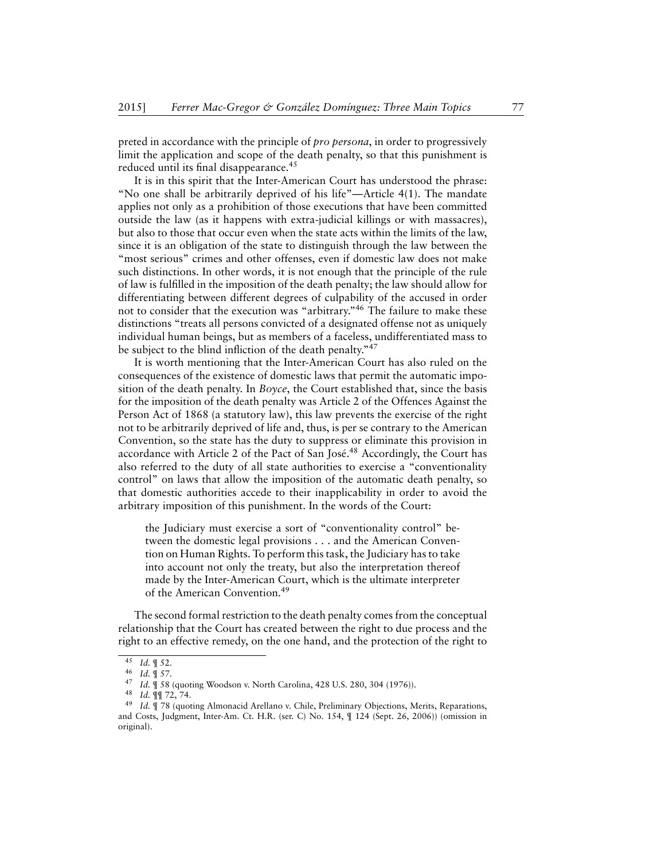preted in accordance with the principle of *pro persona*, in order to progressively limit the application and scope of the death penalty, so that this punishment is reduced until its final disappearance.<sup>45</sup>

It is in this spirit that the Inter-American Court has understood the phrase: "No one shall be arbitrarily deprived of his life"—Article 4(1). The mandate applies not only as a prohibition of those executions that have been committed outside the law (as it happens with extra-judicial killings or with massacres), but also to those that occur even when the state acts within the limits of the law, since it is an obligation of the state to distinguish through the law between the "most serious" crimes and other offenses, even if domestic law does not make such distinctions. In other words, it is not enough that the principle of the rule of law is fulfilled in the imposition of the death penalty; the law should allow for differentiating between different degrees of culpability of the accused in order not to consider that the execution was "arbitrary."<sup>46</sup> The failure to make these distinctions "treats all persons convicted of a designated offense not as uniquely individual human beings, but as members of a faceless, undifferentiated mass to be subject to the blind infliction of the death penalty."<sup>47</sup>

It is worth mentioning that the Inter-American Court has also ruled on the consequences of the existence of domestic laws that permit the automatic imposition of the death penalty. In *Boyce*, the Court established that, since the basis for the imposition of the death penalty was Article 2 of the Offences Against the Person Act of 1868 (a statutory law), this law prevents the exercise of the right not to be arbitrarily deprived of life and, thus, is per se contrary to the American Convention, so the state has the duty to suppress or eliminate this provision in accordance with Article 2 of the Pact of San José.<sup>48</sup> Accordingly, the Court has also referred to the duty of all state authorities to exercise a "conventionality control" on laws that allow the imposition of the automatic death penalty, so that domestic authorities accede to their inapplicability in order to avoid the arbitrary imposition of this punishment. In the words of the Court:

the Judiciary must exercise a sort of "conventionality control" between the domestic legal provisions . . . and the American Convention on Human Rights. To perform this task, the Judiciary has to take into account not only the treaty, but also the interpretation thereof made by the Inter-American Court, which is the ultimate interpreter of the American Convention.<sup>49</sup>

The second formal restriction to the death penalty comes from the conceptual relationship that the Court has created between the right to due process and the right to an effective remedy, on the one hand, and the protection of the right to

<sup>45</sup> *Id.* ¶ 52.

 $\frac{46}{47}$  *Id.*  $\frac{9}{47}$  *Id*  $\frac{9}{45}$  *S*<sub>2</sub>.

Id. ¶ 58 (quoting Woodson v. North Carolina, 428 U.S. 280, 304 (1976)).

<sup>48</sup> *Id.* ¶¶ 72, 74.

Id. ¶ 78 (quoting Almonacid Arellano v. Chile, Preliminary Objections, Merits, Reparations, and Costs, Judgment, Inter-Am. Ct. H.R. (ser. C) No. 154, ¶ 124 (Sept. 26, 2006)) (omission in original).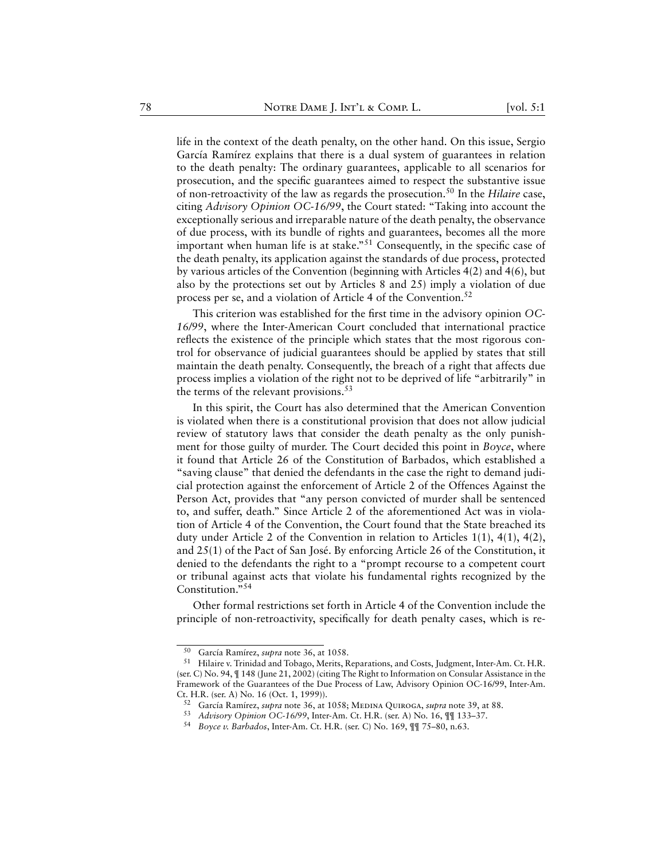life in the context of the death penalty, on the other hand. On this issue, Sergio García Ramírez explains that there is a dual system of guarantees in relation to the death penalty: The ordinary guarantees, applicable to all scenarios for prosecution, and the specific guarantees aimed to respect the substantive issue of non-retroactivity of the law as regards the prosecution.<sup>50</sup> In the *Hilaire* case, citing *Advisory Opinion OC-16/99*, the Court stated: "Taking into account the exceptionally serious and irreparable nature of the death penalty, the observance of due process, with its bundle of rights and guarantees, becomes all the more important when human life is at stake."<sup>51</sup> Consequently, in the specific case of the death penalty, its application against the standards of due process, protected by various articles of the Convention (beginning with Articles 4(2) and 4(6), but also by the protections set out by Articles 8 and 25) imply a violation of due process per se, and a violation of Article 4 of the Convention.<sup>52</sup>

This criterion was established for the first time in the advisory opinion *OC-16/99*, where the Inter-American Court concluded that international practice reflects the existence of the principle which states that the most rigorous control for observance of judicial guarantees should be applied by states that still maintain the death penalty. Consequently, the breach of a right that affects due process implies a violation of the right not to be deprived of life "arbitrarily" in the terms of the relevant provisions. $53$ 

In this spirit, the Court has also determined that the American Convention is violated when there is a constitutional provision that does not allow judicial review of statutory laws that consider the death penalty as the only punishment for those guilty of murder. The Court decided this point in *Boyce*, where it found that Article 26 of the Constitution of Barbados, which established a "saving clause" that denied the defendants in the case the right to demand judicial protection against the enforcement of Article 2 of the Offences Against the Person Act, provides that "any person convicted of murder shall be sentenced to, and suffer, death." Since Article 2 of the aforementioned Act was in violation of Article 4 of the Convention, the Court found that the State breached its duty under Article 2 of the Convention in relation to Articles 1(1), 4(1), 4(2), and 25(1) of the Pact of San José. By enforcing Article 26 of the Constitution, it denied to the defendants the right to a "prompt recourse to a competent court or tribunal against acts that violate his fundamental rights recognized by the Constitution."<sup>54</sup>

Other formal restrictions set forth in Article 4 of the Convention include the principle of non-retroactivity, specifically for death penalty cases, which is re-

<sup>50</sup> García Ramírez, *supra* note 36, at 1058.

<sup>51</sup> Hilaire v. Trinidad and Tobago, Merits, Reparations, and Costs, Judgment, Inter-Am. Ct. H.R. (ser. C) No. 94, ¶ 148 (June 21, 2002) (citing The Right to Information on Consular Assistance in the Framework of the Guarantees of the Due Process of Law, Advisory Opinion OC-16/99, Inter-Am. Ct. H.R. (ser. A) No. 16 (Oct. 1, 1999)).

<sup>&</sup>lt;sup>52</sup> García Ramírez, *supra* note 36, at 1058; MEDINA QUIROGA, *supra* note 39, at 88.

<sup>53</sup> *Advisory Opinion OC-16/99*, Inter-Am. Ct. H.R. (ser. A) No. 16, ¶¶ 133–37.

<sup>54</sup> *Boyce v. Barbados*, Inter-Am. Ct. H.R. (ser. C) No. 169, ¶¶ 75–80, n.63.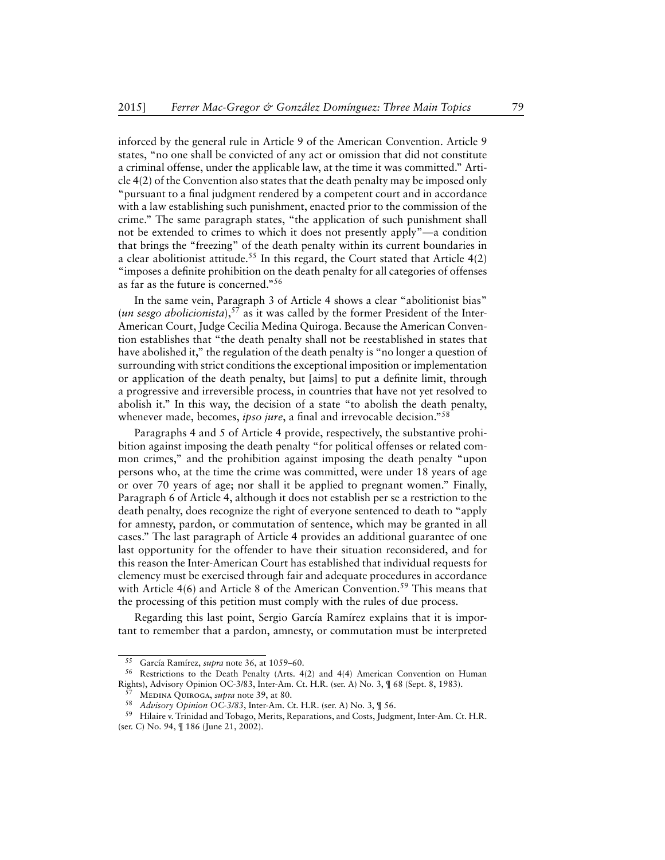inforced by the general rule in Article 9 of the American Convention. Article 9 states, "no one shall be convicted of any act or omission that did not constitute a criminal offense, under the applicable law, at the time it was committed." Article 4(2) of the Convention also states that the death penalty may be imposed only "pursuant to a final judgment rendered by a competent court and in accordance with a law establishing such punishment, enacted prior to the commission of the crime." The same paragraph states, "the application of such punishment shall not be extended to crimes to which it does not presently apply"—a condition that brings the "freezing" of the death penalty within its current boundaries in a clear abolitionist attitude.<sup>55</sup> In this regard, the Court stated that Article  $4(2)$ "imposes a definite prohibition on the death penalty for all categories of offenses as far as the future is concerned."<sup>56</sup>

In the same vein, Paragraph 3 of Article 4 shows a clear "abolitionist bias" (*un sesgo abolicionista*),<sup>57</sup> as it was called by the former President of the Inter-American Court, Judge Cecilia Medina Quiroga. Because the American Convention establishes that "the death penalty shall not be reestablished in states that have abolished it," the regulation of the death penalty is "no longer a question of surrounding with strict conditions the exceptional imposition or implementation or application of the death penalty, but [aims] to put a definite limit, through a progressive and irreversible process, in countries that have not yet resolved to abolish it." In this way, the decision of a state "to abolish the death penalty, whenever made, becomes, *ipso jure*, a final and irrevocable decision."<sup>58</sup>

Paragraphs 4 and 5 of Article 4 provide, respectively, the substantive prohibition against imposing the death penalty "for political offenses or related common crimes," and the prohibition against imposing the death penalty "upon persons who, at the time the crime was committed, were under 18 years of age or over 70 years of age; nor shall it be applied to pregnant women." Finally, Paragraph 6 of Article 4, although it does not establish per se a restriction to the death penalty, does recognize the right of everyone sentenced to death to "apply for amnesty, pardon, or commutation of sentence, which may be granted in all cases." The last paragraph of Article 4 provides an additional guarantee of one last opportunity for the offender to have their situation reconsidered, and for this reason the Inter-American Court has established that individual requests for clemency must be exercised through fair and adequate procedures in accordance with Article  $4(6)$  and Article 8 of the American Convention.<sup>59</sup> This means that the processing of this petition must comply with the rules of due process.

Regarding this last point, Sergio García Ramírez explains that it is important to remember that a pardon, amnesty, or commutation must be interpreted

<sup>55</sup> García Ramírez, *supra* note 36, at 1059–60.

<sup>56</sup> Restrictions to the Death Penalty (Arts. 4(2) and 4(4) American Convention on Human Rights), Advisory Opinion OC-3/83, Inter-Am. Ct. H.R. (ser. A) No. 3, ¶ 68 (Sept. 8, 1983).

<sup>57</sup> Medina Quiroga, *supra* note 39, at 80.

<sup>58</sup> *Advisory Opinion OC-3/83*, Inter-Am. Ct. H.R. (ser. A) No. 3, ¶ 56.

<sup>59</sup> Hilaire v. Trinidad and Tobago, Merits, Reparations, and Costs, Judgment, Inter-Am. Ct. H.R. (ser. C) No. 94, ¶ 186 (June 21, 2002).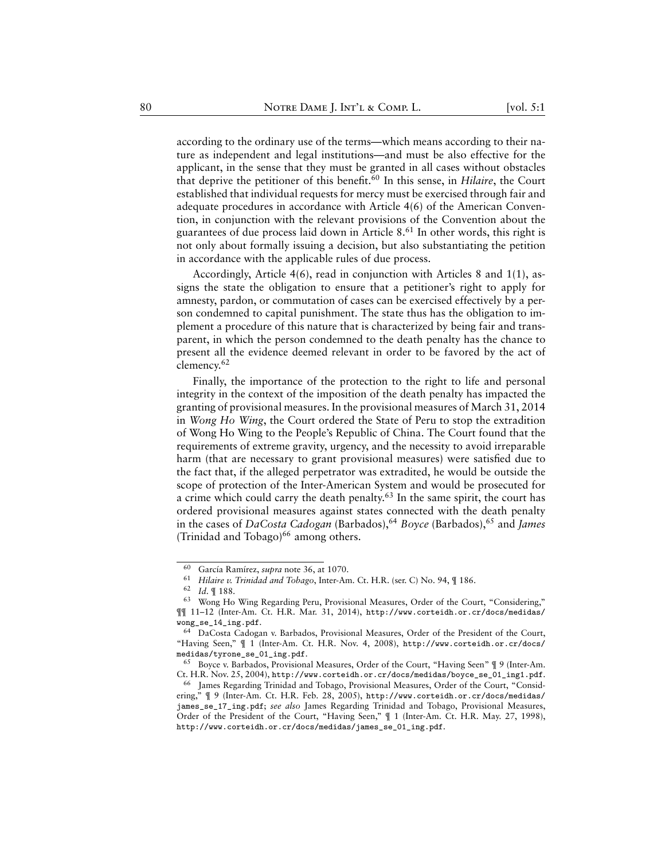according to the ordinary use of the terms—which means according to their nature as independent and legal institutions—and must be also effective for the applicant, in the sense that they must be granted in all cases without obstacles that deprive the petitioner of this benefit.<sup>60</sup> In this sense, in *Hilaire*, the Court established that individual requests for mercy must be exercised through fair and adequate procedures in accordance with Article 4(6) of the American Convention, in conjunction with the relevant provisions of the Convention about the guarantees of due process laid down in Article 8.<sup>61</sup> In other words, this right is not only about formally issuing a decision, but also substantiating the petition in accordance with the applicable rules of due process.

Accordingly, Article 4(6), read in conjunction with Articles 8 and 1(1), assigns the state the obligation to ensure that a petitioner's right to apply for amnesty, pardon, or commutation of cases can be exercised effectively by a person condemned to capital punishment. The state thus has the obligation to implement a procedure of this nature that is characterized by being fair and transparent, in which the person condemned to the death penalty has the chance to present all the evidence deemed relevant in order to be favored by the act of clemency.<sup>62</sup>

Finally, the importance of the protection to the right to life and personal integrity in the context of the imposition of the death penalty has impacted the granting of provisional measures. In the provisional measures of March 31, 2014 in *Wong Ho Wing*, the Court ordered the State of Peru to stop the extradition of Wong Ho Wing to the People's Republic of China. The Court found that the requirements of extreme gravity, urgency, and the necessity to avoid irreparable harm (that are necessary to grant provisional measures) were satisfied due to the fact that, if the alleged perpetrator was extradited, he would be outside the scope of protection of the Inter-American System and would be prosecuted for a crime which could carry the death penalty.<sup>63</sup> In the same spirit, the court has ordered provisional measures against states connected with the death penalty in the cases of *DaCosta Cadogan* (Barbados),<sup>64</sup> *Boyce* (Barbados),<sup>65</sup> and *James* (Trinidad and Tobago)<sup>66</sup> among others.

<sup>60</sup> García Ramírez, *supra* note 36, at 1070.

<sup>61</sup> *Hilaire v. Trinidad and Tobago*, Inter-Am. Ct. H.R. (ser. C) No. 94, ¶ 186.

<sup>62</sup> *Id.* ¶ 188.

<sup>63</sup> Wong Ho Wing Regarding Peru, Provisional Measures, Order of the Court, "Considering," ¶¶ 11–12 (Inter-Am. Ct. H.R. Mar. 31, 2014), [http://www.corteidh.or.cr/docs/medidas/](http://www.corteidh.or.cr/docs/medidas/wong_se_14_ing.pdf) [wong\\_se\\_14\\_ing.pdf](http://www.corteidh.or.cr/docs/medidas/wong_se_14_ing.pdf).

<sup>64</sup> DaCosta Cadogan v. Barbados, Provisional Measures, Order of the President of the Court, "Having Seen," ¶ 1 (Inter-Am. Ct. H.R. Nov. 4, 2008), [http://www.corteidh.or.cr/docs/](http://www.corteidh.or.cr/docs/medidas/tyrone_se_01_ing.pdf) [medidas/tyrone\\_se\\_01\\_ing.pdf](http://www.corteidh.or.cr/docs/medidas/tyrone_se_01_ing.pdf).

<sup>65</sup> Boyce v. Barbados, Provisional Measures, Order of the Court, "Having Seen" ¶ 9 (Inter-Am. Ct. H.R. Nov. 25, 2004), [http://www.corteidh.or.cr/docs/medidas/boyce\\_se\\_01\\_ing1.pdf](http://www.corteidh.or.cr/docs/medidas/boyce_se_01_ing1.pdf).

<sup>&</sup>lt;sup>66</sup> James Regarding Trinidad and Tobago, Provisional Measures, Order of the Court, "Considering," ¶ 9 (Inter-Am. Ct. H.R. Feb. 28, 2005), [http://www.corteidh.or.cr/docs/medidas/](http://www.corteidh.or.cr/docs/medidas/james_se_17_ing.pdf) [james\\_se\\_17\\_ing.pdf](http://www.corteidh.or.cr/docs/medidas/james_se_17_ing.pdf); *see also* James Regarding Trinidad and Tobago, Provisional Measures, Order of the President of the Court, "Having Seen," ¶ 1 (Inter-Am. Ct. H.R. May. 27, 1998), [http://www.corteidh.or.cr/docs/medidas/james\\_se\\_01\\_ing.pdf](http://www.corteidh.or.cr/docs/medidas/james_se_01_ing.pdf).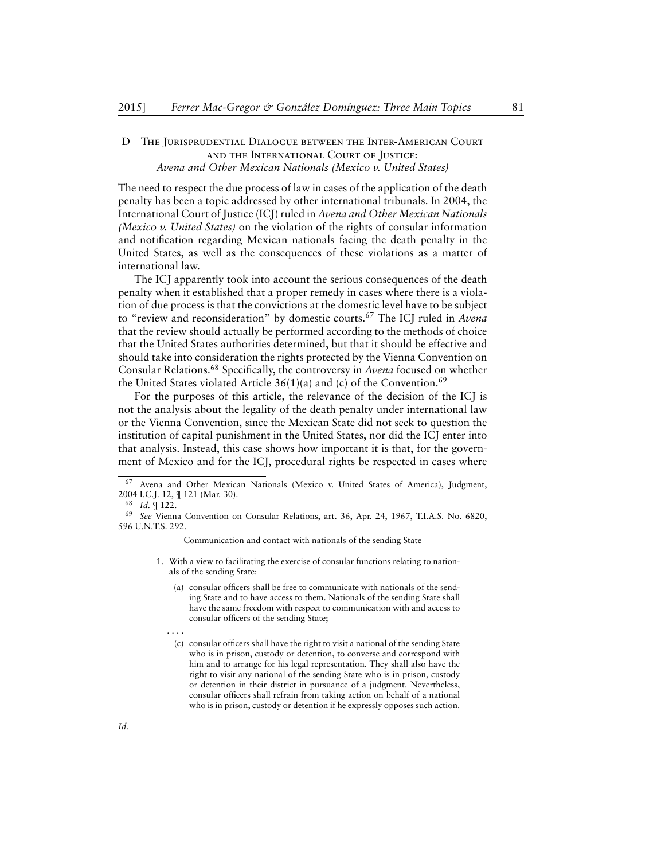# <span id="page-19-0"></span>D The Jurisprudential Dialogue between the Inter-American Court and the International Court of Justice: *Avena and Other Mexican Nationals (Mexico v. United States)*

The need to respect the due process of law in cases of the application of the death penalty has been a topic addressed by other international tribunals. In 2004, the International Court of Justice (ICJ) ruled in *Avena and Other Mexican Nationals (Mexico v. United States)* on the violation of the rights of consular information and notification regarding Mexican nationals facing the death penalty in the United States, as well as the consequences of these violations as a matter of international law.

The ICJ apparently took into account the serious consequences of the death penalty when it established that a proper remedy in cases where there is a violation of due process is that the convictions at the domestic level have to be subject to "review and reconsideration" by domestic courts.<sup>67</sup> The ICJ ruled in *Avena* that the review should actually be performed according to the methods of choice that the United States authorities determined, but that it should be effective and should take into consideration the rights protected by the Vienna Convention on Consular Relations.<sup>68</sup> Specifically, the controversy in *Avena* focused on whether the United States violated Article  $36(1)(a)$  and (c) of the Convention.<sup>69</sup>

For the purposes of this article, the relevance of the decision of the ICJ is not the analysis about the legality of the death penalty under international law or the Vienna Convention, since the Mexican State did not seek to question the institution of capital punishment in the United States, nor did the ICJ enter into that analysis. Instead, this case shows how important it is that, for the government of Mexico and for the ICJ, procedural rights be respected in cases where

Communication and contact with nationals of the sending State

- 1. With a view to facilitating the exercise of consular functions relating to nationals of the sending State:
	- (a) consular officers shall be free to communicate with nationals of the sending State and to have access to them. Nationals of the sending State shall have the same freedom with respect to communication with and access to consular officers of the sending State;
	- . . . .
	- (c) consular officers shall have the right to visit a national of the sending State who is in prison, custody or detention, to converse and correspond with him and to arrange for his legal representation. They shall also have the right to visit any national of the sending State who is in prison, custody or detention in their district in pursuance of a judgment. Nevertheless, consular officers shall refrain from taking action on behalf of a national who is in prison, custody or detention if he expressly opposes such action.

Avena and Other Mexican Nationals (Mexico v. United States of America), Judgment, 2004 I.C.J. 12, ¶ 121 (Mar. 30).

<sup>68</sup> *Id.* ¶ 122.

<sup>69</sup> *See* Vienna Convention on Consular Relations, art. 36, Apr. 24, 1967, T.I.A.S. No. 6820, 596 U.N.T.S. 292.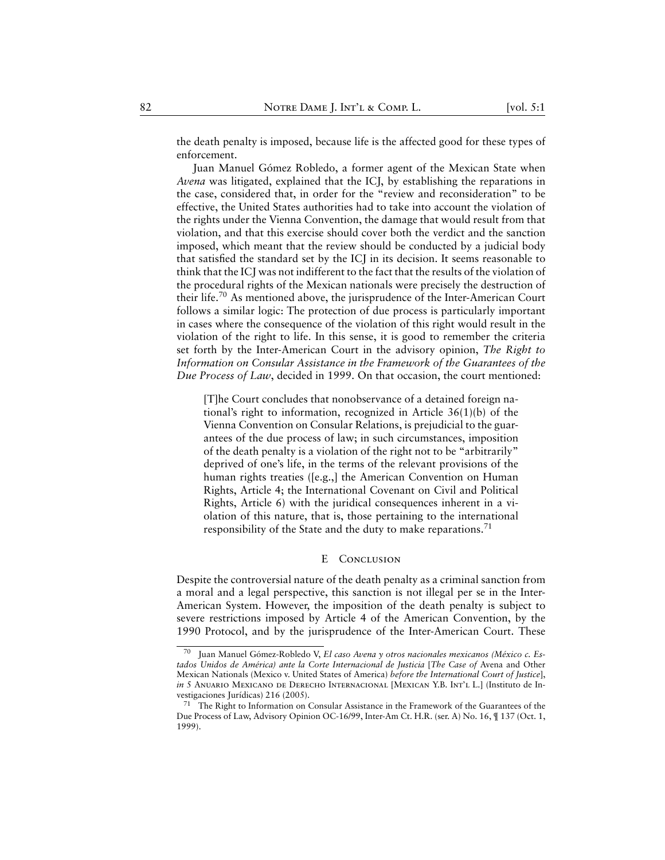the death penalty is imposed, because life is the affected good for these types of enforcement.

Juan Manuel Gómez Robledo, a former agent of the Mexican State when *Avena* was litigated, explained that the ICJ, by establishing the reparations in the case, considered that, in order for the "review and reconsideration" to be effective, the United States authorities had to take into account the violation of the rights under the Vienna Convention, the damage that would result from that violation, and that this exercise should cover both the verdict and the sanction imposed, which meant that the review should be conducted by a judicial body that satisfied the standard set by the ICJ in its decision. It seems reasonable to think that the ICJ was not indifferent to the fact that the results of the violation of the procedural rights of the Mexican nationals were precisely the destruction of their life.<sup>70</sup> As mentioned above, the jurisprudence of the Inter-American Court follows a similar logic: The protection of due process is particularly important in cases where the consequence of the violation of this right would result in the violation of the right to life. In this sense, it is good to remember the criteria set forth by the Inter-American Court in the advisory opinion, *The Right to Information on Consular Assistance in the Framework of the Guarantees of the Due Process of Law*, decided in 1999. On that occasion, the court mentioned:

[T]he Court concludes that nonobservance of a detained foreign national's right to information, recognized in Article 36(1)(b) of the Vienna Convention on Consular Relations, is prejudicial to the guarantees of the due process of law; in such circumstances, imposition of the death penalty is a violation of the right not to be "arbitrarily" deprived of one's life, in the terms of the relevant provisions of the human rights treaties ([e.g.,] the American Convention on Human Rights, Article 4; the International Covenant on Civil and Political Rights, Article 6) with the juridical consequences inherent in a violation of this nature, that is, those pertaining to the international responsibility of the State and the duty to make reparations.<sup>71</sup>

#### E CONCLUSION

<span id="page-20-0"></span>Despite the controversial nature of the death penalty as a criminal sanction from a moral and a legal perspective, this sanction is not illegal per se in the Inter-American System. However, the imposition of the death penalty is subject to severe restrictions imposed by Article 4 of the American Convention, by the 1990 Protocol, and by the jurisprudence of the Inter-American Court. These

<sup>70</sup> Juan Manuel Gómez-Robledo V, *El caso Avena y otros nacionales mexicanos (México c. Estados Unidos de América) ante la Corte Internacional de Justicia* [*The Case of* Avena and Other Mexican Nationals (Mexico v. United States of America) *before the International Court of Justice*], *in* 5 Anuario Mexicano de Derecho Internacional [Mexican Y.B. Int'l L.] (Instituto de Investigaciones Jurídicas) 216 (2005).

The Right to Information on Consular Assistance in the Framework of the Guarantees of the Due Process of Law, Advisory Opinion OC-16/99, Inter-Am Ct. H.R. (ser. A) No. 16, ¶ 137 (Oct. 1, 1999).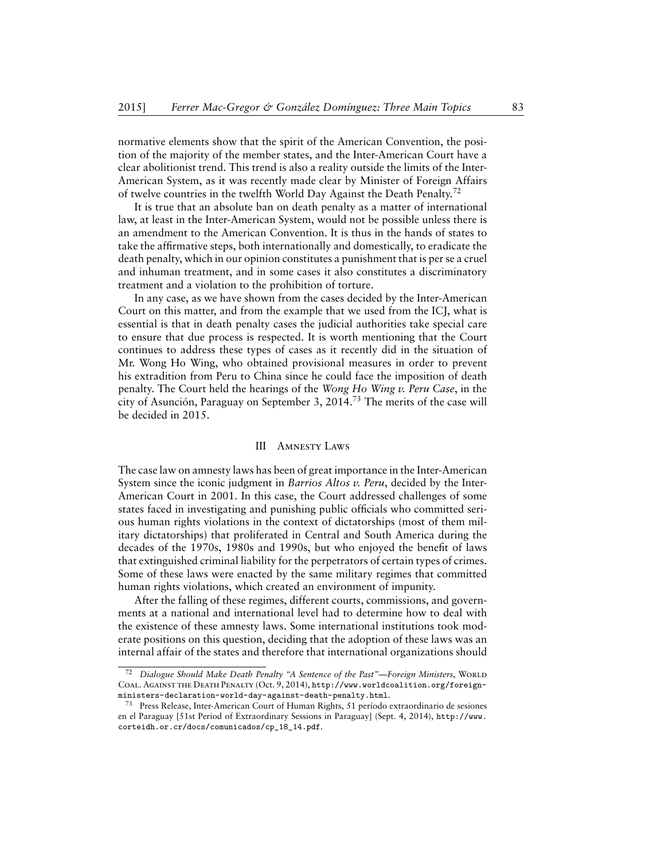normative elements show that the spirit of the American Convention, the position of the majority of the member states, and the Inter-American Court have a clear abolitionist trend. This trend is also a reality outside the limits of the Inter-American System, as it was recently made clear by Minister of Foreign Affairs of twelve countries in the twelfth World Day Against the Death Penalty.<sup>72</sup>

It is true that an absolute ban on death penalty as a matter of international law, at least in the Inter-American System, would not be possible unless there is an amendment to the American Convention. It is thus in the hands of states to take the affirmative steps, both internationally and domestically, to eradicate the death penalty, which in our opinion constitutes a punishment that is per se a cruel and inhuman treatment, and in some cases it also constitutes a discriminatory treatment and a violation to the prohibition of torture.

In any case, as we have shown from the cases decided by the Inter-American Court on this matter, and from the example that we used from the ICJ, what is essential is that in death penalty cases the judicial authorities take special care to ensure that due process is respected. It is worth mentioning that the Court continues to address these types of cases as it recently did in the situation of Mr. Wong Ho Wing, who obtained provisional measures in order to prevent his extradition from Peru to China since he could face the imposition of death penalty. The Court held the hearings of the *Wong Ho Wing v. Peru Case*, in the city of Asunción, Paraguay on September 3, 2014.<sup>73</sup> The merits of the case will be decided in 2015.

#### III Amnesty Laws

<span id="page-21-0"></span>The case law on amnesty laws has been of great importance in the Inter-American System since the iconic judgment in *Barrios Altos v. Peru*, decided by the Inter-American Court in 2001. In this case, the Court addressed challenges of some states faced in investigating and punishing public officials who committed serious human rights violations in the context of dictatorships (most of them military dictatorships) that proliferated in Central and South America during the decades of the 1970s, 1980s and 1990s, but who enjoyed the benefit of laws that extinguished criminal liability for the perpetrators of certain types of crimes. Some of these laws were enacted by the same military regimes that committed human rights violations, which created an environment of impunity.

After the falling of these regimes, different courts, commissions, and governments at a national and international level had to determine how to deal with the existence of these amnesty laws. Some international institutions took moderate positions on this question, deciding that the adoption of these laws was an internal affair of the states and therefore that international organizations should

Dialogue Should Make Death Penalty "A Sentence of the Past"—Foreign Ministers, WORLD Coal. Against the Death Penalty (Oct. 9, 2014), [http://www.worldcoalition.org/foreign](http://www.worldcoalition.org/foreign-ministers-declaration-world-day-against-death-penalty.html)[ministers-declaration-world-day-against-death-penalty.html](http://www.worldcoalition.org/foreign-ministers-declaration-world-day-against-death-penalty.html).

Press Release, Inter-American Court of Human Rights, 51 período extraordinario de sesiones en el Paraguay [51st Period of Extraordinary Sessions in Paraguay] (Sept. 4, 2014), [http://www.](http://www.corteidh.or.cr/docs/comunicados/cp_18_14.pdf) [corteidh.or.cr/docs/comunicados/cp\\_18\\_14.pdf](http://www.corteidh.or.cr/docs/comunicados/cp_18_14.pdf).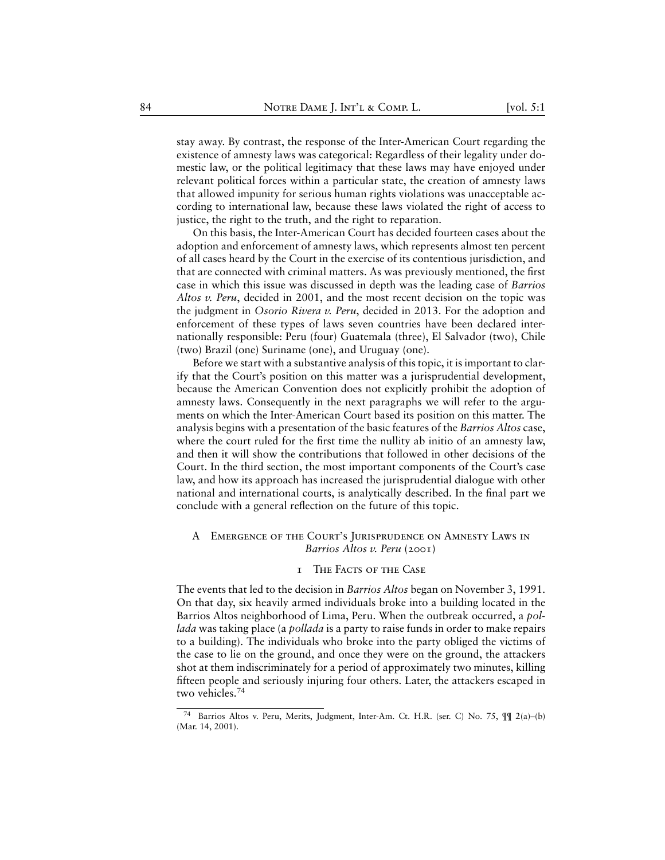stay away. By contrast, the response of the Inter-American Court regarding the existence of amnesty laws was categorical: Regardless of their legality under domestic law, or the political legitimacy that these laws may have enjoyed under relevant political forces within a particular state, the creation of amnesty laws that allowed impunity for serious human rights violations was unacceptable according to international law, because these laws violated the right of access to justice, the right to the truth, and the right to reparation.

On this basis, the Inter-American Court has decided fourteen cases about the adoption and enforcement of amnesty laws, which represents almost ten percent of all cases heard by the Court in the exercise of its contentious jurisdiction, and that are connected with criminal matters. As was previously mentioned, the first case in which this issue was discussed in depth was the leading case of *Barrios Altos v. Peru*, decided in 2001, and the most recent decision on the topic was the judgment in *Osorio Rivera v. Peru*, decided in 2013. For the adoption and enforcement of these types of laws seven countries have been declared internationally responsible: Peru (four) Guatemala (three), El Salvador (two), Chile (two) Brazil (one) Suriname (one), and Uruguay (one).

Before we start with a substantive analysis of this topic, it is important to clarify that the Court's position on this matter was a jurisprudential development, because the American Convention does not explicitly prohibit the adoption of amnesty laws. Consequently in the next paragraphs we will refer to the arguments on which the Inter-American Court based its position on this matter. The analysis begins with a presentation of the basic features of the *Barrios Altos* case, where the court ruled for the first time the nullity ab initio of an amnesty law, and then it will show the contributions that followed in other decisions of the Court. In the third section, the most important components of the Court's case law, and how its approach has increased the jurisprudential dialogue with other national and international courts, is analytically described. In the final part we conclude with a general reflection on the future of this topic.

# <span id="page-22-0"></span>A Emergence of the Court's Jurisprudence on Amnesty Laws in *Barrios Altos v. Peru* (2001)

#### 1 The Facts of the Case

<span id="page-22-1"></span>The events that led to the decision in *Barrios Altos* began on November 3, 1991. On that day, six heavily armed individuals broke into a building located in the Barrios Altos neighborhood of Lima, Peru. When the outbreak occurred, a *pollada* was taking place (a *pollada* is a party to raise funds in order to make repairs to a building). The individuals who broke into the party obliged the victims of the case to lie on the ground, and once they were on the ground, the attackers shot at them indiscriminately for a period of approximately two minutes, killing fifteen people and seriously injuring four others. Later, the attackers escaped in two vehicles.<sup>74</sup>

<sup>74</sup> Barrios Altos v. Peru, Merits, Judgment, Inter-Am. Ct. H.R. (ser. C) No. 75, ¶¶ 2(a)–(b) (Mar. 14, 2001).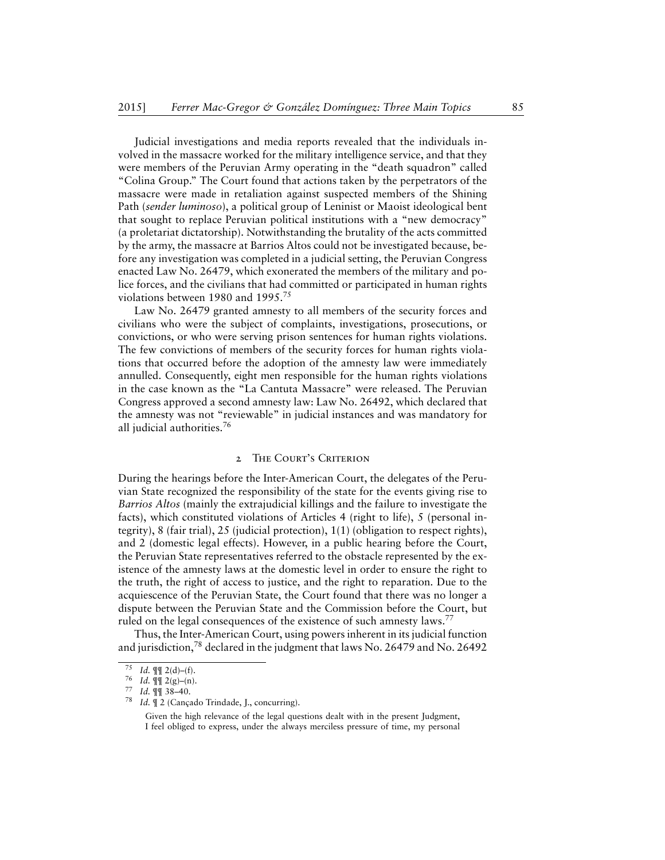Judicial investigations and media reports revealed that the individuals involved in the massacre worked for the military intelligence service, and that they were members of the Peruvian Army operating in the "death squadron" called "Colina Group." The Court found that actions taken by the perpetrators of the massacre were made in retaliation against suspected members of the Shining Path (*sender luminoso*), a political group of Leninist or Maoist ideological bent that sought to replace Peruvian political institutions with a "new democracy" (a proletariat dictatorship). Notwithstanding the brutality of the acts committed by the army, the massacre at Barrios Altos could not be investigated because, before any investigation was completed in a judicial setting, the Peruvian Congress enacted Law No. 26479, which exonerated the members of the military and police forces, and the civilians that had committed or participated in human rights violations between 1980 and 1995.<sup>75</sup>

Law No. 26479 granted amnesty to all members of the security forces and civilians who were the subject of complaints, investigations, prosecutions, or convictions, or who were serving prison sentences for human rights violations. The few convictions of members of the security forces for human rights violations that occurred before the adoption of the amnesty law were immediately annulled. Consequently, eight men responsible for the human rights violations in the case known as the "La Cantuta Massacre" were released. The Peruvian Congress approved a second amnesty law: Law No. 26492, which declared that the amnesty was not "reviewable" in judicial instances and was mandatory for all judicial authorities.<sup>76</sup>

#### 2 THE COURT'S CRITERION

<span id="page-23-0"></span>During the hearings before the Inter-American Court, the delegates of the Peruvian State recognized the responsibility of the state for the events giving rise to *Barrios Altos* (mainly the extrajudicial killings and the failure to investigate the facts), which constituted violations of Articles 4 (right to life), 5 (personal integrity), 8 (fair trial), 25 (judicial protection), 1(1) (obligation to respect rights), and 2 (domestic legal effects). However, in a public hearing before the Court, the Peruvian State representatives referred to the obstacle represented by the existence of the amnesty laws at the domestic level in order to ensure the right to the truth, the right of access to justice, and the right to reparation. Due to the acquiescence of the Peruvian State, the Court found that there was no longer a dispute between the Peruvian State and the Commission before the Court, but ruled on the legal consequences of the existence of such amnesty laws.<sup>77</sup>

Thus, the Inter-American Court, using powers inherent in its judicial function and jurisdiction,<sup>78</sup> declared in the judgment that laws No. 26479 and No. 26492

<sup>75</sup> *Id.*  $\P\P$  2(d)–(f).

<sup>76</sup> *Id.* ¶¶ 2(g)–(n).

<sup>77</sup> *Id.* ¶¶ 38–40.

<sup>78</sup> *Id.* ¶ 2 (Cançado Trindade, J., concurring).

Given the high relevance of the legal questions dealt with in the present Judgment, I feel obliged to express, under the always merciless pressure of time, my personal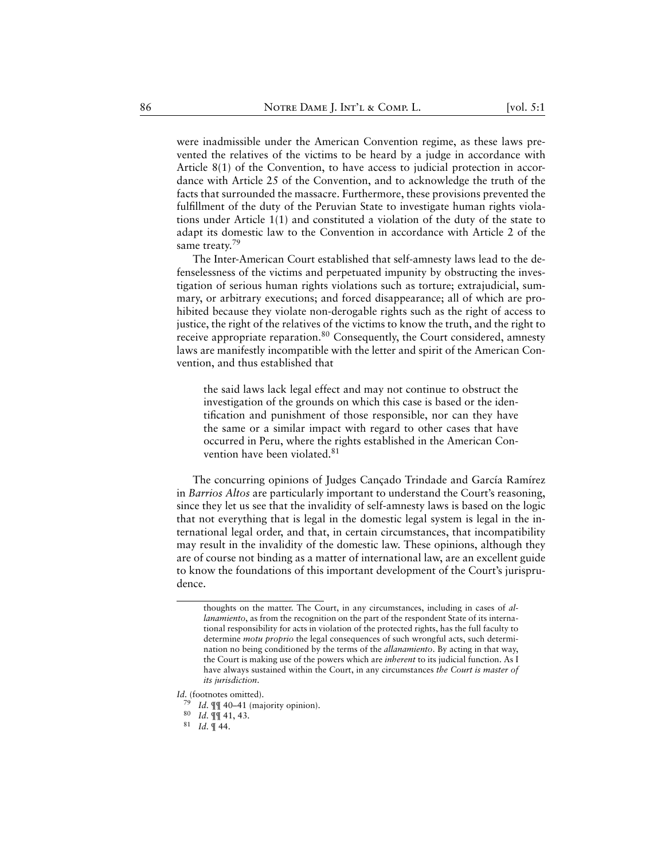were inadmissible under the American Convention regime, as these laws prevented the relatives of the victims to be heard by a judge in accordance with Article 8(1) of the Convention, to have access to judicial protection in accordance with Article 25 of the Convention, and to acknowledge the truth of the facts that surrounded the massacre. Furthermore, these provisions prevented the fulfillment of the duty of the Peruvian State to investigate human rights violations under Article 1(1) and constituted a violation of the duty of the state to adapt its domestic law to the Convention in accordance with Article 2 of the same treaty.<sup>79</sup>

The Inter-American Court established that self-amnesty laws lead to the defenselessness of the victims and perpetuated impunity by obstructing the investigation of serious human rights violations such as torture; extrajudicial, summary, or arbitrary executions; and forced disappearance; all of which are prohibited because they violate non-derogable rights such as the right of access to justice, the right of the relatives of the victims to know the truth, and the right to receive appropriate reparation.<sup>80</sup> Consequently, the Court considered, amnesty laws are manifestly incompatible with the letter and spirit of the American Convention, and thus established that

the said laws lack legal effect and may not continue to obstruct the investigation of the grounds on which this case is based or the identification and punishment of those responsible, nor can they have the same or a similar impact with regard to other cases that have occurred in Peru, where the rights established in the American Convention have been violated.<sup>81</sup>

The concurring opinions of Judges Cançado Trindade and García Ramírez in *Barrios Altos* are particularly important to understand the Court's reasoning, since they let us see that the invalidity of self-amnesty laws is based on the logic that not everything that is legal in the domestic legal system is legal in the international legal order, and that, in certain circumstances, that incompatibility may result in the invalidity of the domestic law. These opinions, although they are of course not binding as a matter of international law, are an excellent guide to know the foundations of this important development of the Court's jurisprudence.

thoughts on the matter. The Court, in any circumstances, including in cases of *allanamiento*, as from the recognition on the part of the respondent State of its international responsibility for acts in violation of the protected rights, has the full faculty to determine *motu proprio* the legal consequences of such wrongful acts, such determination no being conditioned by the terms of the *allanamiento*. By acting in that way, the Court is making use of the powers which are *inherent* to its judicial function. As I have always sustained within the Court, in any circumstances *the Court is master of its jurisdiction*.

*Id.* (footnotes omitted).

<sup>79</sup> *Id.* ¶¶ 40–41 (majority opinion).

<sup>80</sup> *Id.* ¶¶ 41, 43.

<sup>81</sup> *Id.* ¶ 44.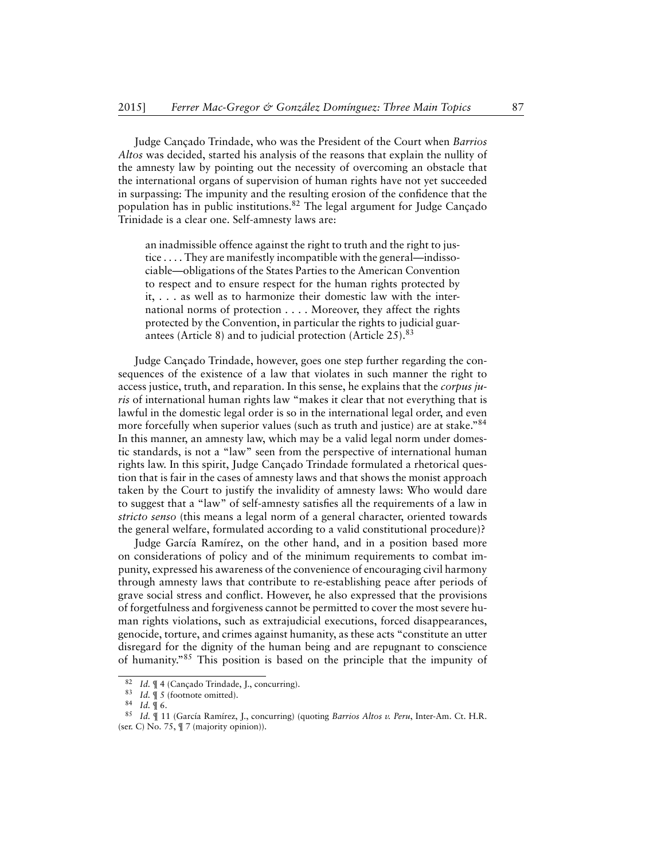Judge Cançado Trindade, who was the President of the Court when *Barrios Altos* was decided, started his analysis of the reasons that explain the nullity of the amnesty law by pointing out the necessity of overcoming an obstacle that the international organs of supervision of human rights have not yet succeeded in surpassing: The impunity and the resulting erosion of the confidence that the population has in public institutions.<sup>82</sup> The legal argument for Judge Cançado Trinidade is a clear one. Self-amnesty laws are:

an inadmissible offence against the right to truth and the right to justice . . . . They are manifestly incompatible with the general—indissociable—obligations of the States Parties to the American Convention to respect and to ensure respect for the human rights protected by it, . . . as well as to harmonize their domestic law with the international norms of protection . . . . Moreover, they affect the rights protected by the Convention, in particular the rights to judicial guarantees (Article 8) and to judicial protection (Article 25).<sup>83</sup>

Judge Cançado Trindade, however, goes one step further regarding the consequences of the existence of a law that violates in such manner the right to access justice, truth, and reparation. In this sense, he explains that the *corpus juris* of international human rights law "makes it clear that not everything that is lawful in the domestic legal order is so in the international legal order, and even more forcefully when superior values (such as truth and justice) are at stake."<sup>84</sup> In this manner, an amnesty law, which may be a valid legal norm under domestic standards, is not a "law" seen from the perspective of international human rights law. In this spirit, Judge Cançado Trindade formulated a rhetorical question that is fair in the cases of amnesty laws and that shows the monist approach taken by the Court to justify the invalidity of amnesty laws: Who would dare to suggest that a "law" of self-amnesty satisfies all the requirements of a law in *stricto senso* (this means a legal norm of a general character, oriented towards the general welfare, formulated according to a valid constitutional procedure)?

Judge García Ramírez, on the other hand, and in a position based more on considerations of policy and of the minimum requirements to combat impunity, expressed his awareness of the convenience of encouraging civil harmony through amnesty laws that contribute to re-establishing peace after periods of grave social stress and conflict. However, he also expressed that the provisions of forgetfulness and forgiveness cannot be permitted to cover the most severe human rights violations, such as extrajudicial executions, forced disappearances, genocide, torture, and crimes against humanity, as these acts "constitute an utter disregard for the dignity of the human being and are repugnant to conscience of humanity."<sup>85</sup> This position is based on the principle that the impunity of

<sup>&</sup>lt;sup>82</sup> *Id.*  $\P$  4 (Cançado Trindade, J., concurring).<br><sup>83</sup> *Id*  $\P$  5 (footnote omitted)

<sup>&</sup>lt;sup>83</sup> *Id.*  $\parallel$  5 (footnote omitted).

<sup>84</sup> *Id.* ¶ 6.

<sup>85</sup> *Id.* ¶ 11 (García Ramírez, J., concurring) (quoting *Barrios Altos v. Peru*, Inter-Am. Ct. H.R. (ser. C) No. 75, ¶ 7 (majority opinion)).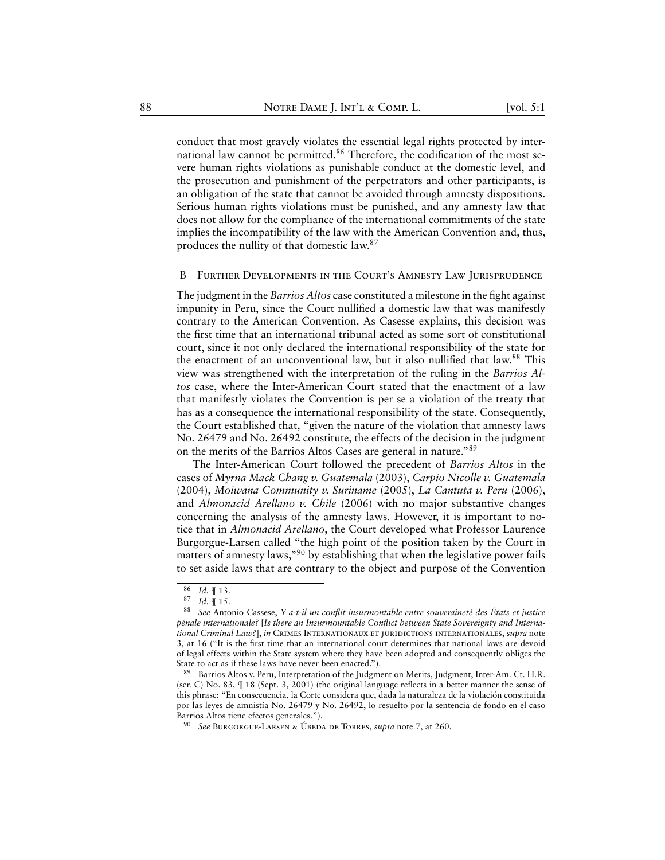conduct that most gravely violates the essential legal rights protected by international law cannot be permitted.<sup>86</sup> Therefore, the codification of the most severe human rights violations as punishable conduct at the domestic level, and the prosecution and punishment of the perpetrators and other participants, is an obligation of the state that cannot be avoided through amnesty dispositions. Serious human rights violations must be punished, and any amnesty law that does not allow for the compliance of the international commitments of the state implies the incompatibility of the law with the American Convention and, thus, produces the nullity of that domestic law.<sup>87</sup>

#### <span id="page-26-0"></span>B Further Developments in the Court's Amnesty Law Jurisprudence

The judgment in the *Barrios Altos* case constituted a milestone in the fight against impunity in Peru, since the Court nullified a domestic law that was manifestly contrary to the American Convention. As Casesse explains, this decision was the first time that an international tribunal acted as some sort of constitutional court, since it not only declared the international responsibility of the state for the enactment of an unconventional law, but it also nullified that law.<sup>88</sup> This view was strengthened with the interpretation of the ruling in the *Barrios Altos* case, where the Inter-American Court stated that the enactment of a law that manifestly violates the Convention is per se a violation of the treaty that has as a consequence the international responsibility of the state. Consequently, the Court established that, "given the nature of the violation that amnesty laws No. 26479 and No. 26492 constitute, the effects of the decision in the judgment on the merits of the Barrios Altos Cases are general in nature."<sup>89</sup>

The Inter-American Court followed the precedent of *Barrios Altos* in the cases of *Myrna Mack Chang v. Guatemala* (2003), *Carpio Nicolle v. Guatemala* (2004), *Moiwana Community v. Suriname* (2005), *La Cantuta v. Peru* (2006), and *Almonacid Arellano v. Chile* (2006) with no major substantive changes concerning the analysis of the amnesty laws. However, it is important to notice that in *Almonacid Arellano*, the Court developed what Professor Laurence Burgorgue-Larsen called "the high point of the position taken by the Court in matters of amnesty laws,"<sup>90</sup> by establishing that when the legislative power fails to set aside laws that are contrary to the object and purpose of the Convention

 $rac{86}{87}$  *Id.* || 13.<br>87 *Id* || 15

*Id.* ¶ 15.

<sup>88</sup> *See* Antonio Cassese, *Y a-t-il un conflit insurmontable entre souveraineté des États et justice pénale internationale?* [*Is there an Insurmountable Conflict between State Sovereignty and International Criminal Law?*], *in* Crimes Internationaux et juridictions internationales, *supra* note 3, at 16 ("It is the first time that an international court determines that national laws are devoid of legal effects within the State system where they have been adopted and consequently obliges the State to act as if these laws have never been enacted.").

<sup>89</sup> Barrios Altos v. Peru, Interpretation of the Judgment on Merits, Judgment, Inter-Am. Ct. H.R. (ser. C) No. 83, ¶ 18 (Sept. 3, 2001) (the original language reflects in a better manner the sense of this phrase: "En consecuencia, la Corte considera que, dada la naturaleza de la violación constituida por las leyes de amnistía No. 26479 y No. 26492, lo resuelto por la sentencia de fondo en el caso Barrios Altos tiene efectos generales.").

<sup>90</sup> *See* Burgorgue-Larsen & Úbeda de Torres, *supra* note 7, at 260.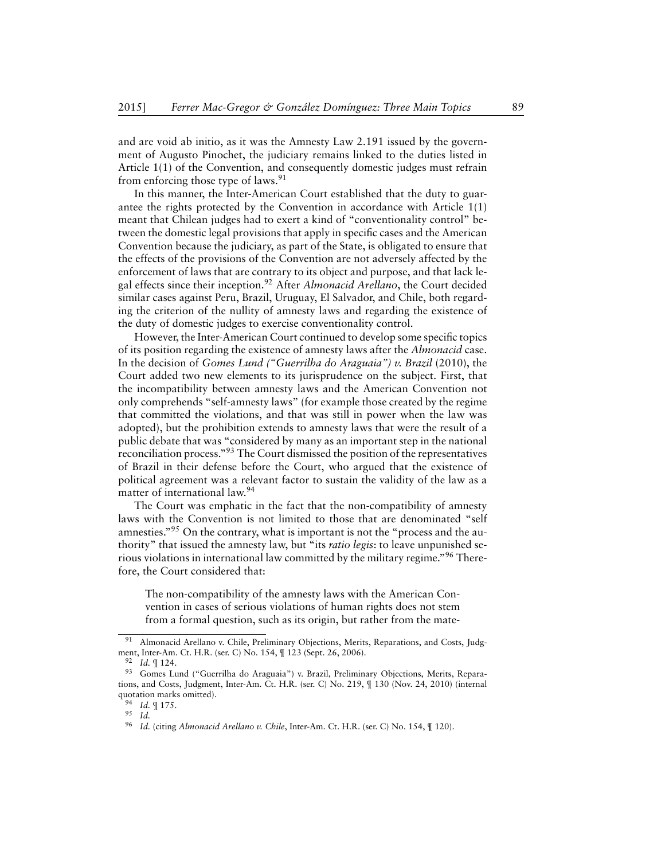and are void ab initio, as it was the Amnesty Law 2.191 issued by the government of Augusto Pinochet, the judiciary remains linked to the duties listed in Article 1(1) of the Convention, and consequently domestic judges must refrain from enforcing those type of laws.<sup>91</sup>

In this manner, the Inter-American Court established that the duty to guarantee the rights protected by the Convention in accordance with Article 1(1) meant that Chilean judges had to exert a kind of "conventionality control" between the domestic legal provisions that apply in specific cases and the American Convention because the judiciary, as part of the State, is obligated to ensure that the effects of the provisions of the Convention are not adversely affected by the enforcement of laws that are contrary to its object and purpose, and that lack legal effects since their inception.<sup>92</sup> After *Almonacid Arellano*, the Court decided similar cases against Peru, Brazil, Uruguay, El Salvador, and Chile, both regarding the criterion of the nullity of amnesty laws and regarding the existence of the duty of domestic judges to exercise conventionality control.

However, the Inter-American Court continued to develop some specific topics of its position regarding the existence of amnesty laws after the *Almonacid* case. In the decision of *Gomes Lund ("Guerrilha do Araguaia") v. Brazil* (2010), the Court added two new elements to its jurisprudence on the subject. First, that the incompatibility between amnesty laws and the American Convention not only comprehends "self-amnesty laws" (for example those created by the regime that committed the violations, and that was still in power when the law was adopted), but the prohibition extends to amnesty laws that were the result of a public debate that was "considered by many as an important step in the national reconciliation process."<sup>93</sup> The Court dismissed the position of the representatives of Brazil in their defense before the Court, who argued that the existence of political agreement was a relevant factor to sustain the validity of the law as a matter of international law.<sup>94</sup>

The Court was emphatic in the fact that the non-compatibility of amnesty laws with the Convention is not limited to those that are denominated "self amnesties."<sup>95</sup> On the contrary, what is important is not the "process and the authority" that issued the amnesty law, but "its *ratio legis*: to leave unpunished serious violations in international law committed by the military regime."<sup>96</sup> Therefore, the Court considered that:

The non-compatibility of the amnesty laws with the American Convention in cases of serious violations of human rights does not stem from a formal question, such as its origin, but rather from the mate-

<sup>&</sup>lt;sup>91</sup> Almonacid Arellano v. Chile, Preliminary Objections, Merits, Reparations, and Costs, Judgment, Inter-Am. Ct. H.R. (ser. C) No. 154, ¶ 123 (Sept. 26, 2006).

<sup>92</sup> *Id.* ¶ 124.

<sup>93</sup> Gomes Lund ("Guerrilha do Araguaia") v. Brazil, Preliminary Objections, Merits, Reparations, and Costs, Judgment, Inter-Am. Ct. H.R. (ser. C) No. 219, ¶ 130 (Nov. 24, 2010) (internal quotation marks omitted).

<sup>94</sup> *Id.* ¶ 175.

<sup>95</sup> *Id.*

<sup>96</sup> *Id.* (citing *Almonacid Arellano v. Chile*, Inter-Am. Ct. H.R. (ser. C) No. 154, ¶ 120).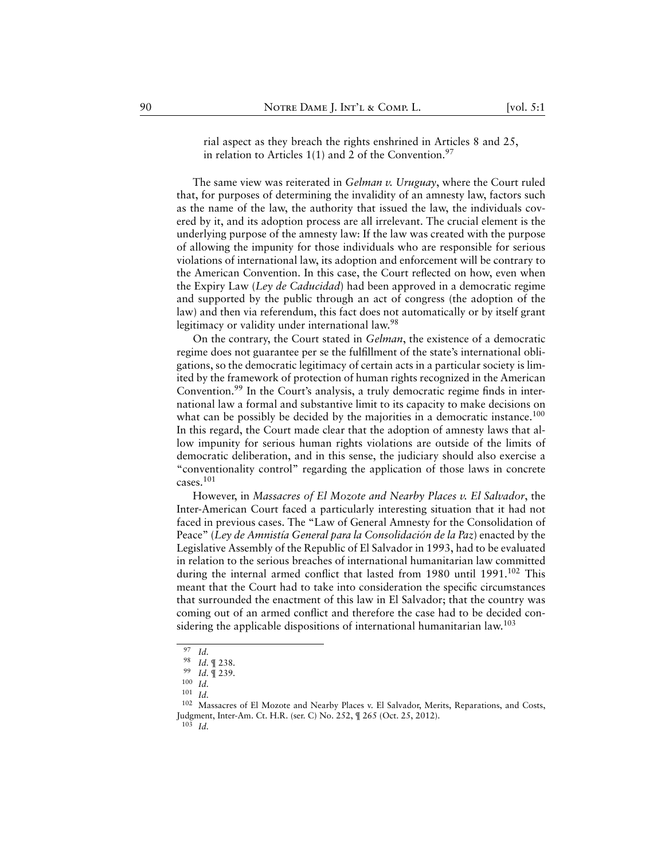rial aspect as they breach the rights enshrined in Articles 8 and 25, in relation to Articles  $1(1)$  and 2 of the Convention.<sup>97</sup>

The same view was reiterated in *Gelman v. Uruguay*, where the Court ruled that, for purposes of determining the invalidity of an amnesty law, factors such as the name of the law, the authority that issued the law, the individuals covered by it, and its adoption process are all irrelevant. The crucial element is the underlying purpose of the amnesty law: If the law was created with the purpose of allowing the impunity for those individuals who are responsible for serious violations of international law, its adoption and enforcement will be contrary to the American Convention. In this case, the Court reflected on how, even when the Expiry Law (*Ley de Caducidad*) had been approved in a democratic regime and supported by the public through an act of congress (the adoption of the law) and then via referendum, this fact does not automatically or by itself grant legitimacy or validity under international law.<sup>98</sup>

On the contrary, the Court stated in *Gelman*, the existence of a democratic regime does not guarantee per se the fulfillment of the state's international obligations, so the democratic legitimacy of certain acts in a particular society is limited by the framework of protection of human rights recognized in the American Convention.<sup>99</sup> In the Court's analysis, a truly democratic regime finds in international law a formal and substantive limit to its capacity to make decisions on what can be possibly be decided by the majorities in a democratic instance.<sup>100</sup> In this regard, the Court made clear that the adoption of amnesty laws that allow impunity for serious human rights violations are outside of the limits of democratic deliberation, and in this sense, the judiciary should also exercise a "conventionality control" regarding the application of those laws in concrete cases.<sup>101</sup>

However, in *Massacres of El Mozote and Nearby Places v. El Salvador*, the Inter-American Court faced a particularly interesting situation that it had not faced in previous cases. The "Law of General Amnesty for the Consolidation of Peace" (*Ley de Amnistía General para la Consolidación de la Paz*) enacted by the Legislative Assembly of the Republic of El Salvador in 1993, had to be evaluated in relation to the serious breaches of international humanitarian law committed during the internal armed conflict that lasted from 1980 until 1991.<sup>102</sup> This meant that the Court had to take into consideration the specific circumstances that surrounded the enactment of this law in El Salvador; that the country was coming out of an armed conflict and therefore the case had to be decided considering the applicable dispositions of international humanitarian law.<sup>103</sup>

<sup>97</sup> *Id.*

<sup>98</sup> *Id.* ¶ 238.

<sup>99</sup> *Id.* ¶ 239.

<sup>100</sup> *Id.*

<sup>101</sup> *Id.*

<sup>102</sup> Massacres of El Mozote and Nearby Places v. El Salvador, Merits, Reparations, and Costs, Judgment, Inter-Am. Ct. H.R. (ser. C) No. 252,  $\P$  265 (Oct. 25, 2012).<br><sup>103</sup> *M* 

<sup>103</sup> *Id.*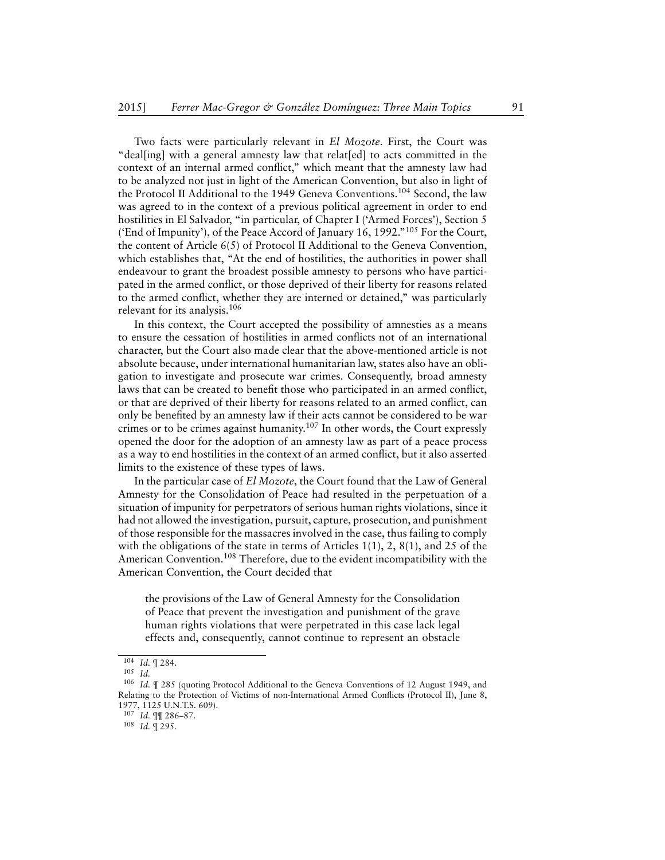Two facts were particularly relevant in *El Mozote*. First, the Court was "deal[ing] with a general amnesty law that relat[ed] to acts committed in the context of an internal armed conflict," which meant that the amnesty law had to be analyzed not just in light of the American Convention, but also in light of the Protocol II Additional to the 1949 Geneva Conventions.<sup>104</sup> Second, the law was agreed to in the context of a previous political agreement in order to end hostilities in El Salvador, "in particular, of Chapter I ('Armed Forces'), Section 5 ('End of Impunity'), of the Peace Accord of January 16, 1992."<sup>105</sup> For the Court, the content of Article 6(5) of Protocol II Additional to the Geneva Convention, which establishes that, "At the end of hostilities, the authorities in power shall endeavour to grant the broadest possible amnesty to persons who have participated in the armed conflict, or those deprived of their liberty for reasons related to the armed conflict, whether they are interned or detained," was particularly relevant for its analysis.<sup>106</sup>

In this context, the Court accepted the possibility of amnesties as a means to ensure the cessation of hostilities in armed conflicts not of an international character, but the Court also made clear that the above-mentioned article is not absolute because, under international humanitarian law, states also have an obligation to investigate and prosecute war crimes. Consequently, broad amnesty laws that can be created to benefit those who participated in an armed conflict, or that are deprived of their liberty for reasons related to an armed conflict, can only be benefited by an amnesty law if their acts cannot be considered to be war crimes or to be crimes against humanity.<sup>107</sup> In other words, the Court expressly opened the door for the adoption of an amnesty law as part of a peace process as a way to end hostilities in the context of an armed conflict, but it also asserted limits to the existence of these types of laws.

In the particular case of *El Mozote*, the Court found that the Law of General Amnesty for the Consolidation of Peace had resulted in the perpetuation of a situation of impunity for perpetrators of serious human rights violations, since it had not allowed the investigation, pursuit, capture, prosecution, and punishment of those responsible for the massacres involved in the case, thus failing to comply with the obligations of the state in terms of Articles 1(1), 2, 8(1), and 25 of the American Convention.<sup>108</sup> Therefore, due to the evident incompatibility with the American Convention, the Court decided that

the provisions of the Law of General Amnesty for the Consolidation of Peace that prevent the investigation and punishment of the grave human rights violations that were perpetrated in this case lack legal effects and, consequently, cannot continue to represent an obstacle

<sup>104</sup> *Id.* ¶ 284.

<sup>105</sup> *Id.*

<sup>106</sup> *Id.* ¶ 285 (quoting Protocol Additional to the Geneva Conventions of 12 August 1949, and Relating to the Protection of Victims of non-International Armed Conflicts (Protocol II), June 8, 1977, 1125 U.N.T.S. 609).

<sup>107</sup> *Id.* ¶¶ 286–87.

<sup>108</sup> *Id.* ¶ 295.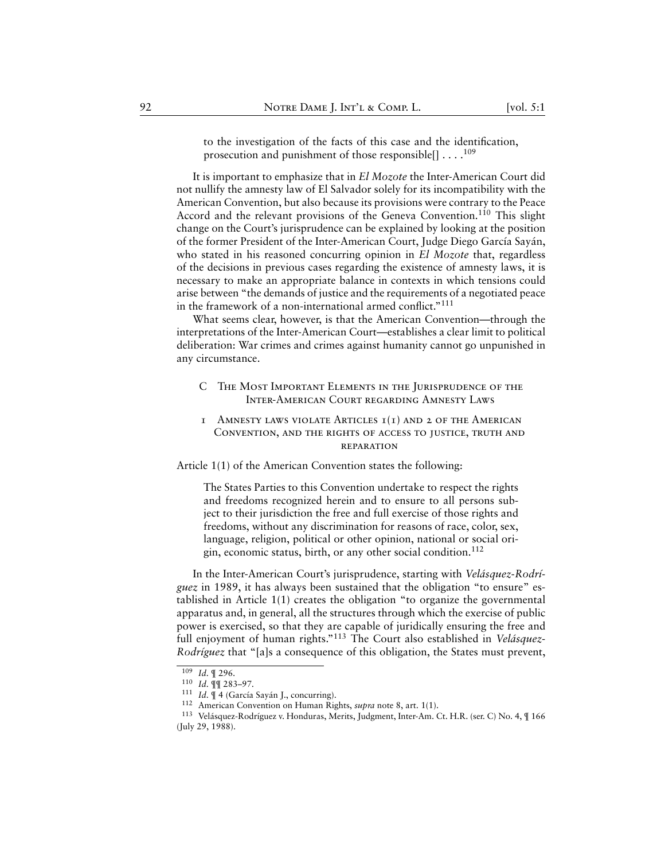to the investigation of the facts of this case and the identification, prosecution and punishment of those responsible $[] \ldots$ .<sup>109</sup>

It is important to emphasize that in *El Mozote* the Inter-American Court did not nullify the amnesty law of El Salvador solely for its incompatibility with the American Convention, but also because its provisions were contrary to the Peace Accord and the relevant provisions of the Geneva Convention.<sup>110</sup> This slight change on the Court's jurisprudence can be explained by looking at the position of the former President of the Inter-American Court, Judge Diego García Sayán, who stated in his reasoned concurring opinion in *El Mozote* that, regardless of the decisions in previous cases regarding the existence of amnesty laws, it is necessary to make an appropriate balance in contexts in which tensions could arise between "the demands of justice and the requirements of a negotiated peace in the framework of a non-international armed conflict."<sup>111</sup>

What seems clear, however, is that the American Convention—through the interpretations of the Inter-American Court—establishes a clear limit to political deliberation: War crimes and crimes against humanity cannot go unpunished in any circumstance.

- <span id="page-30-0"></span>C The Most Important Elements in the Jurisprudence of the Inter-American Court regarding Amnesty Laws
- <span id="page-30-1"></span>1 AMNESTY LAWS VIOLATE ARTICLES  $I(I)$  and 2 of the American Convention, and the rights of access to justice, truth and reparation

Article 1(1) of the American Convention states the following:

The States Parties to this Convention undertake to respect the rights and freedoms recognized herein and to ensure to all persons subject to their jurisdiction the free and full exercise of those rights and freedoms, without any discrimination for reasons of race, color, sex, language, religion, political or other opinion, national or social origin, economic status, birth, or any other social condition.<sup>112</sup>

In the Inter-American Court's jurisprudence, starting with *Velásquez-Rodríguez* in 1989, it has always been sustained that the obligation "to ensure" established in Article 1(1) creates the obligation "to organize the governmental apparatus and, in general, all the structures through which the exercise of public power is exercised, so that they are capable of juridically ensuring the free and full enjoyment of human rights."<sup>113</sup> The Court also established in *Velásquez-Rodríguez* that "[a]s a consequence of this obligation, the States must prevent,

<sup>109</sup> *Id.* ¶ 296.

<sup>110</sup> *Id.* ¶¶ 283–97.

<sup>111</sup> *Id.* ¶ 4 (García Sayán J., concurring).

<sup>112</sup> American Convention on Human Rights, *supra* note 8, art. 1(1).

<sup>113</sup> Velásquez-Rodríguez v. Honduras, Merits, Judgment, Inter-Am. Ct. H.R. (ser. C) No. 4, ¶ 166 (July 29, 1988).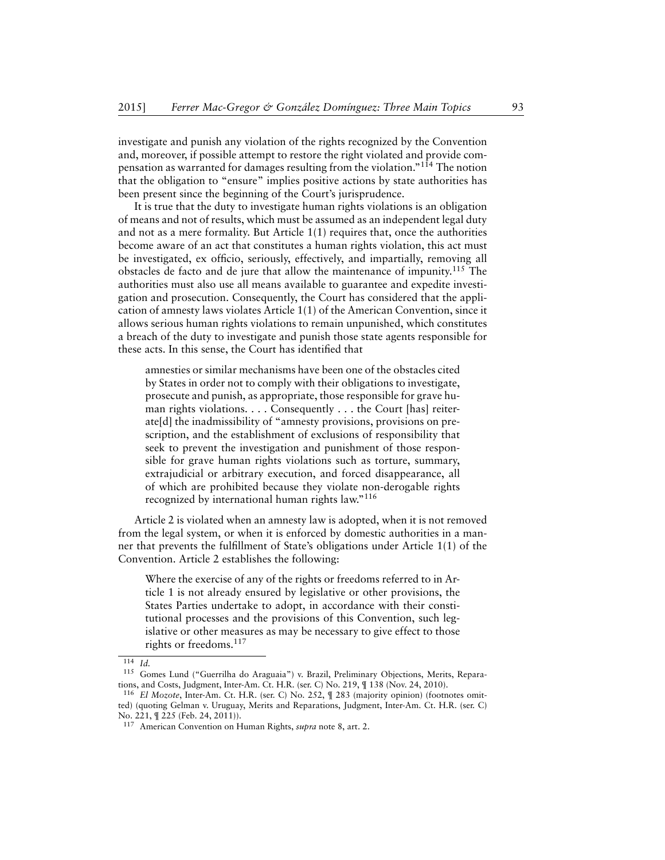investigate and punish any violation of the rights recognized by the Convention and, moreover, if possible attempt to restore the right violated and provide compensation as warranted for damages resulting from the violation."<sup>114</sup> The notion that the obligation to "ensure" implies positive actions by state authorities has been present since the beginning of the Court's jurisprudence.

It is true that the duty to investigate human rights violations is an obligation of means and not of results, which must be assumed as an independent legal duty and not as a mere formality. But Article 1(1) requires that, once the authorities become aware of an act that constitutes a human rights violation, this act must be investigated, ex officio, seriously, effectively, and impartially, removing all obstacles de facto and de jure that allow the maintenance of impunity.<sup>115</sup> The authorities must also use all means available to guarantee and expedite investigation and prosecution. Consequently, the Court has considered that the application of amnesty laws violates Article 1(1) of the American Convention, since it allows serious human rights violations to remain unpunished, which constitutes a breach of the duty to investigate and punish those state agents responsible for these acts. In this sense, the Court has identified that

amnesties or similar mechanisms have been one of the obstacles cited by States in order not to comply with their obligations to investigate, prosecute and punish, as appropriate, those responsible for grave human rights violations. . . . Consequently . . . the Court [has] reiterate[d] the inadmissibility of "amnesty provisions, provisions on prescription, and the establishment of exclusions of responsibility that seek to prevent the investigation and punishment of those responsible for grave human rights violations such as torture, summary, extrajudicial or arbitrary execution, and forced disappearance, all of which are prohibited because they violate non-derogable rights recognized by international human rights law."<sup>116</sup>

Article 2 is violated when an amnesty law is adopted, when it is not removed from the legal system, or when it is enforced by domestic authorities in a manner that prevents the fulfillment of State's obligations under Article 1(1) of the Convention. Article 2 establishes the following:

Where the exercise of any of the rights or freedoms referred to in Article 1 is not already ensured by legislative or other provisions, the States Parties undertake to adopt, in accordance with their constitutional processes and the provisions of this Convention, such legislative or other measures as may be necessary to give effect to those rights or freedoms.<sup>117</sup>

<sup>114</sup> *Id.*

<sup>115</sup> Gomes Lund ("Guerrilha do Araguaia") v. Brazil, Preliminary Objections, Merits, Reparations, and Costs, Judgment, Inter-Am. Ct. H.R. (ser. C) No. 219, ¶ 138 (Nov. 24, 2010).

<sup>116</sup> *El Mozote*, Inter-Am. Ct. H.R. (ser. C) No. 252, ¶ 283 (majority opinion) (footnotes omitted) (quoting Gelman v. Uruguay, Merits and Reparations, Judgment, Inter-Am. Ct. H.R. (ser. C) No. 221, ¶ 225 (Feb. 24, 2011)).

<sup>117</sup> American Convention on Human Rights, *supra* note 8, art. 2.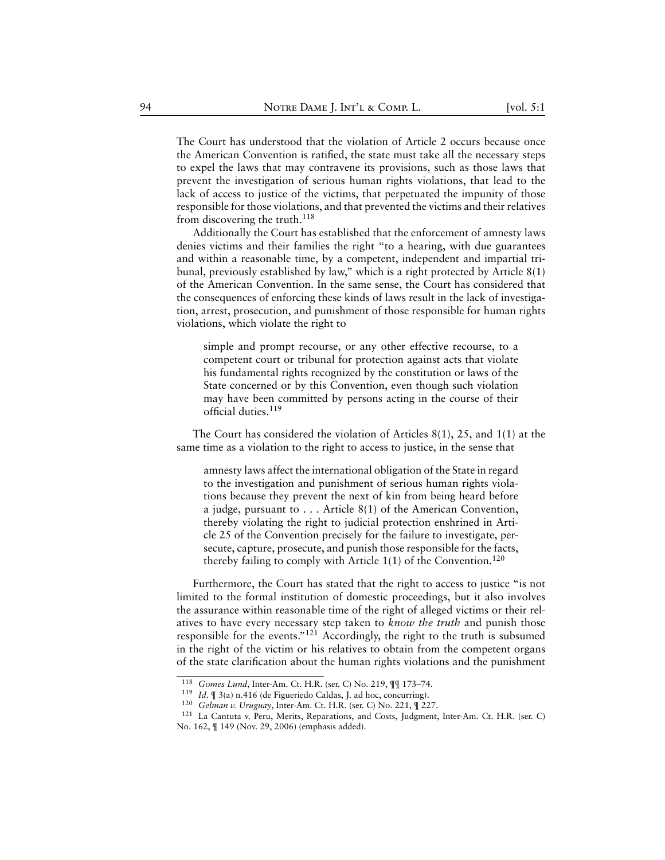The Court has understood that the violation of Article 2 occurs because once the American Convention is ratified, the state must take all the necessary steps to expel the laws that may contravene its provisions, such as those laws that prevent the investigation of serious human rights violations, that lead to the lack of access to justice of the victims, that perpetuated the impunity of those responsible for those violations, and that prevented the victims and their relatives from discovering the truth.<sup>118</sup>

Additionally the Court has established that the enforcement of amnesty laws denies victims and their families the right "to a hearing, with due guarantees and within a reasonable time, by a competent, independent and impartial tribunal, previously established by law," which is a right protected by Article 8(1) of the American Convention. In the same sense, the Court has considered that the consequences of enforcing these kinds of laws result in the lack of investigation, arrest, prosecution, and punishment of those responsible for human rights violations, which violate the right to

simple and prompt recourse, or any other effective recourse, to a competent court or tribunal for protection against acts that violate his fundamental rights recognized by the constitution or laws of the State concerned or by this Convention, even though such violation may have been committed by persons acting in the course of their official duties.<sup>119</sup>

The Court has considered the violation of Articles 8(1), 25, and 1(1) at the same time as a violation to the right to access to justice, in the sense that

amnesty laws affect the international obligation of the State in regard to the investigation and punishment of serious human rights violations because they prevent the next of kin from being heard before a judge, pursuant to . . . Article 8(1) of the American Convention, thereby violating the right to judicial protection enshrined in Article 25 of the Convention precisely for the failure to investigate, persecute, capture, prosecute, and punish those responsible for the facts, thereby failing to comply with Article  $1(1)$  of the Convention.<sup>120</sup>

Furthermore, the Court has stated that the right to access to justice "is not limited to the formal institution of domestic proceedings, but it also involves the assurance within reasonable time of the right of alleged victims or their relatives to have every necessary step taken to *know the truth* and punish those responsible for the events." $12i$  Accordingly, the right to the truth is subsumed in the right of the victim or his relatives to obtain from the competent organs of the state clarification about the human rights violations and the punishment

<sup>118</sup> *Gomes Lund*, Inter-Am. Ct. H.R. (ser. C) No. 219, ¶¶ 173–74.

<sup>119</sup> *Id.* ¶ 3(a) n.416 (de Figueriedo Caldas, J. ad hoc, concurring).

<sup>120</sup> *Gelman v. Uruguay*, Inter-Am. Ct. H.R. (ser. C) No. 221, ¶ 227.

<sup>121</sup> La Cantuta v. Peru, Merits, Reparations, and Costs, Judgment, Inter-Am. Ct. H.R. (ser. C) No. 162, ¶ 149 (Nov. 29, 2006) (emphasis added).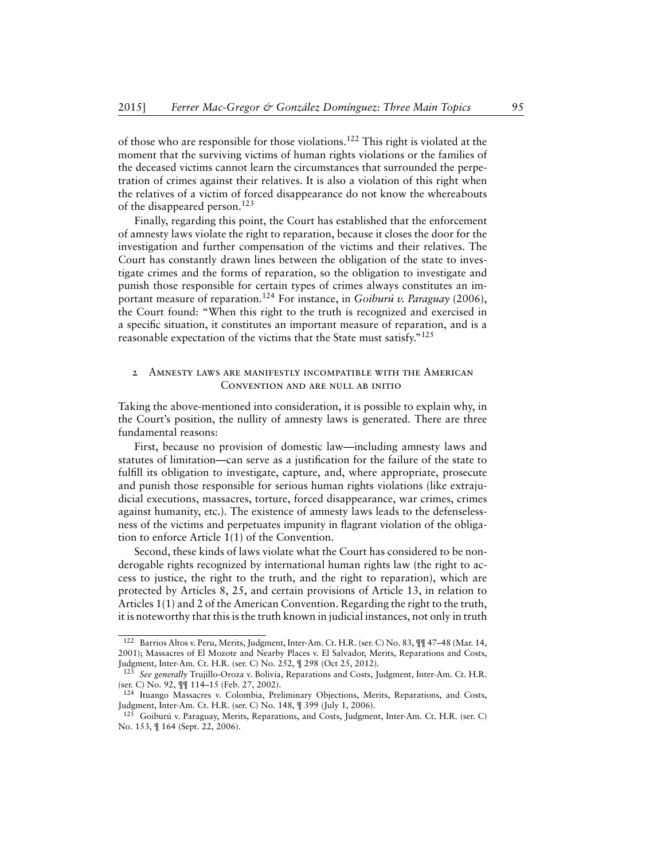of those who are responsible for those violations.<sup>122</sup> This right is violated at the moment that the surviving victims of human rights violations or the families of the deceased victims cannot learn the circumstances that surrounded the perpetration of crimes against their relatives. It is also a violation of this right when the relatives of a victim of forced disappearance do not know the whereabouts of the disappeared person.<sup>123</sup>

Finally, regarding this point, the Court has established that the enforcement of amnesty laws violate the right to reparation, because it closes the door for the investigation and further compensation of the victims and their relatives. The Court has constantly drawn lines between the obligation of the state to investigate crimes and the forms of reparation, so the obligation to investigate and punish those responsible for certain types of crimes always constitutes an important measure of reparation.<sup>124</sup> For instance, in *Goiburú v. Paraguay* (2006), the Court found: "When this right to the truth is recognized and exercised in a specific situation, it constitutes an important measure of reparation, and is a reasonable expectation of the victims that the State must satisfy."<sup>125</sup>

# <span id="page-33-0"></span>2 Amnesty laws are manifestly incompatible with the American Convention and are null ab initio

Taking the above-mentioned into consideration, it is possible to explain why, in the Court's position, the nullity of amnesty laws is generated. There are three fundamental reasons:

First, because no provision of domestic law—including amnesty laws and statutes of limitation—can serve as a justification for the failure of the state to fulfill its obligation to investigate, capture, and, where appropriate, prosecute and punish those responsible for serious human rights violations (like extrajudicial executions, massacres, torture, forced disappearance, war crimes, crimes against humanity, etc.). The existence of amnesty laws leads to the defenselessness of the victims and perpetuates impunity in flagrant violation of the obligation to enforce Article 1(1) of the Convention.

Second, these kinds of laws violate what the Court has considered to be nonderogable rights recognized by international human rights law (the right to access to justice, the right to the truth, and the right to reparation), which are protected by Articles 8, 25, and certain provisions of Article 13, in relation to Articles 1(1) and 2 of the American Convention. Regarding the right to the truth, it is noteworthy that this is the truth known in judicial instances, not only in truth

<sup>122</sup> Barrios Altos v. Peru, Merits, Judgment, Inter-Am. Ct. H.R. (ser. C) No. 83, ¶¶ 47–48 (Mar. 14, 2001); Massacres of El Mozote and Nearby Places v. El Salvador, Merits, Reparations and Costs, Judgment, Inter-Am. Ct. H.R. (ser. C) No. 252, ¶ 298 (Oct 25, 2012).

<sup>123</sup> *See generally* Trujillo-Oroza v. Bolivia, Reparations and Costs, Judgment, Inter-Am. Ct. H.R. (ser. C) No. 92, ¶¶ 114–15 (Feb. 27, 2002).

<sup>124</sup> Ituango Massacres v. Colombia, Preliminary Objections, Merits, Reparations, and Costs, Judgment, Inter-Am. Ct. H.R. (ser. C) No. 148, ¶ 399 (July 1, 2006).

<sup>&</sup>lt;sup>125</sup> Goiburú v. Paraguay, Merits, Reparations, and Costs, Judgment, Inter-Am. Ct. H.R. (ser. C) No. 153, ¶ 164 (Sept. 22, 2006).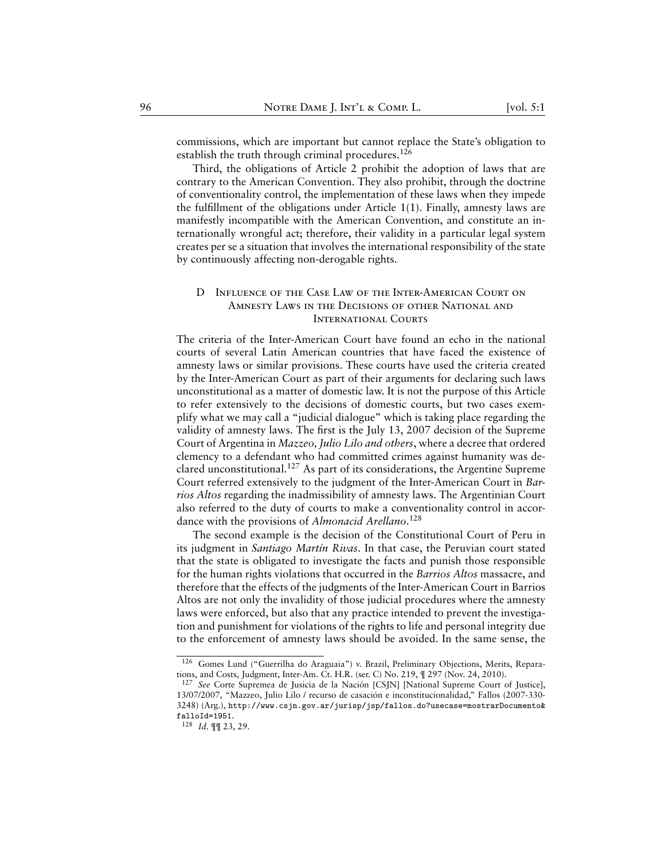commissions, which are important but cannot replace the State's obligation to establish the truth through criminal procedures.<sup>126</sup>

Third, the obligations of Article 2 prohibit the adoption of laws that are contrary to the American Convention. They also prohibit, through the doctrine of conventionality control, the implementation of these laws when they impede the fulfillment of the obligations under Article 1(1). Finally, amnesty laws are manifestly incompatible with the American Convention, and constitute an internationally wrongful act; therefore, their validity in a particular legal system creates per se a situation that involves the international responsibility of the state by continuously affecting non-derogable rights.

# <span id="page-34-0"></span>D Influence of the Case Law of the Inter-American Court on Amnesty Laws in the Decisions of other National and International Courts

The criteria of the Inter-American Court have found an echo in the national courts of several Latin American countries that have faced the existence of amnesty laws or similar provisions. These courts have used the criteria created by the Inter-American Court as part of their arguments for declaring such laws unconstitutional as a matter of domestic law. It is not the purpose of this Article to refer extensively to the decisions of domestic courts, but two cases exemplify what we may call a "judicial dialogue" which is taking place regarding the validity of amnesty laws. The first is the July 13, 2007 decision of the Supreme Court of Argentina in *Mazzeo, Julio Lilo and others*, where a decree that ordered clemency to a defendant who had committed crimes against humanity was declared unconstitutional.<sup>127</sup> As part of its considerations, the Argentine Supreme Court referred extensively to the judgment of the Inter-American Court in *Barrios Altos* regarding the inadmissibility of amnesty laws. The Argentinian Court also referred to the duty of courts to make a conventionality control in accordance with the provisions of *Almonacid Arellano*. 128

The second example is the decision of the Constitutional Court of Peru in its judgment in *Santiago Martín Rivas*. In that case, the Peruvian court stated that the state is obligated to investigate the facts and punish those responsible for the human rights violations that occurred in the *Barrios Altos* massacre, and therefore that the effects of the judgments of the Inter-American Court in Barrios Altos are not only the invalidity of those judicial procedures where the amnesty laws were enforced, but also that any practice intended to prevent the investigation and punishment for violations of the rights to life and personal integrity due to the enforcement of amnesty laws should be avoided. In the same sense, the

<sup>126</sup> Gomes Lund ("Guerrilha do Araguaia") v. Brazil, Preliminary Objections, Merits, Reparations, and Costs, Judgment, Inter-Am. Ct. H.R. (ser. C) No. 219, ¶ 297 (Nov. 24, 2010).

<sup>127</sup> *See* Corte Supremea de Jusicia de la Nación [CSJN] [National Supreme Court of Justice], 13/07/2007, "Mazzeo, Julio Lilo / recurso de casación e inconstitucionalidad," Fallos (2007-330- 3248) (Arg.), [http://www.csjn.gov.ar/jurisp/jsp/fallos.do?usecase=mostrarDocumento&](http://www.csjn.gov.ar/jurisp/jsp/fallos.do?usecase=mostrarDocumento&falloId=1951) [falloId=1951](http://www.csjn.gov.ar/jurisp/jsp/fallos.do?usecase=mostrarDocumento&falloId=1951).

<sup>128</sup> *Id.* ¶¶ 23, 29.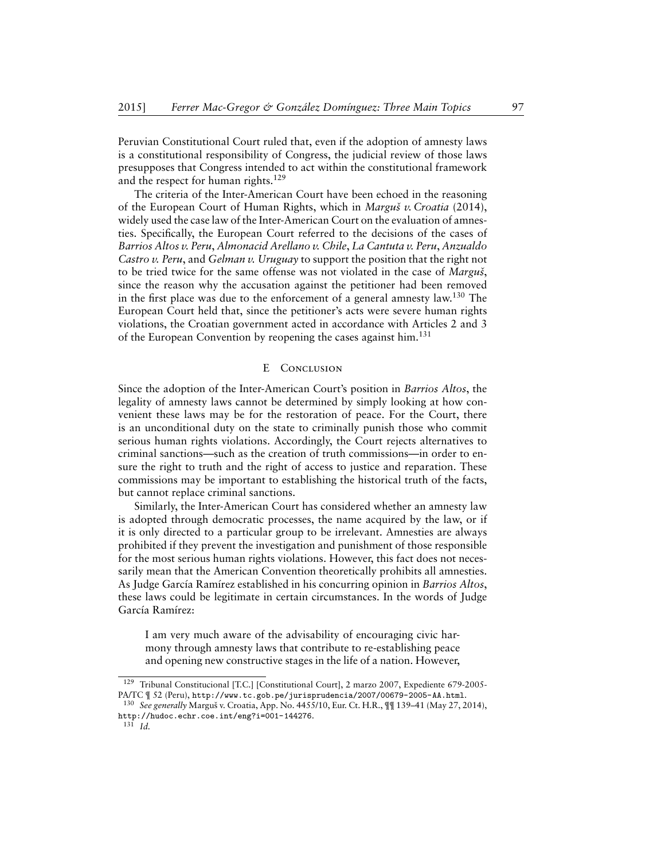Peruvian Constitutional Court ruled that, even if the adoption of amnesty laws is a constitutional responsibility of Congress, the judicial review of those laws presupposes that Congress intended to act within the constitutional framework and the respect for human rights.<sup>129</sup>

The criteria of the Inter-American Court have been echoed in the reasoning of the European Court of Human Rights, which in *Marguš v. Croatia* (2014), widely used the case law of the Inter-American Court on the evaluation of amnesties. Specifically, the European Court referred to the decisions of the cases of *Barrios Altos v. Peru*, *Almonacid Arellano v. Chile*, *La Cantuta v. Peru*, *Anzualdo Castro v. Peru*, and *Gelman v. Uruguay* to support the position that the right not to be tried twice for the same offense was not violated in the case of *Marguš*, since the reason why the accusation against the petitioner had been removed in the first place was due to the enforcement of a general amnesty law.<sup>130</sup> The European Court held that, since the petitioner's acts were severe human rights violations, the Croatian government acted in accordance with Articles 2 and 3 of the European Convention by reopening the cases against him.<sup>131</sup>

### E CONCLUSION

<span id="page-35-0"></span>Since the adoption of the Inter-American Court's position in *Barrios Altos*, the legality of amnesty laws cannot be determined by simply looking at how convenient these laws may be for the restoration of peace. For the Court, there is an unconditional duty on the state to criminally punish those who commit serious human rights violations. Accordingly, the Court rejects alternatives to criminal sanctions—such as the creation of truth commissions—in order to ensure the right to truth and the right of access to justice and reparation. These commissions may be important to establishing the historical truth of the facts, but cannot replace criminal sanctions.

Similarly, the Inter-American Court has considered whether an amnesty law is adopted through democratic processes, the name acquired by the law, or if it is only directed to a particular group to be irrelevant. Amnesties are always prohibited if they prevent the investigation and punishment of those responsible for the most serious human rights violations. However, this fact does not necessarily mean that the American Convention theoretically prohibits all amnesties. As Judge García Ramírez established in his concurring opinion in *Barrios Altos*, these laws could be legitimate in certain circumstances. In the words of Judge García Ramírez:

I am very much aware of the advisability of encouraging civic harmony through amnesty laws that contribute to re-establishing peace and opening new constructive stages in the life of a nation. However,

<sup>129</sup> Tribunal Constitucional [T.C.] [Constitutional Court], 2 marzo 2007, Expediente 679-2005- PA/TC ¶ 52 (Peru), <http://www.tc.gob.pe/jurisprudencia/2007/00679-2005-AA.html>.

<sup>130</sup> *See generally* Marguš v. Croatia, App. No. 4455/10, Eur. Ct. H.R., ¶¶ 139–41 (May 27, 2014), <http://hudoc.echr.coe.int/eng?i=001-144276>.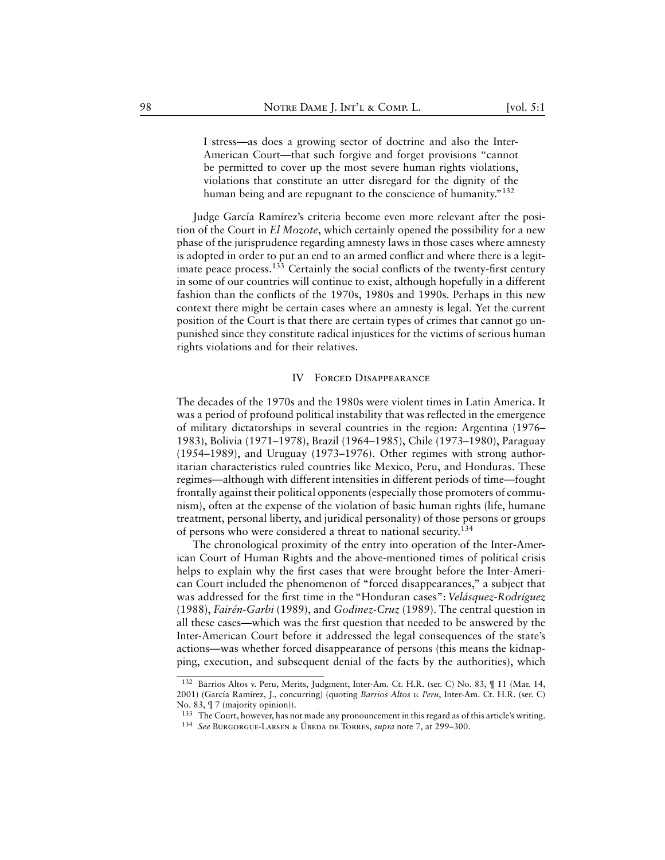I stress—as does a growing sector of doctrine and also the Inter-American Court—that such forgive and forget provisions "cannot be permitted to cover up the most severe human rights violations, violations that constitute an utter disregard for the dignity of the human being and are repugnant to the conscience of humanity."<sup>132</sup>

Judge García Ramírez's criteria become even more relevant after the position of the Court in *El Mozote*, which certainly opened the possibility for a new phase of the jurisprudence regarding amnesty laws in those cases where amnesty is adopted in order to put an end to an armed conflict and where there is a legitimate peace process.<sup>133</sup> Certainly the social conflicts of the twenty-first century in some of our countries will continue to exist, although hopefully in a different fashion than the conflicts of the 1970s, 1980s and 1990s. Perhaps in this new context there might be certain cases where an amnesty is legal. Yet the current position of the Court is that there are certain types of crimes that cannot go unpunished since they constitute radical injustices for the victims of serious human rights violations and for their relatives.

#### IV Forced Disappearance

<span id="page-36-0"></span>The decades of the 1970s and the 1980s were violent times in Latin America. It was a period of profound political instability that was reflected in the emergence of military dictatorships in several countries in the region: Argentina (1976– 1983), Bolivia (1971–1978), Brazil (1964–1985), Chile (1973–1980), Paraguay (1954–1989), and Uruguay (1973–1976). Other regimes with strong authoritarian characteristics ruled countries like Mexico, Peru, and Honduras. These regimes—although with different intensities in different periods of time—fought frontally against their political opponents (especially those promoters of communism), often at the expense of the violation of basic human rights (life, humane treatment, personal liberty, and juridical personality) of those persons or groups of persons who were considered a threat to national security.<sup>134</sup>

The chronological proximity of the entry into operation of the Inter-American Court of Human Rights and the above-mentioned times of political crisis helps to explain why the first cases that were brought before the Inter-American Court included the phenomenon of "forced disappearances," a subject that was addressed for the first time in the "Honduran cases": *Velásquez-Rodríguez* (1988), *Fairén-Garbi* (1989), and *Godinez-Cruz* (1989). The central question in all these cases—which was the first question that needed to be answered by the Inter-American Court before it addressed the legal consequences of the state's actions—was whether forced disappearance of persons (this means the kidnapping, execution, and subsequent denial of the facts by the authorities), which

<sup>132</sup> Barrios Altos v. Peru, Merits, Judgment, Inter-Am. Ct. H.R. (ser. C) No. 83, ¶ 11 (Mar. 14, 2001) (García Ramírez, J., concurring) (quoting *Barrios Altos v. Peru*, Inter-Am. Ct. H.R. (ser. C) No. 83, ¶ 7 (majority opinion)).

<sup>&</sup>lt;sup>133</sup> The Court, however, has not made any pronouncement in this regard as of this article's writing. <sup>134</sup> *See* Burgorgue-Larsen & Úbeda de Torres, *supra* note 7, at 299–300.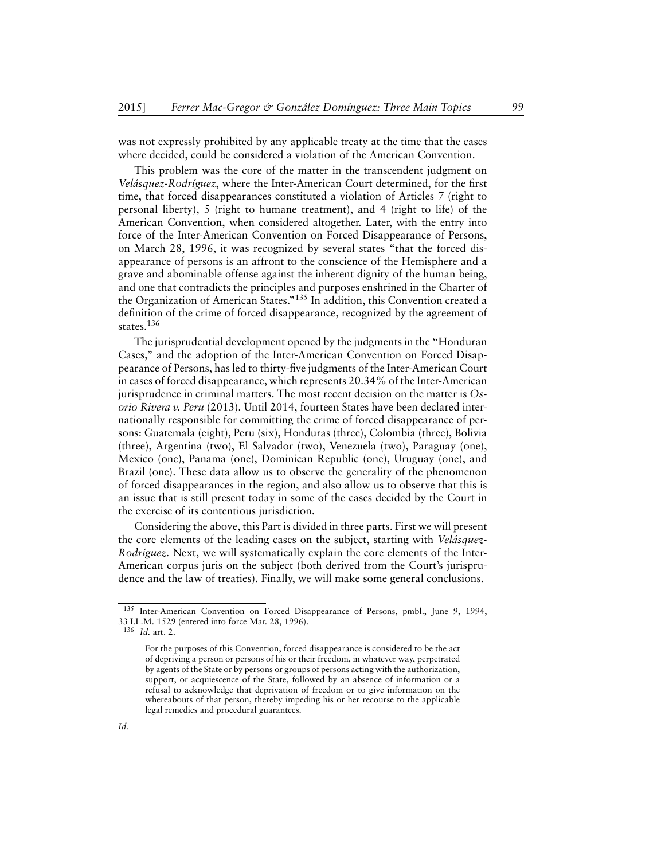was not expressly prohibited by any applicable treaty at the time that the cases where decided, could be considered a violation of the American Convention.

This problem was the core of the matter in the transcendent judgment on *Velásquez-Rodríguez*, where the Inter-American Court determined, for the first time, that forced disappearances constituted a violation of Articles 7 (right to personal liberty), 5 (right to humane treatment), and 4 (right to life) of the American Convention, when considered altogether. Later, with the entry into force of the Inter-American Convention on Forced Disappearance of Persons, on March 28, 1996, it was recognized by several states "that the forced disappearance of persons is an affront to the conscience of the Hemisphere and a grave and abominable offense against the inherent dignity of the human being, and one that contradicts the principles and purposes enshrined in the Charter of the Organization of American States."<sup>135</sup> In addition, this Convention created a definition of the crime of forced disappearance, recognized by the agreement of states.<sup>136</sup>

The jurisprudential development opened by the judgments in the "Honduran Cases," and the adoption of the Inter-American Convention on Forced Disappearance of Persons, has led to thirty-five judgments of the Inter-American Court in cases of forced disappearance, which represents 20.34% of the Inter-American jurisprudence in criminal matters. The most recent decision on the matter is *Osorio Rivera v. Peru* (2013). Until 2014, fourteen States have been declared internationally responsible for committing the crime of forced disappearance of persons: Guatemala (eight), Peru (six), Honduras (three), Colombia (three), Bolivia (three), Argentina (two), El Salvador (two), Venezuela (two), Paraguay (one), Mexico (one), Panama (one), Dominican Republic (one), Uruguay (one), and Brazil (one). These data allow us to observe the generality of the phenomenon of forced disappearances in the region, and also allow us to observe that this is an issue that is still present today in some of the cases decided by the Court in the exercise of its contentious jurisdiction.

Considering the above, this Part is divided in three parts. First we will present the core elements of the leading cases on the subject, starting with *Velásquez-Rodríguez*. Next, we will systematically explain the core elements of the Inter-American corpus juris on the subject (both derived from the Court's jurisprudence and the law of treaties). Finally, we will make some general conclusions.

<sup>&</sup>lt;sup>135</sup> Inter-American Convention on Forced Disappearance of Persons, pmbl., June 9, 1994, 33 I.L.M. 1529 (entered into force Mar. 28, 1996).

<sup>136</sup> *Id.* art. 2.

For the purposes of this Convention, forced disappearance is considered to be the act of depriving a person or persons of his or their freedom, in whatever way, perpetrated by agents of the State or by persons or groups of persons acting with the authorization, support, or acquiescence of the State, followed by an absence of information or a refusal to acknowledge that deprivation of freedom or to give information on the whereabouts of that person, thereby impeding his or her recourse to the applicable legal remedies and procedural guarantees.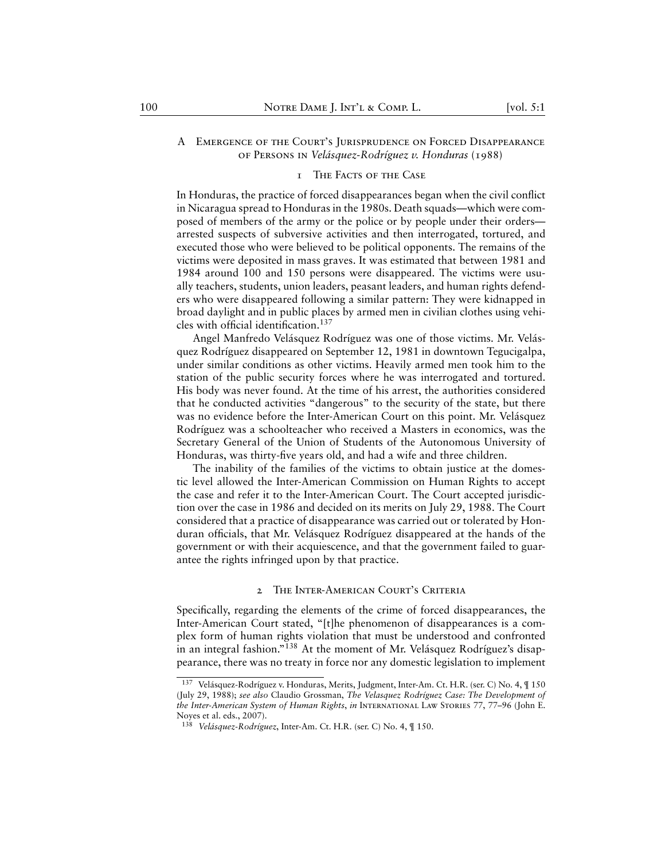# <span id="page-38-0"></span>A Emergence of the Court's Jurisprudence on Forced Disappearance of Persons in *Velásquez-Rodríguez v. Honduras* (1988)

#### 1 The Facts of the Case

<span id="page-38-1"></span>In Honduras, the practice of forced disappearances began when the civil conflict in Nicaragua spread to Honduras in the 1980s. Death squads—which were composed of members of the army or the police or by people under their orders arrested suspects of subversive activities and then interrogated, tortured, and executed those who were believed to be political opponents. The remains of the victims were deposited in mass graves. It was estimated that between 1981 and 1984 around 100 and 150 persons were disappeared. The victims were usually teachers, students, union leaders, peasant leaders, and human rights defenders who were disappeared following a similar pattern: They were kidnapped in broad daylight and in public places by armed men in civilian clothes using vehicles with official identification.<sup>137</sup>

Angel Manfredo Velásquez Rodríguez was one of those victims. Mr. Velásquez Rodríguez disappeared on September 12, 1981 in downtown Tegucigalpa, under similar conditions as other victims. Heavily armed men took him to the station of the public security forces where he was interrogated and tortured. His body was never found. At the time of his arrest, the authorities considered that he conducted activities "dangerous" to the security of the state, but there was no evidence before the Inter-American Court on this point. Mr. Velásquez Rodríguez was a schoolteacher who received a Masters in economics, was the Secretary General of the Union of Students of the Autonomous University of Honduras, was thirty-five years old, and had a wife and three children.

The inability of the families of the victims to obtain justice at the domestic level allowed the Inter-American Commission on Human Rights to accept the case and refer it to the Inter-American Court. The Court accepted jurisdiction over the case in 1986 and decided on its merits on July 29, 1988. The Court considered that a practice of disappearance was carried out or tolerated by Honduran officials, that Mr. Velásquez Rodríguez disappeared at the hands of the government or with their acquiescence, and that the government failed to guarantee the rights infringed upon by that practice.

#### 2 The Inter-American Court's Criteria

<span id="page-38-2"></span>Specifically, regarding the elements of the crime of forced disappearances, the Inter-American Court stated, "[t]he phenomenon of disappearances is a complex form of human rights violation that must be understood and confronted in an integral fashion."<sup>138</sup> At the moment of Mr. Velásquez Rodríguez's disappearance, there was no treaty in force nor any domestic legislation to implement

<sup>137</sup> Velásquez-Rodríguez v. Honduras, Merits, Judgment, Inter-Am. Ct. H.R. (ser. C) No. 4, ¶ 150 (July 29, 1988); *see also* Claudio Grossman, *The Velasquez Rodríguez Case: The Development of the Inter-American System of Human Rights*, *in* International Law Stories 77, 77–96 (John E. Noyes et al. eds., 2007).

<sup>138</sup> *Velásquez-Rodríguez*, Inter-Am. Ct. H.R. (ser. C) No. 4, ¶ 150.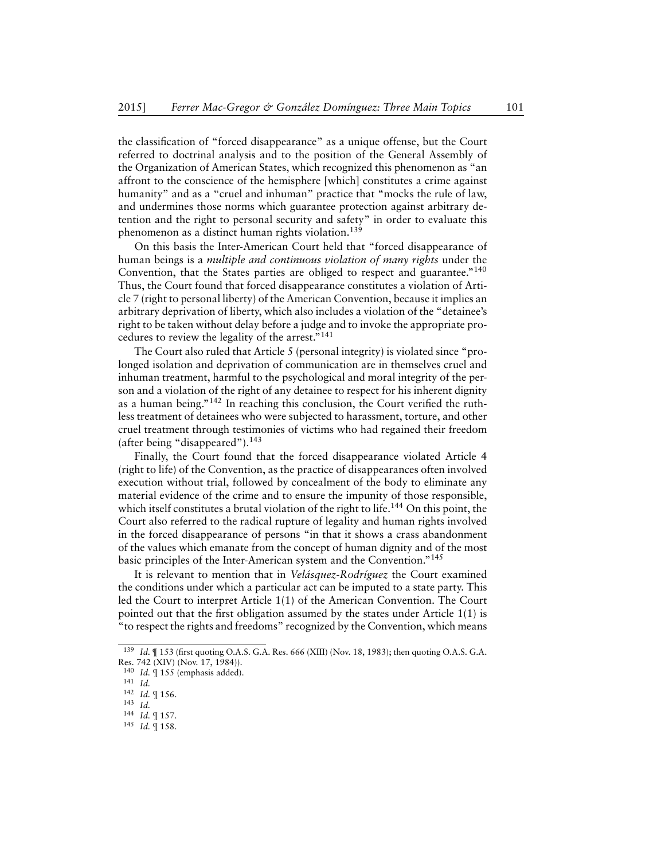the classification of "forced disappearance" as a unique offense, but the Court referred to doctrinal analysis and to the position of the General Assembly of the Organization of American States, which recognized this phenomenon as "an affront to the conscience of the hemisphere [which] constitutes a crime against humanity" and as a "cruel and inhuman" practice that "mocks the rule of law, and undermines those norms which guarantee protection against arbitrary detention and the right to personal security and safety" in order to evaluate this phenomenon as a distinct human rights violation.<sup>139</sup>

On this basis the Inter-American Court held that "forced disappearance of human beings is a *multiple and continuous violation of many rights* under the Convention, that the States parties are obliged to respect and guarantee.<sup>"140</sup> Thus, the Court found that forced disappearance constitutes a violation of Article 7 (right to personal liberty) of the American Convention, because it implies an arbitrary deprivation of liberty, which also includes a violation of the "detainee's right to be taken without delay before a judge and to invoke the appropriate procedures to review the legality of the arrest."<sup>141</sup>

The Court also ruled that Article 5 (personal integrity) is violated since "prolonged isolation and deprivation of communication are in themselves cruel and inhuman treatment, harmful to the psychological and moral integrity of the person and a violation of the right of any detainee to respect for his inherent dignity as a human being."<sup>142</sup> In reaching this conclusion, the Court verified the ruthless treatment of detainees who were subjected to harassment, torture, and other cruel treatment through testimonies of victims who had regained their freedom (after being "disappeared").<sup>143</sup>

Finally, the Court found that the forced disappearance violated Article 4 (right to life) of the Convention, as the practice of disappearances often involved execution without trial, followed by concealment of the body to eliminate any material evidence of the crime and to ensure the impunity of those responsible, which itself constitutes a brutal violation of the right to life.<sup>144</sup> On this point, the Court also referred to the radical rupture of legality and human rights involved in the forced disappearance of persons "in that it shows a crass abandonment of the values which emanate from the concept of human dignity and of the most basic principles of the Inter-American system and the Convention."<sup>145</sup>

It is relevant to mention that in *Velásquez-Rodríguez* the Court examined the conditions under which a particular act can be imputed to a state party. This led the Court to interpret Article 1(1) of the American Convention. The Court pointed out that the first obligation assumed by the states under Article 1(1) is "to respect the rights and freedoms" recognized by the Convention, which means

- <sup>144</sup> *Id.* ¶ 157.
- <sup>145</sup> *Id.* ¶ 158.

<sup>139</sup> *Id.* ¶ 153 (first quoting O.A.S. G.A. Res. 666 (XIII) (Nov. 18, 1983); then quoting O.A.S. G.A. Res. 742 (XIV) (Nov. 17, 1984)).

<sup>140</sup> *Id.* ¶ 155 (emphasis added).

<sup>141</sup> *Id.*

<sup>142</sup> *Id.* ¶ 156.

<sup>143</sup> *Id.*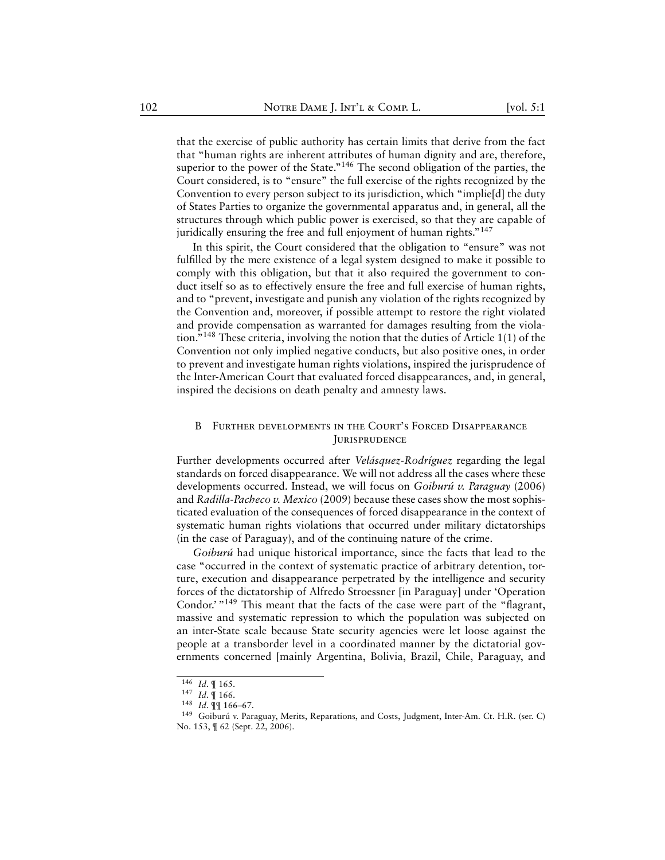that the exercise of public authority has certain limits that derive from the fact that "human rights are inherent attributes of human dignity and are, therefore, superior to the power of the State."<sup>146</sup> The second obligation of the parties, the Court considered, is to "ensure" the full exercise of the rights recognized by the Convention to every person subject to its jurisdiction, which "implie[d] the duty of States Parties to organize the governmental apparatus and, in general, all the structures through which public power is exercised, so that they are capable of juridically ensuring the free and full enjoyment of human rights."<sup>147</sup>

In this spirit, the Court considered that the obligation to "ensure" was not fulfilled by the mere existence of a legal system designed to make it possible to comply with this obligation, but that it also required the government to conduct itself so as to effectively ensure the free and full exercise of human rights, and to "prevent, investigate and punish any violation of the rights recognized by the Convention and, moreover, if possible attempt to restore the right violated and provide compensation as warranted for damages resulting from the violation."<sup>148</sup> These criteria, involving the notion that the duties of Article 1(1) of the Convention not only implied negative conducts, but also positive ones, in order to prevent and investigate human rights violations, inspired the jurisprudence of the Inter-American Court that evaluated forced disappearances, and, in general, inspired the decisions on death penalty and amnesty laws.

#### <span id="page-40-0"></span>B Further developments in the Court's Forced Disappearance **JURISPRUDENCE**

Further developments occurred after *Velásquez-Rodríguez* regarding the legal standards on forced disappearance. We will not address all the cases where these developments occurred. Instead, we will focus on *Goiburú v. Paraguay* (2006) and *Radilla-Pacheco v. Mexico* (2009) because these cases show the most sophisticated evaluation of the consequences of forced disappearance in the context of systematic human rights violations that occurred under military dictatorships (in the case of Paraguay), and of the continuing nature of the crime.

*Goiburú* had unique historical importance, since the facts that lead to the case "occurred in the context of systematic practice of arbitrary detention, torture, execution and disappearance perpetrated by the intelligence and security forces of the dictatorship of Alfredo Stroessner [in Paraguay] under 'Operation Condor.' "<sup>149</sup> This meant that the facts of the case were part of the "flagrant, massive and systematic repression to which the population was subjected on an inter-State scale because State security agencies were let loose against the people at a transborder level in a coordinated manner by the dictatorial governments concerned [mainly Argentina, Bolivia, Brazil, Chile, Paraguay, and

<sup>146</sup> *Id.* ¶ 165.

<sup>147</sup> *Id.* ¶ 166.

<sup>148</sup> *Id.* ¶¶ 166–67.

<sup>149</sup> Goiburú v. Paraguay, Merits, Reparations, and Costs, Judgment, Inter-Am. Ct. H.R. (ser. C) No. 153, ¶ 62 (Sept. 22, 2006).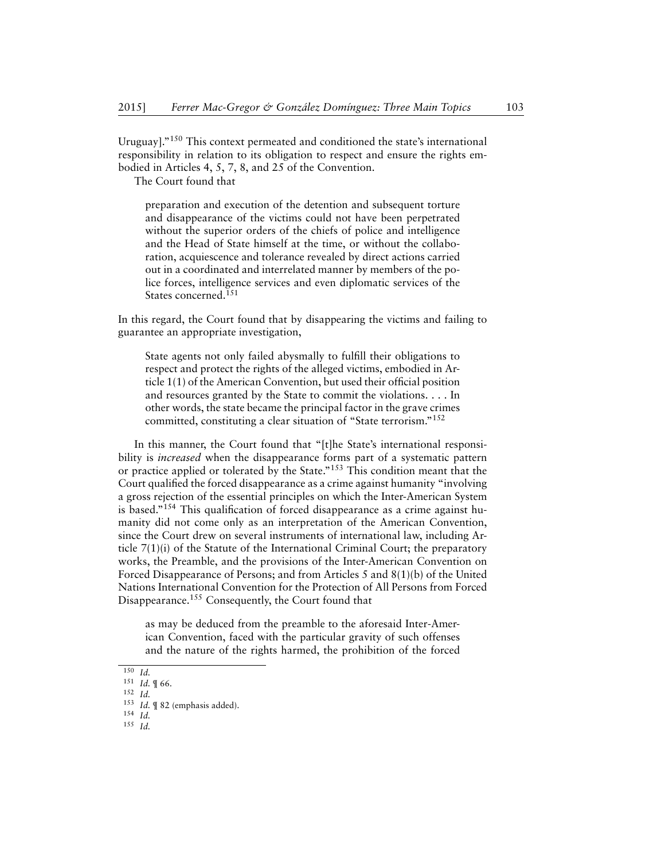Uruguay]."<sup>150</sup> This context permeated and conditioned the state's international responsibility in relation to its obligation to respect and ensure the rights embodied in Articles 4, 5, 7, 8, and 25 of the Convention.

The Court found that

preparation and execution of the detention and subsequent torture and disappearance of the victims could not have been perpetrated without the superior orders of the chiefs of police and intelligence and the Head of State himself at the time, or without the collaboration, acquiescence and tolerance revealed by direct actions carried out in a coordinated and interrelated manner by members of the police forces, intelligence services and even diplomatic services of the States concerned.<sup>151</sup>

In this regard, the Court found that by disappearing the victims and failing to guarantee an appropriate investigation,

State agents not only failed abysmally to fulfill their obligations to respect and protect the rights of the alleged victims, embodied in Article 1(1) of the American Convention, but used their official position and resources granted by the State to commit the violations. . . . In other words, the state became the principal factor in the grave crimes committed, constituting a clear situation of "State terrorism."<sup>152</sup>

In this manner, the Court found that "[t]he State's international responsibility is *increased* when the disappearance forms part of a systematic pattern or practice applied or tolerated by the State."<sup>153</sup> This condition meant that the Court qualified the forced disappearance as a crime against humanity "involving a gross rejection of the essential principles on which the Inter-American System is based."<sup>154</sup> This qualification of forced disappearance as a crime against humanity did not come only as an interpretation of the American Convention, since the Court drew on several instruments of international law, including Article 7(1)(i) of the Statute of the International Criminal Court; the preparatory works, the Preamble, and the provisions of the Inter-American Convention on Forced Disappearance of Persons; and from Articles 5 and 8(1)(b) of the United Nations International Convention for the Protection of All Persons from Forced Disappearance.<sup>155</sup> Consequently, the Court found that

as may be deduced from the preamble to the aforesaid Inter-American Convention, faced with the particular gravity of such offenses and the nature of the rights harmed, the prohibition of the forced

 $\overline{150}$  *Id.* 

<sup>151</sup> *Id.* ¶ 66.

<sup>152</sup> *Id.*

<sup>153</sup> *Id.* ¶ 82 (emphasis added).

<sup>154</sup> *Id.*

<sup>155</sup> *Id.*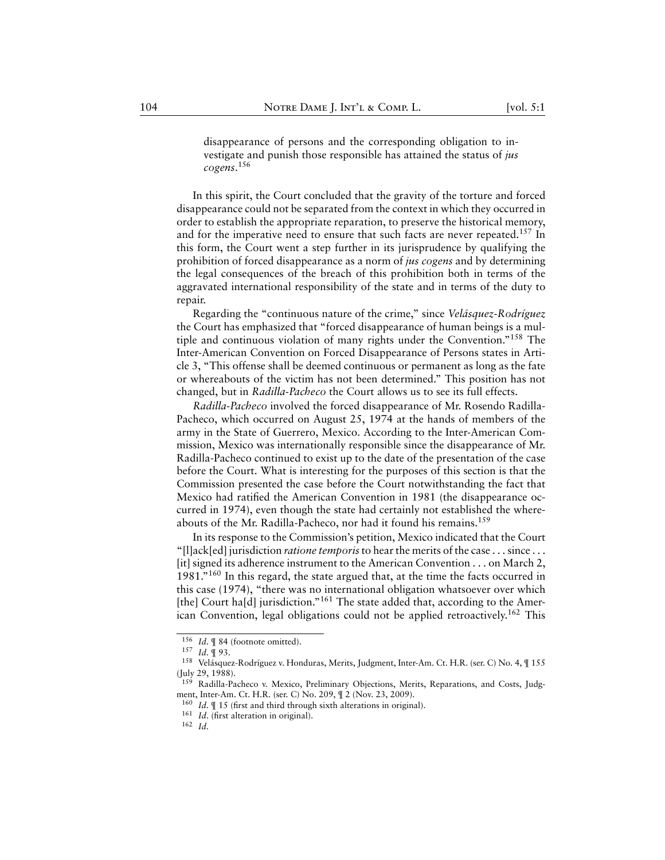disappearance of persons and the corresponding obligation to investigate and punish those responsible has attained the status of *jus cogens*. 156

In this spirit, the Court concluded that the gravity of the torture and forced disappearance could not be separated from the context in which they occurred in order to establish the appropriate reparation, to preserve the historical memory, and for the imperative need to ensure that such facts are never repeated.<sup>157</sup> In this form, the Court went a step further in its jurisprudence by qualifying the prohibition of forced disappearance as a norm of *jus cogens* and by determining the legal consequences of the breach of this prohibition both in terms of the aggravated international responsibility of the state and in terms of the duty to repair.

Regarding the "continuous nature of the crime," since *Velásquez-Rodríguez* the Court has emphasized that "forced disappearance of human beings is a multiple and continuous violation of many rights under the Convention."<sup>158</sup> The Inter-American Convention on Forced Disappearance of Persons states in Article 3, "This offense shall be deemed continuous or permanent as long as the fate or whereabouts of the victim has not been determined." This position has not changed, but in *Radilla-Pacheco* the Court allows us to see its full effects.

*Radilla-Pacheco* involved the forced disappearance of Mr. Rosendo Radilla-Pacheco, which occurred on August 25, 1974 at the hands of members of the army in the State of Guerrero, Mexico. According to the Inter-American Commission, Mexico was internationally responsible since the disappearance of Mr. Radilla-Pacheco continued to exist up to the date of the presentation of the case before the Court. What is interesting for the purposes of this section is that the Commission presented the case before the Court notwithstanding the fact that Mexico had ratified the American Convention in 1981 (the disappearance occurred in 1974), even though the state had certainly not established the whereabouts of the Mr. Radilla-Pacheco, nor had it found his remains.<sup>159</sup>

In its response to the Commission's petition, Mexico indicated that the Court "[l]ack[ed] jurisdiction *ratione temporis*to hear the merits of the case . . . since . . . [it] signed its adherence instrument to the American Convention . . . on March 2, 1981."<sup>160</sup> In this regard, the state argued that, at the time the facts occurred in this case (1974), "there was no international obligation whatsoever over which [the] Court ha[d] jurisdiction."<sup>161</sup> The state added that, according to the American Convention, legal obligations could not be applied retroactively.<sup>162</sup> This

<sup>156</sup> *Id.* ¶ 84 (footnote omitted).

<sup>157</sup> *Id.* ¶ 93.

<sup>158</sup> Velásquez-Rodríguez v. Honduras, Merits, Judgment, Inter-Am. Ct. H.R. (ser. C) No. 4, ¶ 155 (July 29, 1988).

<sup>&</sup>lt;sup>159</sup> Radilla-Pacheco v. Mexico, Preliminary Objections, Merits, Reparations, and Costs, Judgment, Inter-Am. Ct. H.R. (ser. C) No. 209, ¶ 2 (Nov. 23, 2009).

<sup>160</sup> *Id.* ¶ 15 (first and third through sixth alterations in original).

<sup>161</sup> *Id.* (first alteration in original).

<sup>162</sup> *Id.*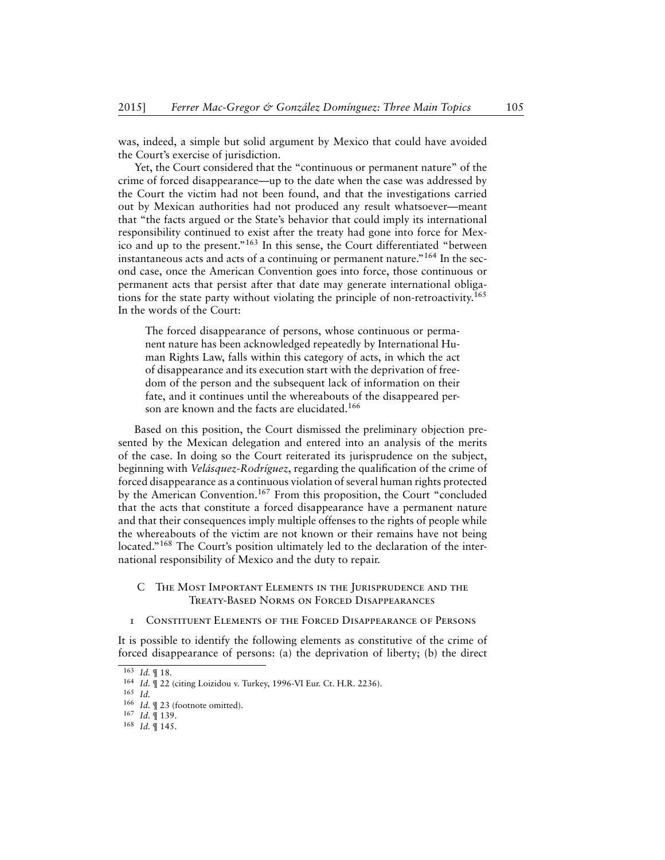was, indeed, a simple but solid argument by Mexico that could have avoided the Court's exercise of jurisdiction.

Yet, the Court considered that the "continuous or permanent nature" of the crime of forced disappearance—up to the date when the case was addressed by the Court the victim had not been found, and that the investigations carried out by Mexican authorities had not produced any result whatsoever—meant that "the facts argued or the State's behavior that could imply its international responsibility continued to exist after the treaty had gone into force for Mexico and up to the present."<sup>163</sup> In this sense, the Court differentiated "between instantaneous acts and acts of a continuing or permanent nature."<sup>164</sup> In the second case, once the American Convention goes into force, those continuous or permanent acts that persist after that date may generate international obligations for the state party without violating the principle of non-retroactivity.<sup>165</sup> In the words of the Court:

The forced disappearance of persons, whose continuous or permanent nature has been acknowledged repeatedly by International Human Rights Law, falls within this category of acts, in which the act of disappearance and its execution start with the deprivation of freedom of the person and the subsequent lack of information on their fate, and it continues until the whereabouts of the disappeared person are known and the facts are elucidated.<sup>166</sup>

Based on this position, the Court dismissed the preliminary objection presented by the Mexican delegation and entered into an analysis of the merits of the case. In doing so the Court reiterated its jurisprudence on the subject, beginning with *Velásquez-Rodríguez*, regarding the qualification of the crime of forced disappearance as a continuous violation of several human rights protected by the American Convention.<sup>167</sup> From this proposition, the Court "concluded that the acts that constitute a forced disappearance have a permanent nature and that their consequences imply multiple offenses to the rights of people while the whereabouts of the victim are not known or their remains have not being located."<sup>168</sup> The Court's position ultimately led to the declaration of the international responsibility of Mexico and the duty to repair.

- <span id="page-43-0"></span>C The Most Important Elements in the Jurisprudence and the Treaty-Based Norms on Forced Disappearances
- <span id="page-43-1"></span>1 Constituent Elements of the Forced Disappearance of Persons

It is possible to identify the following elements as constitutive of the crime of forced disappearance of persons: (a) the deprivation of liberty; (b) the direct

<sup>163</sup> *Id.* ¶ 18.

<sup>164</sup> *Id.* ¶ 22 (citing Loizidou v. Turkey, 1996-VI Eur. Ct. H.R. 2236).

<sup>165</sup> *Id.*

<sup>166</sup> *Id.* ¶ 23 (footnote omitted).

<sup>167</sup> *Id.* ¶ 139.

<sup>168</sup> *Id.* ¶ 145.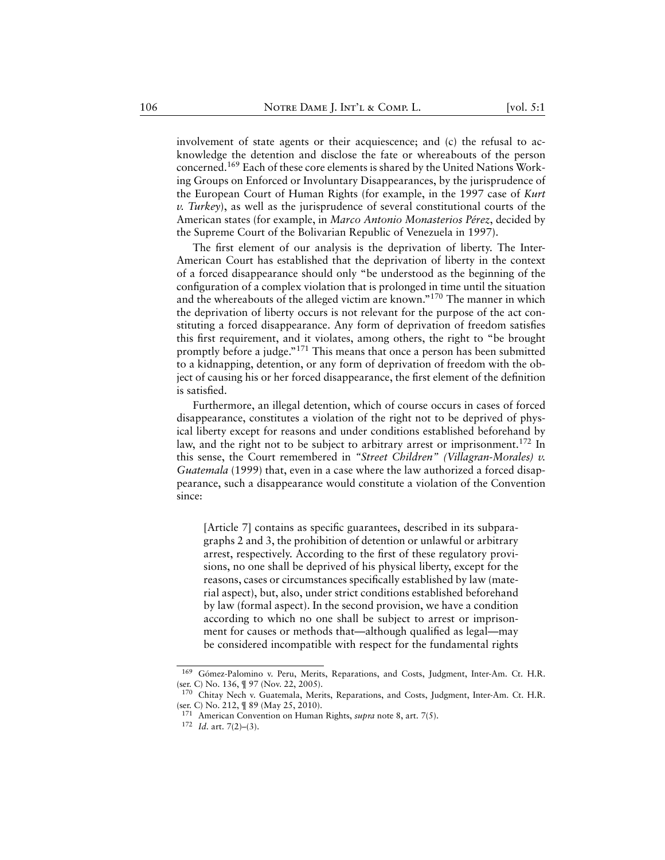involvement of state agents or their acquiescence; and (c) the refusal to acknowledge the detention and disclose the fate or whereabouts of the person concerned.<sup>169</sup> Each of these core elements is shared by the United Nations Working Groups on Enforced or Involuntary Disappearances, by the jurisprudence of the European Court of Human Rights (for example, in the 1997 case of *Kurt v. Turkey*), as well as the jurisprudence of several constitutional courts of the American states (for example, in *Marco Antonio Monasterios Pérez*, decided by the Supreme Court of the Bolivarian Republic of Venezuela in 1997).

The first element of our analysis is the deprivation of liberty. The Inter-American Court has established that the deprivation of liberty in the context of a forced disappearance should only "be understood as the beginning of the configuration of a complex violation that is prolonged in time until the situation and the whereabouts of the alleged victim are known."<sup>170</sup> The manner in which the deprivation of liberty occurs is not relevant for the purpose of the act constituting a forced disappearance. Any form of deprivation of freedom satisfies this first requirement, and it violates, among others, the right to "be brought promptly before a judge."<sup>171</sup> This means that once a person has been submitted to a kidnapping, detention, or any form of deprivation of freedom with the object of causing his or her forced disappearance, the first element of the definition is satisfied.

Furthermore, an illegal detention, which of course occurs in cases of forced disappearance, constitutes a violation of the right not to be deprived of physical liberty except for reasons and under conditions established beforehand by law, and the right not to be subject to arbitrary arrest or imprisonment.<sup>172</sup> In this sense, the Court remembered in *"Street Children" (Villagran-Morales) v. Guatemala* (1999) that, even in a case where the law authorized a forced disappearance, such a disappearance would constitute a violation of the Convention since:

[Article 7] contains as specific guarantees, described in its subparagraphs 2 and 3, the prohibition of detention or unlawful or arbitrary arrest, respectively. According to the first of these regulatory provisions, no one shall be deprived of his physical liberty, except for the reasons, cases or circumstances specifically established by law (material aspect), but, also, under strict conditions established beforehand by law (formal aspect). In the second provision, we have a condition according to which no one shall be subject to arrest or imprisonment for causes or methods that—although qualified as legal—may be considered incompatible with respect for the fundamental rights

<sup>169</sup> Gómez-Palomino v. Peru, Merits, Reparations, and Costs, Judgment, Inter-Am. Ct. H.R. (ser. C) No. 136, ¶ 97 (Nov. 22, 2005).

<sup>&</sup>lt;sup>170</sup> Chitay Nech v. Guatemala, Merits, Reparations, and Costs, Judgment, Inter-Am. Ct. H.R. (ser. C) No. 212, ¶ 89 (May 25, 2010).

<sup>171</sup> American Convention on Human Rights, *supra* note 8, art. 7(5).

<sup>172</sup> *Id.* art. 7(2)–(3).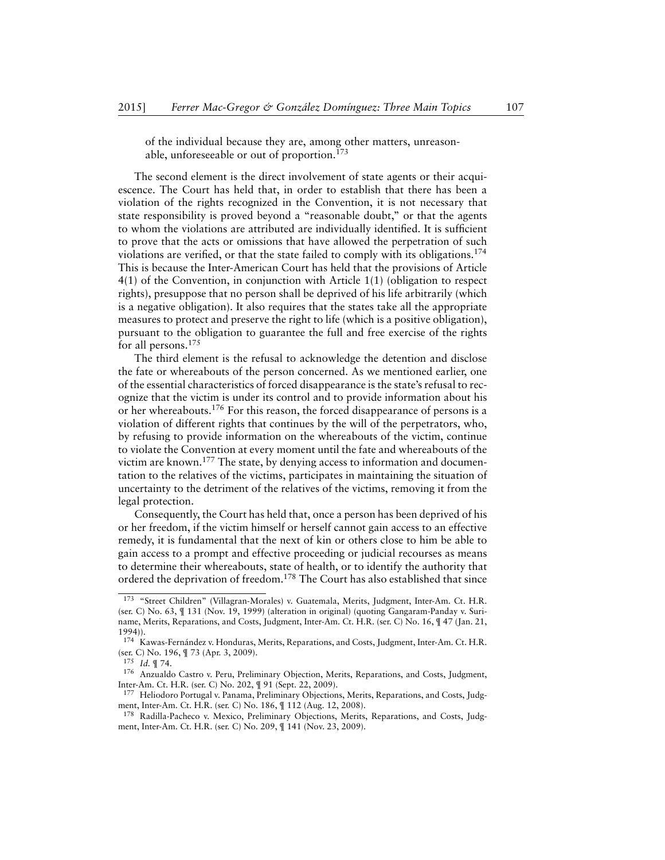of the individual because they are, among other matters, unreasonable, unforeseeable or out of proportion.<sup>173</sup>

The second element is the direct involvement of state agents or their acquiescence. The Court has held that, in order to establish that there has been a violation of the rights recognized in the Convention, it is not necessary that state responsibility is proved beyond a "reasonable doubt," or that the agents to whom the violations are attributed are individually identified. It is sufficient to prove that the acts or omissions that have allowed the perpetration of such violations are verified, or that the state failed to comply with its obligations.<sup>174</sup> This is because the Inter-American Court has held that the provisions of Article 4(1) of the Convention, in conjunction with Article 1(1) (obligation to respect rights), presuppose that no person shall be deprived of his life arbitrarily (which is a negative obligation). It also requires that the states take all the appropriate measures to protect and preserve the right to life (which is a positive obligation), pursuant to the obligation to guarantee the full and free exercise of the rights for all persons.<sup>175</sup>

The third element is the refusal to acknowledge the detention and disclose the fate or whereabouts of the person concerned. As we mentioned earlier, one of the essential characteristics of forced disappearance is the state's refusal to recognize that the victim is under its control and to provide information about his or her whereabouts.<sup>176</sup> For this reason, the forced disappearance of persons is a violation of different rights that continues by the will of the perpetrators, who, by refusing to provide information on the whereabouts of the victim, continue to violate the Convention at every moment until the fate and whereabouts of the victim are known.<sup>177</sup> The state, by denying access to information and documentation to the relatives of the victims, participates in maintaining the situation of uncertainty to the detriment of the relatives of the victims, removing it from the legal protection.

Consequently, the Court has held that, once a person has been deprived of his or her freedom, if the victim himself or herself cannot gain access to an effective remedy, it is fundamental that the next of kin or others close to him be able to gain access to a prompt and effective proceeding or judicial recourses as means to determine their whereabouts, state of health, or to identify the authority that ordered the deprivation of freedom.<sup>178</sup> The Court has also established that since

<sup>173</sup> "Street Children" (Villagran-Morales) v. Guatemala, Merits, Judgment, Inter-Am. Ct. H.R. (ser. C) No. 63, ¶ 131 (Nov. 19, 1999) (alteration in original) (quoting Gangaram-Panday v. Suriname, Merits, Reparations, and Costs, Judgment, Inter-Am. Ct. H.R. (ser. C) No. 16, ¶ 47 (Jan. 21, 1994)).

<sup>174</sup> Kawas-Fernández v. Honduras, Merits, Reparations, and Costs, Judgment, Inter-Am. Ct. H.R. (ser. C) No. 196, ¶ 73 (Apr. 3, 2009).

<sup>175</sup> *Id.* ¶ 74.

<sup>176</sup> Anzualdo Castro v. Peru, Preliminary Objection, Merits, Reparations, and Costs, Judgment, Inter-Am. Ct. H.R. (ser. C) No. 202, ¶ 91 (Sept. 22, 2009).

<sup>&</sup>lt;sup>177</sup> Heliodoro Portugal v. Panama, Preliminary Objections, Merits, Reparations, and Costs, Judgment, Inter-Am. Ct. H.R. (ser. C) No. 186, ¶ 112 (Aug. 12, 2008).

<sup>&</sup>lt;sup>178</sup> Radilla-Pacheco v. Mexico, Preliminary Objections, Merits, Reparations, and Costs, Judgment, Inter-Am. Ct. H.R. (ser. C) No. 209, ¶ 141 (Nov. 23, 2009).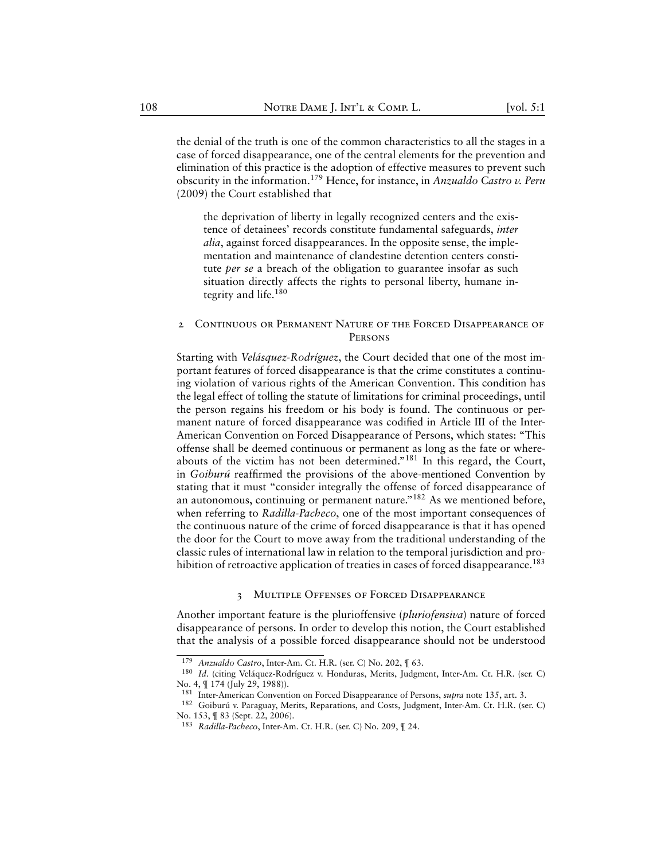the denial of the truth is one of the common characteristics to all the stages in a case of forced disappearance, one of the central elements for the prevention and elimination of this practice is the adoption of effective measures to prevent such obscurity in the information.<sup>179</sup> Hence, for instance, in *Anzualdo Castro v. Peru* (2009) the Court established that

the deprivation of liberty in legally recognized centers and the existence of detainees' records constitute fundamental safeguards, *inter alia*, against forced disappearances. In the opposite sense, the implementation and maintenance of clandestine detention centers constitute *per se* a breach of the obligation to guarantee insofar as such situation directly affects the rights to personal liberty, humane integrity and life.<sup>180</sup>

# <span id="page-46-0"></span>2 Continuous or Permanent Nature of the Forced Disappearance of **PERSONS**

Starting with *Velásquez-Rodríguez*, the Court decided that one of the most important features of forced disappearance is that the crime constitutes a continuing violation of various rights of the American Convention. This condition has the legal effect of tolling the statute of limitations for criminal proceedings, until the person regains his freedom or his body is found. The continuous or permanent nature of forced disappearance was codified in Article III of the Inter-American Convention on Forced Disappearance of Persons, which states: "This offense shall be deemed continuous or permanent as long as the fate or whereabouts of the victim has not been determined."<sup>181</sup> In this regard, the Court, in *Goiburú* reaffirmed the provisions of the above-mentioned Convention by stating that it must "consider integrally the offense of forced disappearance of an autonomous, continuing or permanent nature."<sup>182</sup> As we mentioned before, when referring to *Radilla-Pacheco*, one of the most important consequences of the continuous nature of the crime of forced disappearance is that it has opened the door for the Court to move away from the traditional understanding of the classic rules of international law in relation to the temporal jurisdiction and prohibition of retroactive application of treaties in cases of forced disappearance.<sup>183</sup>

#### 3 Multiple Offenses of Forced Disappearance

<span id="page-46-1"></span>Another important feature is the plurioffensive (*pluriofensiva*) nature of forced disappearance of persons. In order to develop this notion, the Court established that the analysis of a possible forced disappearance should not be understood

<sup>179</sup> *Anzualdo Castro*, Inter-Am. Ct. H.R. (ser. C) No. 202, ¶ 63.

<sup>&</sup>lt;sup>180</sup> Id. (citing Veláquez-Rodríguez v. Honduras, Merits, Judgment, Inter-Am. Ct. H.R. (ser. C) No. 4, ¶ 174 (July 29, 1988)).

<sup>181</sup> Inter-American Convention on Forced Disappearance of Persons, *supra* note 135, art. 3.

<sup>182</sup> Goiburú v. Paraguay, Merits, Reparations, and Costs, Judgment, Inter-Am. Ct. H.R. (ser. C) No. 153, ¶ 83 (Sept. 22, 2006).

<sup>183</sup> *Radilla-Pacheco*, Inter-Am. Ct. H.R. (ser. C) No. 209, ¶ 24.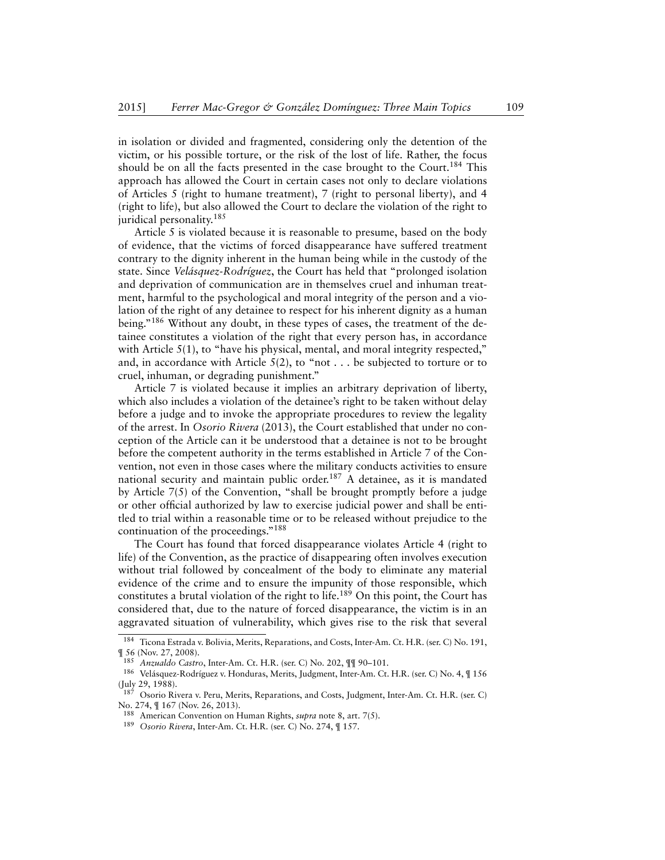in isolation or divided and fragmented, considering only the detention of the victim, or his possible torture, or the risk of the lost of life. Rather, the focus should be on all the facts presented in the case brought to the Court.<sup>184</sup> This approach has allowed the Court in certain cases not only to declare violations of Articles 5 (right to humane treatment), 7 (right to personal liberty), and 4 (right to life), but also allowed the Court to declare the violation of the right to juridical personality.<sup>185</sup>

Article 5 is violated because it is reasonable to presume, based on the body of evidence, that the victims of forced disappearance have suffered treatment contrary to the dignity inherent in the human being while in the custody of the state. Since *Velásquez-Rodríguez*, the Court has held that "prolonged isolation and deprivation of communication are in themselves cruel and inhuman treatment, harmful to the psychological and moral integrity of the person and a violation of the right of any detainee to respect for his inherent dignity as a human being."<sup>186</sup> Without any doubt, in these types of cases, the treatment of the detainee constitutes a violation of the right that every person has, in accordance with Article  $5(1)$ , to "have his physical, mental, and moral integrity respected," and, in accordance with Article  $5(2)$ , to "not . . . be subjected to torture or to cruel, inhuman, or degrading punishment."

Article 7 is violated because it implies an arbitrary deprivation of liberty, which also includes a violation of the detainee's right to be taken without delay before a judge and to invoke the appropriate procedures to review the legality of the arrest. In *Osorio Rivera* (2013), the Court established that under no conception of the Article can it be understood that a detainee is not to be brought before the competent authority in the terms established in Article 7 of the Convention, not even in those cases where the military conducts activities to ensure national security and maintain public order.<sup>187</sup> A detainee, as it is mandated by Article 7(5) of the Convention, "shall be brought promptly before a judge or other official authorized by law to exercise judicial power and shall be entitled to trial within a reasonable time or to be released without prejudice to the continuation of the proceedings."<sup>188</sup>

The Court has found that forced disappearance violates Article 4 (right to life) of the Convention, as the practice of disappearing often involves execution without trial followed by concealment of the body to eliminate any material evidence of the crime and to ensure the impunity of those responsible, which constitutes a brutal violation of the right to life.<sup>189</sup> On this point, the Court has considered that, due to the nature of forced disappearance, the victim is in an aggravated situation of vulnerability, which gives rise to the risk that several

<sup>&</sup>lt;sup>184</sup> Ticona Estrada v. Bolivia, Merits, Reparations, and Costs, Inter-Am. Ct. H.R. (ser. C) No. 191, ¶ 56 (Nov. 27, 2008).

<sup>185</sup> *Anzualdo Castro*, Inter-Am. Ct. H.R. (ser. C) No. 202, ¶¶ 90–101.

<sup>186</sup> Velásquez-Rodríguez v. Honduras, Merits, Judgment, Inter-Am. Ct. H.R. (ser. C) No. 4, ¶ 156 (July 29, 1988).

<sup>187</sup> Osorio Rivera v. Peru, Merits, Reparations, and Costs, Judgment, Inter-Am. Ct. H.R. (ser. C) No. 274, ¶ 167 (Nov. 26, 2013).

<sup>188</sup> American Convention on Human Rights, *supra* note 8, art. 7(5).

<sup>189</sup> *Osorio Rivera*, Inter-Am. Ct. H.R. (ser. C) No. 274, ¶ 157.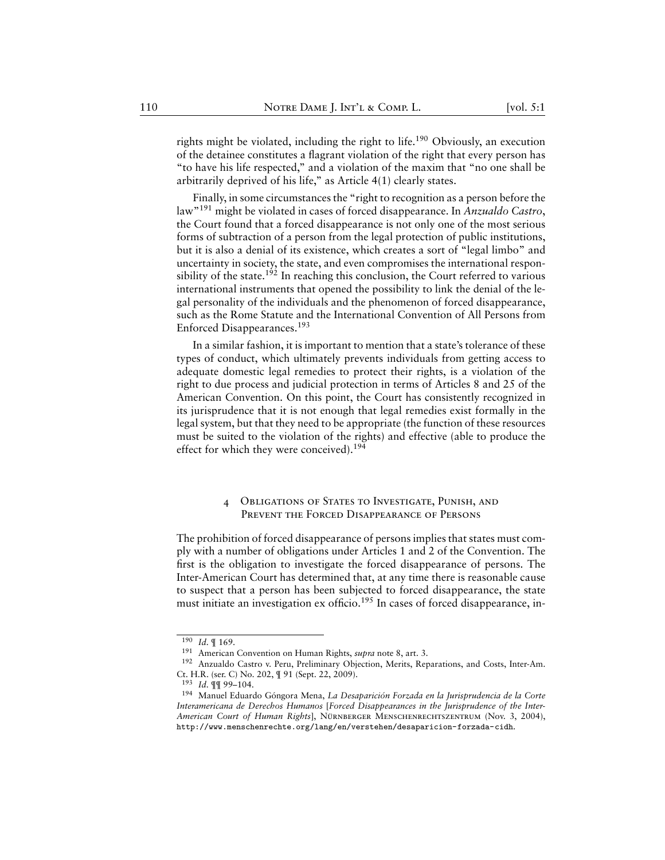rights might be violated, including the right to life.<sup>190</sup> Obviously, an execution of the detainee constitutes a flagrant violation of the right that every person has "to have his life respected," and a violation of the maxim that "no one shall be arbitrarily deprived of his life," as Article 4(1) clearly states.

Finally, in some circumstances the "right to recognition as a person before the law"<sup>191</sup> might be violated in cases of forced disappearance. In *Anzualdo Castro*, the Court found that a forced disappearance is not only one of the most serious forms of subtraction of a person from the legal protection of public institutions, but it is also a denial of its existence, which creates a sort of "legal limbo" and uncertainty in society, the state, and even compromises the international responsibility of the state.<sup>192</sup> In reaching this conclusion, the Court referred to various international instruments that opened the possibility to link the denial of the legal personality of the individuals and the phenomenon of forced disappearance, such as the Rome Statute and the International Convention of All Persons from Enforced Disappearances.<sup>193</sup>

In a similar fashion, it is important to mention that a state's tolerance of these types of conduct, which ultimately prevents individuals from getting access to adequate domestic legal remedies to protect their rights, is a violation of the right to due process and judicial protection in terms of Articles 8 and 25 of the American Convention. On this point, the Court has consistently recognized in its jurisprudence that it is not enough that legal remedies exist formally in the legal system, but that they need to be appropriate (the function of these resources must be suited to the violation of the rights) and effective (able to produce the effect for which they were conceived).<sup>194</sup>

# 4 Obligations of States to Investigate, Punish, and Prevent the Forced Disappearance of Persons

<span id="page-48-0"></span>The prohibition of forced disappearance of persons implies that states must comply with a number of obligations under Articles 1 and 2 of the Convention. The first is the obligation to investigate the forced disappearance of persons. The Inter-American Court has determined that, at any time there is reasonable cause to suspect that a person has been subjected to forced disappearance, the state must initiate an investigation ex officio.<sup>195</sup> In cases of forced disappearance, in-

 $\frac{190}{190}$  *Id.*  $\frac{9}{169}$ .

<sup>191</sup> American Convention on Human Rights, *supra* note 8, art. 3.

<sup>192</sup> Anzualdo Castro v. Peru, Preliminary Objection, Merits, Reparations, and Costs, Inter-Am. Ct. H.R. (ser. C) No. 202, ¶ 91 (Sept. 22, 2009).

<sup>193</sup> *Id.* ¶¶ 99–104.

<sup>194</sup> Manuel Eduardo Góngora Mena, *La Desaparición Forzada en la Jurisprudencia de la Corte Interamericana de Derechos Humanos* [*Forced Disappearances in the Jurisprudence of the Inter-American Court of Human Rights*], Nürnberger Menschenrechtszentrum (Nov. 3, 2004), <http://www.menschenrechte.org/lang/en/verstehen/desaparicion-forzada-cidh>.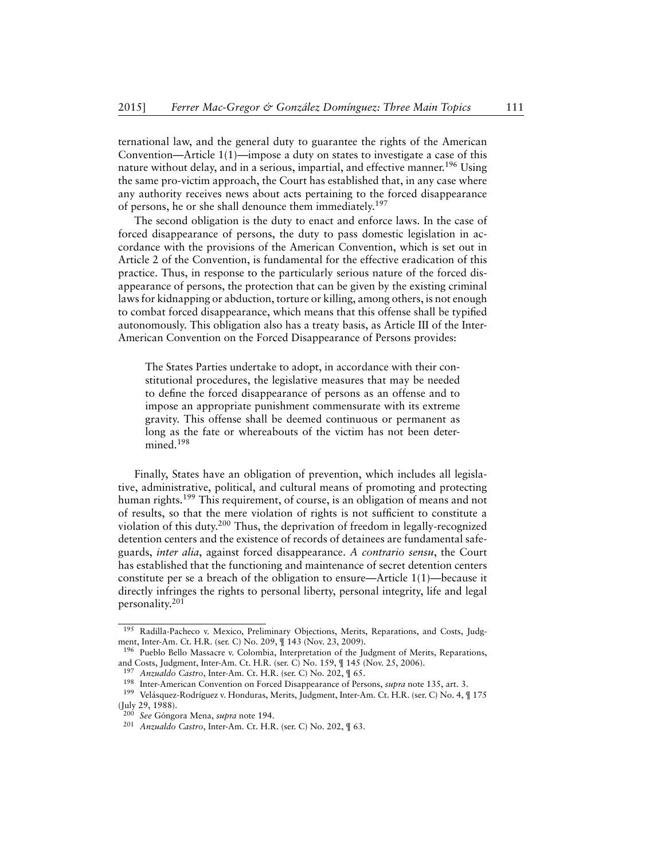ternational law, and the general duty to guarantee the rights of the American Convention—Article 1(1)—impose a duty on states to investigate a case of this nature without delay, and in a serious, impartial, and effective manner.<sup>196</sup> Using the same pro-victim approach, the Court has established that, in any case where any authority receives news about acts pertaining to the forced disappearance of persons, he or she shall denounce them immediately.<sup>197</sup>

The second obligation is the duty to enact and enforce laws. In the case of forced disappearance of persons, the duty to pass domestic legislation in accordance with the provisions of the American Convention, which is set out in Article 2 of the Convention, is fundamental for the effective eradication of this practice. Thus, in response to the particularly serious nature of the forced disappearance of persons, the protection that can be given by the existing criminal laws for kidnapping or abduction, torture or killing, among others, is not enough to combat forced disappearance, which means that this offense shall be typified autonomously. This obligation also has a treaty basis, as Article III of the Inter-American Convention on the Forced Disappearance of Persons provides:

The States Parties undertake to adopt, in accordance with their constitutional procedures, the legislative measures that may be needed to define the forced disappearance of persons as an offense and to impose an appropriate punishment commensurate with its extreme gravity. This offense shall be deemed continuous or permanent as long as the fate or whereabouts of the victim has not been determined.<sup>198</sup>

Finally, States have an obligation of prevention, which includes all legislative, administrative, political, and cultural means of promoting and protecting human rights.<sup>199</sup> This requirement, of course, is an obligation of means and not of results, so that the mere violation of rights is not sufficient to constitute a violation of this duty.<sup>200</sup> Thus, the deprivation of freedom in legally-recognized detention centers and the existence of records of detainees are fundamental safeguards, *inter alia*, against forced disappearance. *A contrario sensu*, the Court has established that the functioning and maintenance of secret detention centers constitute per se a breach of the obligation to ensure—Article 1(1)—because it directly infringes the rights to personal liberty, personal integrity, life and legal personality.<sup>201</sup>

<sup>&</sup>lt;sup>195</sup> Radilla-Pacheco v. Mexico, Preliminary Objections, Merits, Reparations, and Costs, Judgment, Inter-Am. Ct. H.R. (ser. C) No. 209, ¶ 143 (Nov. 23, 2009).

<sup>196</sup> Pueblo Bello Massacre v. Colombia, Interpretation of the Judgment of Merits, Reparations, and Costs, Judgment, Inter-Am. Ct. H.R. (ser. C) No. 159, ¶ 145 (Nov. 25, 2006).

<sup>197</sup> *Anzualdo Castro*, Inter-Am. Ct. H.R. (ser. C) No. 202, ¶ 65.

<sup>198</sup> Inter-American Convention on Forced Disappearance of Persons, *supra* note 135, art. 3.

<sup>199</sup> Velásquez-Rodríguez v. Honduras, Merits, Judgment, Inter-Am. Ct. H.R. (ser. C) No. 4, ¶ 175 (July 29, 1988).

<sup>200</sup> *See* Góngora Mena, *supra* note 194.

<sup>201</sup> *Anzualdo Castro*, Inter-Am. Ct. H.R. (ser. C) No. 202, ¶ 63.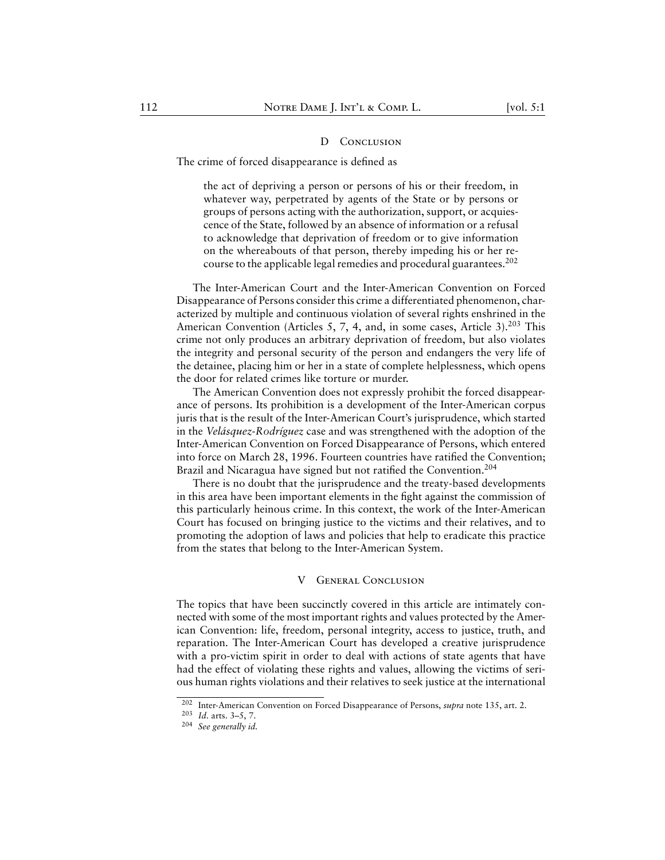#### D CONCLUSION

<span id="page-50-0"></span>The crime of forced disappearance is defined as

the act of depriving a person or persons of his or their freedom, in whatever way, perpetrated by agents of the State or by persons or groups of persons acting with the authorization, support, or acquiescence of the State, followed by an absence of information or a refusal to acknowledge that deprivation of freedom or to give information on the whereabouts of that person, thereby impeding his or her recourse to the applicable legal remedies and procedural guarantees.<sup>202</sup>

The Inter-American Court and the Inter-American Convention on Forced Disappearance of Persons consider this crime a differentiated phenomenon, characterized by multiple and continuous violation of several rights enshrined in the American Convention (Articles 5, 7, 4, and, in some cases, Article 3).<sup>203</sup> This crime not only produces an arbitrary deprivation of freedom, but also violates the integrity and personal security of the person and endangers the very life of the detainee, placing him or her in a state of complete helplessness, which opens the door for related crimes like torture or murder.

The American Convention does not expressly prohibit the forced disappearance of persons. Its prohibition is a development of the Inter-American corpus juris that is the result of the Inter-American Court's jurisprudence, which started in the *Velásquez-Rodríguez* case and was strengthened with the adoption of the Inter-American Convention on Forced Disappearance of Persons, which entered into force on March 28, 1996. Fourteen countries have ratified the Convention; Brazil and Nicaragua have signed but not ratified the Convention.<sup>204</sup>

There is no doubt that the jurisprudence and the treaty-based developments in this area have been important elements in the fight against the commission of this particularly heinous crime. In this context, the work of the Inter-American Court has focused on bringing justice to the victims and their relatives, and to promoting the adoption of laws and policies that help to eradicate this practice from the states that belong to the Inter-American System.

### V General Conclusion

<span id="page-50-1"></span>The topics that have been succinctly covered in this article are intimately connected with some of the most important rights and values protected by the American Convention: life, freedom, personal integrity, access to justice, truth, and reparation. The Inter-American Court has developed a creative jurisprudence with a pro-victim spirit in order to deal with actions of state agents that have had the effect of violating these rights and values, allowing the victims of serious human rights violations and their relatives to seek justice at the international

<sup>202</sup> Inter-American Convention on Forced Disappearance of Persons, *supra* note 135, art. 2.

<sup>203</sup> *Id.* arts. 3–5, 7.

<sup>204</sup> *See generally id.*